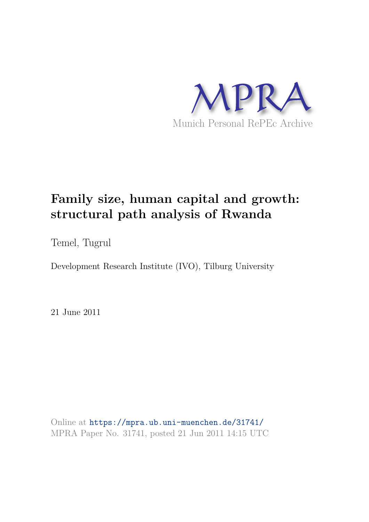

# **Family size, human capital and growth: structural path analysis of Rwanda**

Temel, Tugrul

Development Research Institute (IVO), Tilburg University

21 June 2011

Online at https://mpra.ub.uni-muenchen.de/31741/ MPRA Paper No. 31741, posted 21 Jun 2011 14:15 UTC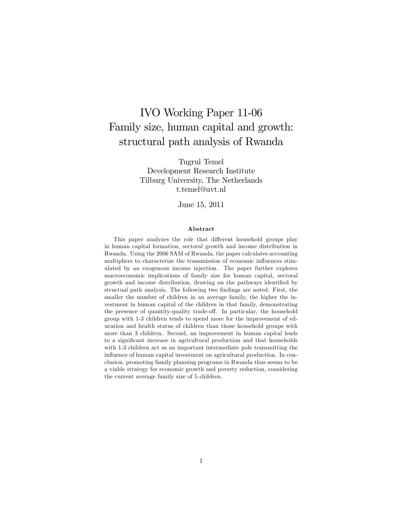## IVO Working Paper 11-06 Family size, human capital and growth: structural path analysis of Rwanda

Tugrul Temel Development Research Institute Tilburg University, The Netherlands t.temel@uvt.nl

June 15, 2011

#### Abstract

This paper analyzes the role that different household groups play in human capital formation, sectoral growth and income distribution in Rwanda. Using the 2006 SAM of Rwanda, the paper calculates accounting multipliers to characterize the transmission of economic influences stimulated by an exogenous income injection. The paper further explores macroeconomic implications of family size for human capital, sectoral growth and income distribution, drawing on the pathways identified by structual path analysis. The following two findings are noted. First, the smaller the number of children in an average family, the higher the investment in human capital of the children in that family, demonstrating the presence of quantity-quality trade-off. In particular, the household group with 1-3 children tends to spend more for the improvement of education and health status of children than those household groups with more than 3 children. Second, an improvement in human capital leads to a significant increase in agricultural production and that households with 1-3 children act as an important intermediate pole transmitting the influence of human capital investment on agricultural production. In conclusion, promoting family planning programs in Rwanda thus seems to be a viable strategy for economic growth and poverty reduction, considering the current average family size of 5 children.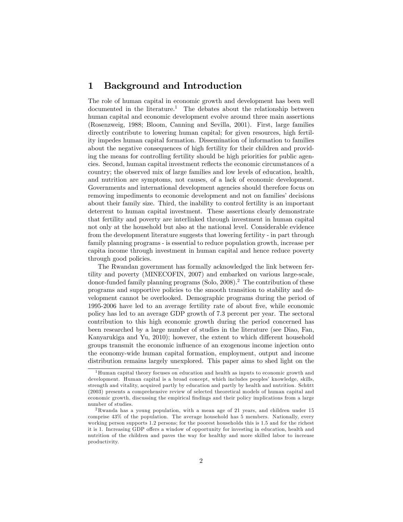## 1 Background and Introduction

The role of human capital in economic growth and development has been well documented in the literature.<sup>1</sup> The debates about the relationship between human capital and economic development evolve around three main assertions (Rosenzweig, 1988; Bloom, Canning and Sevilla, 2001). First, large families directly contribute to lowering human capital; for given resources, high fertility impedes human capital formation. Dissemination of information to families about the negative consequences of high fertility for their children and providing the means for controlling fertility should be high priorities for public agencies. Second, human capital investment reáects the economic circumstances of a country; the observed mix of large families and low levels of education, health, and nutrition are symptoms, not causes, of a lack of economic development. Governments and international development agencies should therefore focus on removing impediments to economic development and not on families' decisions about their family size. Third, the inability to control fertility is an important deterrent to human capital investment. These assertions clearly demonstrate that fertility and poverty are interlinked through investment in human capital not only at the household but also at the national level. Considerable evidence from the development literature suggests that lowering fertility - in part through family planning programs - is essential to reduce population growth, increase per capita income through investment in human capital and hence reduce poverty through good policies.

The Rwandan government has formally acknowledged the link between fertility and poverty (MINECOFIN, 2007) and embarked on various large-scale, donor-funded family planning programs (Solo, 2008).<sup>2</sup> The contribution of these programs and supportive policies to the smooth transition to stability and development cannot be overlooked. Demographic programs during the period of 1995-2006 have led to an average fertility rate of about Öve, while economic policy has led to an average GDP growth of 7.3 percent per year. The sectoral contribution to this high economic growth during the period concerned has been researched by a large number of studies in the literature (see Diao, Fan, Kanyarukiga and Yu, 2010); however, the extent to which different household groups transmit the economic ináuence of an exogenous income injection onto the economy-wide human capital formation, employment, output and income distribution remains largely unexplored. This paper aims to shed light on the

<sup>&</sup>lt;sup>1</sup>Human capital theory focuses on education and health as inputs to economic growth and development. Human capital is a broad concept, which includes peoples' knowledge, skills, strength and vitality, acquired partly by education and partly by health and nutrition. Schütt (2003) presents a comprehensive review of selected theoretical models of human capital and economic growth, discussing the empirical findings and their policy implications from a large number of studies.

<sup>2</sup>Rwanda has a young population, with a mean age of 21 years, and children under 15 comprise 43% of the population. The average household has 5 members. Nationally, every working person supports 1.2 persons; for the poorest households this is 1.5 and for the richest it is 1. Increasing GDP offers a window of opportunity for investing in education, health and nutrition of the children and paves the way for healthy and more skilled labor to increase productivity.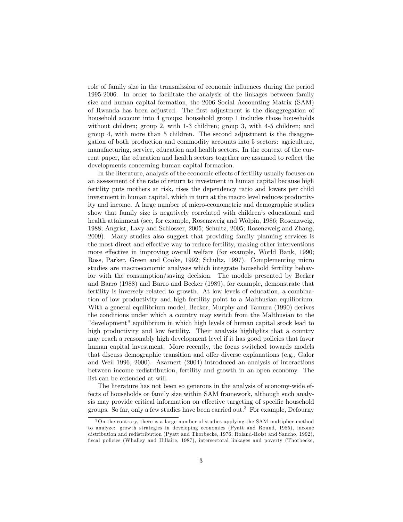role of family size in the transmission of economic influences during the period 1995-2006. In order to facilitate the analysis of the linkages between family size and human capital formation, the 2006 Social Accounting Matrix (SAM) of Rwanda has been adjusted. The Örst adjustment is the disaggregation of household account into 4 groups: household group 1 includes those households without children; group 2, with 1-3 children; group 3, with 4-5 children; and group 4, with more than 5 children. The second adjustment is the disaggregation of both production and commodity accounts into 5 sectors: agriculture, manufacturing, service, education and health sectors. In the context of the current paper, the education and health sectors together are assumed to reflect the developments concerning human capital formation.

In the literature, analysis of the economic effects of fertility usually focuses on an assessment of the rate of return to investment in human capital because high fertility puts mothers at risk, rises the dependency ratio and lowers per child investment in human capital, which in turn at the macro level reduces productivity and income. A large number of micro-econometric and demographic studies show that family size is negatively correlated with children's educational and health attainment (see, for example, Rosenzweig and Wolpin, 1986; Rosenzweig, 1988; Angrist, Lavy and Schlosser, 2005; Schultz, 2005; Rosenzweig and Zhang, 2009). Many studies also suggest that providing family planning services is the most direct and effective way to reduce fertility, making other interventions more effective in improving overall welfare (for example, World Bank, 1990; Ross, Parker, Green and Cooke, 1992; Schultz, 1997). Complementing micro studies are macroeconomic analyses which integrate household fertility behavior with the consumption/saving decision. The models presented by Becker and Barro (1988) and Barro and Becker (1989), for example, demonstrate that fertility is inversely related to growth. At low levels of education, a combination of low productivity and high fertility point to a Malthusian equilibrium. With a general equilibrium model, Becker, Murphy and Tamura (1990) derives the conditions under which a country may switch from the Malthusian to the "development" equilibrium in which high levels of human capital stock lead to high productivity and low fertility. Their analysis highlights that a country may reach a reasonably high development level if it has good policies that favor human capital investment. More recently, the focus switched towards models that discuss demographic transition and offer diverse explanations (e.g., Galor and Weil 1996, 2000). Azarnert (2004) introduced an analysis of interactions between income redistribution, fertility and growth in an open economy. The list can be extended at will.

The literature has not been so generous in the analysis of economy-wide effects of households or family size within SAM framework, although such analysis may provide critical information on effective targeting of specific household groups. So far, only a few studies have been carried out.<sup>3</sup> For example, Defourny

<sup>3</sup>On the contrary, there is a large number of studies applying the SAM multiplier method to analyze: growth strategies in developing economies (Pyatt and Round, 1985), income distribution and redistribution (Pyatt and Thorbecke, 1976; Roland-Holst and Sancho, 1992), fiscal policies (Whalley and Hillaire, 1987), intersectoral linkages and poverty (Thorbecke,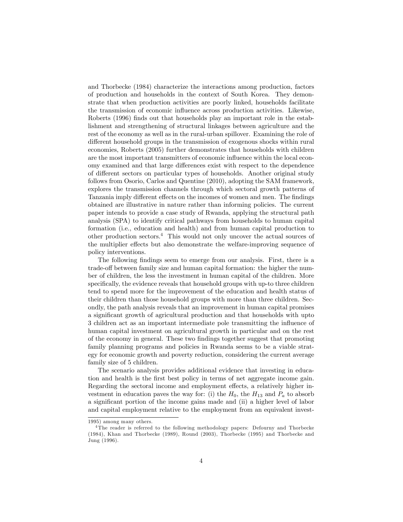and Thorbecke (1984) characterize the interactions among production, factors of production and households in the context of South Korea. They demonstrate that when production activities are poorly linked, households facilitate the transmission of economic ináuence across production activities. Likewise, Roberts (1996) finds out that households play an important role in the establishment and strengthening of structural linkages between agriculture and the rest of the economy as well as in the rural-urban spillover. Examining the role of different household groups in the transmission of exogenous shocks within rural economies, Roberts (2005) further demonstrates that households with children are the most important transmitters of economic ináuence within the local economy examined and that large differences exist with respect to the dependence of different sectors on particular types of households. Another original study follows from Osorio, Carlos and Quentine (2010), adopting the SAM framework, explores the transmission channels through which sectoral growth patterns of Tanzania imply different effects on the incomes of women and men. The findings obtained are illustrative in nature rather than informing policies. The current paper intends to provide a case study of Rwanda, applying the structural path analysis (SPA) to identify critical pathways from households to human capital formation (i.e., education and health) and from human capital production to other production sectors.<sup>4</sup> This would not only uncover the actual sources of the multiplier effects but also demonstrate the welfare-improving sequence of policy interventions.

The following findings seem to emerge from our analysis. First, there is a trade-off between family size and human capital formation: the higher the number of children, the less the investment in human capital of the children. More specifically, the evidence reveals that household groups with up-to three children tend to spend more for the improvement of the education and health status of their children than those household groups with more than three children. Secondly, the path analysis reveals that an improvement in human capital promises a significant growth of agricultural production and that households with upto 3 children act as an important intermediate pole transmitting the influence of human capital investment on agricultural growth in particular and on the rest of the economy in general. These two Öndings together suggest that promoting family planning programs and policies in Rwanda seems to be a viable strategy for economic growth and poverty reduction, considering the current average family size of 5 children.

The scenario analysis provides additional evidence that investing in education and health is the first best policy in terms of net aggregate income gain. Regarding the sectoral income and employment effects, a relatively higher investment in education paves the way for: (i) the  $H_0$ , the  $H_{13}$  and  $P_a$  to absorb a significant portion of the income gains made and (ii) a higher level of labor and capital employment relative to the employment from an equivalent invest-

<sup>1995)</sup> among many others.

<sup>4</sup> The reader is referred to the following methodology papers: Defourny and Thorbecke (1984), Khan and Thorbecke (1989), Round (2003), Thorbecke (1995) and Thorbecke and Jung (1996).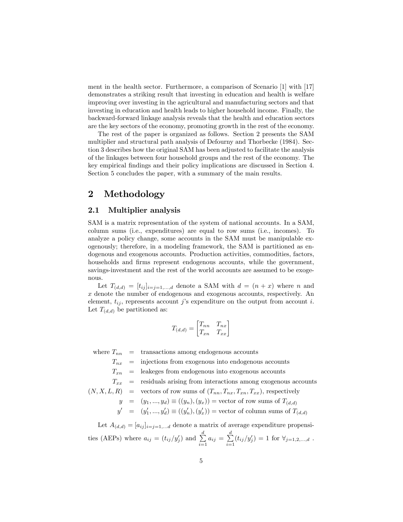ment in the health sector. Furthermore, a comparison of Scenario [1] with [17] demonstrates a striking result that investing in education and health is welfare improving over investing in the agricultural and manufacturing sectors and that investing in education and health leads to higher household income. Finally, the backward-forward linkage analysis reveals that the health and education sectors are the key sectors of the economy, promoting growth in the rest of the economy.

The rest of the paper is organized as follows. Section 2 presents the SAM multiplier and structural path analysis of Defourny and Thorbecke (1984). Section 3 describes how the original SAM has been adjusted to facilitate the analysis of the linkages between four household groups and the rest of the economy. The key empirical Öndings and their policy implications are discussed in Section 4. Section 5 concludes the paper, with a summary of the main results.

## 2 Methodology

#### 2.1 Multiplier analysis

SAM is a matrix representation of the system of national accounts. In a SAM, column sums (i.e., expenditures) are equal to row sums (i.e., incomes). To analyze a policy change, some accounts in the SAM must be manipulable exogenously; therefore, in a modeling framework, the SAM is partitioned as endogenous and exogenous accounts. Production activities, commodities, factors, households and firms represent endogenous accounts, while the government, savings-investment and the rest of the world accounts are assumed to be exogenous.

Let  $T_{(d,d)} = [t_{ij}]_{i=j=1,\dots,d}$  denote a SAM with  $d = (n + x)$  where n and x denote the number of endogenous and exogenous accounts, respectively. An element,  $t_{ij}$ , represents account j's expenditure on the output from account i. Let  $T_{(d,d)}$  be partitioned as:

$$
T_{(d,d)} = \begin{bmatrix} T_{nn} & T_{nx} \\ T_{xn} & T_{xx} \end{bmatrix}
$$

where  $T_{nn}$  = transactions among endogenous accounts

 $T_{nx}$  = injections from exogenous into endogenous accounts

 $T_{xn}$  = leakeges from endogenous into exogenous accounts

$$
T_{xx}
$$
 = residuals arising from interactions among exogenous accounts

$$
(N, X, L, R)
$$
 = vectors of row sums of  $(T_{nn}, T_{nx}, T_{xn}, T_{xx})$ , respectively

$$
y = (y_1, ..., y_d) \equiv ((y_n), (y_x)) = \text{vector of row sums of } T_{(d,d)}
$$

$$
y' \quad = \quad (y'_1,...,y'_d) \equiv ((y'_n),(y'_x)) = \text{vector of column sums of } T_{(d,d)}
$$

Let  $A_{(d,d)} = [a_{ij}]_{i=j=1,...d}$  denote a matrix of average expenditure propensities (AEPs) where  $a_{ij} = (t_{ij}/y'_j)$  and  $\sum^d$  $\sum_{i=1}^{d} a_{ij} = \sum_{i=1}^{d}$  $\sum_{i=1}^{8} (t_{ij}/y'_j) = 1$  for  $\forall_{j=1,2,...,d}$ .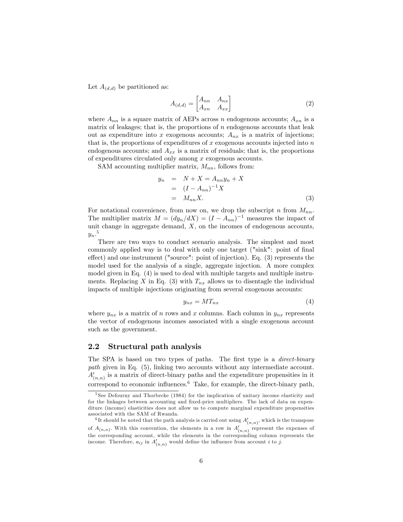Let  $A_{(d,d)}$  be partitioned as:

$$
A_{(d,d)} = \begin{bmatrix} A_{nn} & A_{nx} \\ A_{xn} & A_{xx} \end{bmatrix}
$$
 (2)

where  $A_{nn}$  is a square matrix of AEPs across n endogenous accounts;  $A_{xn}$  is a matrix of leakages; that is, the proportions of  $n$  endogenous accounts that leak out as expenditure into x exogenous accounts;  $A_{nx}$  is a matrix of injections; that is, the proportions of expenditures of  $x$  exogenous accounts injected into  $n$ endogenous accounts; and  $A_{xx}$  is a matrix of residuals; that is, the proportions of expenditures circulated only among  $x$  exogenous accounts.

SAM accounting multiplier matrix,  $M_{nn}$ , follows from:

$$
y_n = N + X = A_{nn}y_n + X
$$
  
= 
$$
(I - A_{nn})^{-1}X
$$
  
= 
$$
M_{nn}X.
$$
 (3)

For notational convenience, from now on, we drop the subscript n from  $M_{nn}$ . The multiplier matrix  $M = (dy_n/dX) = (I - A_{nn})^{-1}$  measures the impact of unit change in aggregate demand,  $X$ , on the incomes of endogenous accounts,  $y_n$ <sup>5</sup>

There are two ways to conduct scenario analysis. The simplest and most commonly applied way is to deal with only one target ("sink": point of final effect) and one instrument ("source": point of injection). Eq.  $(3)$  represents the model used for the analysis of a single, aggregate injection. A more complex model given in Eq. (4) is used to deal with multiple targets and multiple instruments. Replacing X in Eq. (3) with  $T_{nx}$  allows us to disentagle the individual impacts of multiple injections originating from several exogenous accounts:

$$
y_{nx} = MT_{nx} \tag{4}
$$

where  $y_{nx}$  is a matrix of n rows and x columns. Each column in  $y_{nx}$  represents the vector of endogenous incomes associated with a single exogenous account such as the government.

#### 2.2 Structural path analysis

The SPA is based on two types of paths. The first type is a *direct-binary* path given in Eq. (5), linking two accounts without any intermediate account.  $A'_{(n,n)}$  is a matrix of direct-binary paths and the expenditure propensities in it correspond to economic influences. $6$  Take, for example, the direct-binary path,

 $5$  See Defourny and Thorbecke (1984) for the implication of unitary income elasticity and for the linkages between accounting and fixed-price multipliers. The lack of data on expenditure (income) elasticities does not allow us to compute marginal expenditure propensities associated with the SAM of Rwanda.

<sup>&</sup>lt;sup>6</sup>It should be noted that the path analysis is carried out using  $A'_{(n,n)}$ , which is the transpose of  $A_{(n,n)}$ . With this convention, the elements in a row in  $A'_{(n,n)}$  represent the expenses of the corresponding account, while the elements in the corresponding column represents the income. Therefore,  $a_{ij}$  in  $A'_{(n,n)}$  would define the influence from account i to j.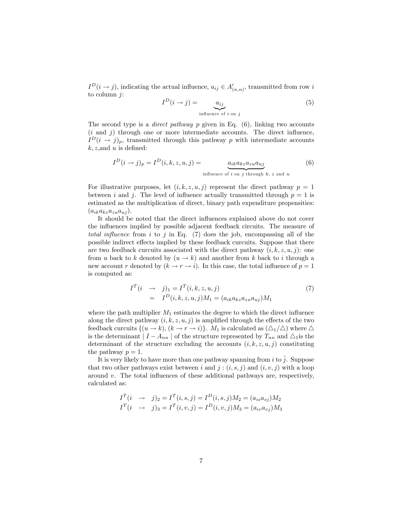$I<sup>D</sup>(i \to j)$ , indicating the actual influence,  $a_{ij} \in A'_{(n,n)}$ , transmitted from row i to column  $j$ :

$$
I^{D}(i \to j) = \underbrace{a_{ij}}_{\text{influence of } i \text{ on } j} \tag{5}
$$

The second type is a *direct pathway*  $p$  given in Eq.  $(6)$ , linking two accounts  $(i$  and  $j)$  through one or more intermediate accounts. The direct influence,  $I<sup>D</sup>(i \rightarrow j)<sub>p</sub>$ , transmitted through this pathway p with intermediate accounts  $k, z$ , and u is defined:

$$
I^{D}(i \to j)_{p} = I^{D}(i, k, z, u, j) = \underbrace{a_{ik} a_{kz} a_{zu} a_{uj}}_{\text{influence of } i \text{ on } j \text{ through } k, z \text{ and } u}
$$
(6)

For illustrative purposes, let  $(i, k, z, u, j)$  represent the direct pathway  $p = 1$ between i and j. The level of influence actually transmitted through  $p = 1$  is estimated as the multiplication of direct, binary path expenditure propensities:  $(a_{ik}a_{kz}a_{zu}a_{uj}).$ 

It should be noted that the direct influences explained above do not cover the influences implied by possible adjacent feedback circuits. The measure of total influence from i to j in Eq.  $(7)$  does the job, encompassing all of the possible indirect effects implied by these feedback curcuits. Suppose that there are two feedback curcuits associated with the direct pathway  $(i, k, z, u, j)$ : one from u back to k denoted by  $(u \rightarrow k)$  and another from k back to i through a new account r denoted by  $(k \to r \to i)$ . In this case, the total influence of  $p = 1$ is computed as:

$$
I^{T}(i \rightarrow j)_{1} = I^{T}(i, k, z, u, j)
$$
  
=  $I^{D}(i, k, z, u, j)M_{1} = (a_{ik}a_{kz}a_{zu}a_{uj})M_{1}$  (7)

where the path multiplier  $M_1$  estimates the degree to which the direct influence along the direct pathway  $(i, k, z, u, j)$  is amplified through the effects of the two feedback curcuits  $\{(u \to k), (k \to r \to i)\}\$ .  $M_1$  is calculated as  $(\triangle_1/\triangle)$  where  $\triangle$ is the determinant  $| I - A_{nn} |$  of the structure represented by  $T_{nn}$  and  $\Delta_1$  is the determinant of the structure excluding the accounts  $(i, k, z, u, j)$  constituting the pathway  $p = 1$ .

It is very likely to have more than one pathway spanning from i to  $j$ . Suppose that two other pathways exist between i and  $j : (i, s, j)$  and  $(i, v, j)$  with a loop around v. The total influences of these additional pathways are, respectively, calculated as:

$$
I^T(i \rightarrow j)_2 = I^T(i, s, j) = I^D(i, s, j)M_2 = (a_{is}a_{sj})M_2
$$
  

$$
I^T(i \rightarrow j)_3 = I^T(i, v, j) = I^D(i, v, j)M_3 = (a_{iv}a_{vj})M_3
$$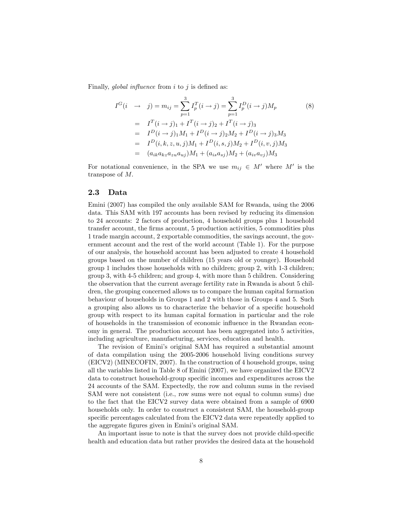Finally, global influence from  $i$  to  $j$  is defined as:

$$
I^{G}(i \rightarrow j) = m_{ij} = \sum_{p=1}^{3} I_{p}^{T}(i \rightarrow j) = \sum_{p=1}^{3} I_{p}^{D}(i \rightarrow j)M_{p}
$$
(8)  
=  $I^{T}(i \rightarrow j)_{1} + I^{T}(i \rightarrow j)_{2} + I^{T}(i \rightarrow j)_{3}$   
=  $I^{D}(i \rightarrow j)_{1}M_{1} + I^{D}(i \rightarrow j)_{2}M_{2} + I^{D}(i \rightarrow j)_{3}M_{3}$   
=  $I^{D}(i, k, z, u, j)M_{1} + I^{D}(i, s, j)M_{2} + I^{D}(i, v, j)M_{3}$   
=  $(a_{ik}a_{k}a_{k}a_{ku}a_{uj})M_{1} + (a_{is}a_{sj})M_{2} + (a_{iv}a_{vj})M_{3}$ 

For notational convenience, in the SPA we use  $m_{ij} \in M'$  where M' is the transpose of M:

#### 2.3 Data

Emini (2007) has compiled the only available SAM for Rwanda, using the 2006 data. This SAM with 197 accounts has been revised by reducing its dimension to 24 accounts: 2 factors of production, 4 household groups plus 1 household transfer account, the firms account, 5 production activities, 5 commodities plus 1 trade margin account, 2 exportable commodities, the savings account, the government account and the rest of the world account (Table 1). For the purpose of our analysis, the household account has been adjusted to create 4 household groups based on the number of children (15 years old or younger). Household group 1 includes those households with no children; group 2, with 1-3 children; group 3, with 4-5 children; and group 4, with more than 5 children. Considering the observation that the current average fertility rate in Rwanda is about 5 children, the grouping concerned allows us to compare the human capital formation behaviour of households in Groups 1 and 2 with those in Groups 4 and 5. Such a grouping also allows us to characterize the behavior of a specific household group with respect to its human capital formation in particular and the role of households in the transmission of economic ináuence in the Rwandan economy in general. The production account has been aggregated into 5 activities, including agriculture, manufacturing, services, education and health.

The revision of Emini's original SAM has required a substantial amount of data compilation using the 2005-2006 household living conditions survey (EICV2) (MINECOFIN, 2007). In the construction of 4 household groups, using all the variables listed in Table 8 of Emini (2007), we have organized the EICV2 data to construct household-group specific incomes and expenditures across the 24 accounts of the SAM. Expectedly, the row and column sums in the revised SAM were not consistent (i.e., row sums were not equal to column sums) due to the fact that the EICV2 survey data were obtained from a sample of 6900 households only. In order to construct a consistent SAM, the household-group specific percentages calculated from the EICV2 data were repeatedly applied to the aggregate figures given in Emini's original SAM.

An important issue to note is that the survey does not provide child-specific health and education data but rather provides the desired data at the household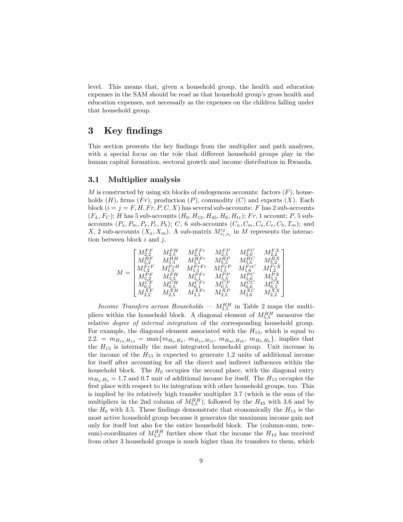level. This means that, given a household group, the health and education expenses in the SAM should be read as that household group's gross health and education expenses, not necessaily as the expenses on the children falling under that household group.

## 3 Key findings

This section presents the key findings from the multiplier and path analyses, with a special focus on the role that different household groups play in the human capital formation, sectoral growth and income distribution in Rwanda.

#### 3.1 Multiplier analysis

M is constructed by using six blocks of endogenous accounts: factors  $(F)$ , households  $(H)$ , firms  $(Fr)$ , production  $(P)$ , commodity  $(C)$  and exports  $(X)$ . Each block  $(i = j = F, H, Fr, P, C, X)$  has several sub-accounts: F has 2 sub-accounts  $(F_L, F_C)$ ; H has 5 sub-accounts  $(H_0, H_{13}, H_{45}, H_6, H_{tr})$ ; Fr, 1 account; P, 5 subaccounts  $(P_a, P_m, P_s, P_e, P_h)$ ; C, 6 sub-accounts  $(C_a, C_m, C_s, C_e, C_h, T_m)$ ; and X, 2 sub-accounts  $(X_a, X_m)$ . A sub-matrix  $M_{s_i,s_j}^{ij}$  in M represents the interaction between block  $i$  and  $j$ .

| $\overline{M}$ | $M_{2,2}^{FF}$<br>$M_{5,2}^{\widetilde{H} \widetilde{F}}$<br>$M_{1,2}^{F\tau F}\ M_{5,2}^{PF} \ M_{6,2}^{CF} \ M_{6,2}^{CF} \ M_{2,2}^{XF}$ | $\begin{array}{c}M_{2,5}^{FH}\\M_{5,5}^{HH}\end{array}$<br>$M_{1,5}^{F\tau H}\ M_{5,5}^{PH}\ M_{6,5}^{CH}$ | $M^{FFT}_{2,1} \\ M^{HFr}_{5,1} \\$<br>$M_{1,1}^{F_{T}F_{T}}$<br>$M_{5,1}^{PFr}$<br>$\substack{M_{6,1}^{CFr}\ M_{2,1}^{XFr}}$ | $M^{FP}_{2,5} \\ M^{HP}_{5,5}$<br>$M_{1,5}^{F_{r}P}\ M_{5,5}^{P_{p}}\ M_{6,5}^{CP}\ M_{2,5}^{XP}$ | $\begin{array}{c} M_{2,6}^{FC}\\ M_{5,6}^{HC} \end{array}$<br>$M_{1,6}^{F_{rC}}\ M_{5,6}^{P_{C}}\ M_{6,6}^{CC}\ M_{2,6}^{XC}$ | $M_{2,2}^{FX}$<br>$M_{5,2}^{HX}$<br>$M_{1,2}^{\vec{F_T}X}\ M_{5,2}^{\vec{P_X}}\ M_{6,2}^{\vec{C_X}}\ M_{2,2}^{\vec{X}X}$ |  |
|----------------|---------------------------------------------------------------------------------------------------------------------------------------------|------------------------------------------------------------------------------------------------------------|-------------------------------------------------------------------------------------------------------------------------------|---------------------------------------------------------------------------------------------------|-------------------------------------------------------------------------------------------------------------------------------|--------------------------------------------------------------------------------------------------------------------------|--|
|                |                                                                                                                                             | $M_{2,5}^{\tilde XH}$                                                                                      |                                                                                                                               |                                                                                                   |                                                                                                                               |                                                                                                                          |  |

Income Transfers across Households –  $M_{5,5}^{HH}$  in Table 2 maps the multipliers within the household block. A diagonal element of  $M_{5,5}^{HH}$  measures the relative degree of internal integration of the corresponding household group. For example, the diagonal element associated with the  $H_{13}$ , which is equal to 2.2.  $= m_{H_{13},H_{13}} = \max\{m_{H_0,H_0}, m_{H_{13},H_{13}}, m_{H_{45},H_{45}}, m_{H_6,H_6}\}\$ , implies that the  $H_{13}$  is internally the most integrated household group. Unit increase in the income of the  $H_{13}$  is expected to generate 1.2 units of additional income for itself after accounting for all the direct and indirect influences within the household block. The  $H_0$  occupies the second place, with the diagonal entry  $m_{H_0,H_0} = 1.7$  and 0.7 unit of additional income for itself. The  $H_{13}$  occupies the first place with respect to its integration with other household groups, too. This is implied by its relatively high transfer multiplier 3.7 (which is the sum of the multipliers in the 2nd column of  $M_{5,5}^{HH}$ ), followed by the  $H_{45}$  with 3.6 and by the  $H_0$  with 3.5. These findings demonstrate that economically the  $H_{13}$  is the most active household group because it generates the maximum income gain not only for itself but also for the entire household block. The (column-sum, rowsum)-coordinates of  $M_{5,5}^{HH}$  further show that the income the  $H_{13}$  has received from other 3 household groups is much higher than its transfers to them, which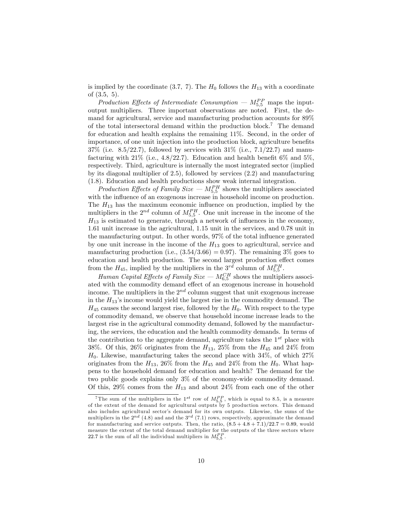is implied by the coordinate (3.7, 7). The  $H_0$  follows the  $H_{13}$  with a coordinate of  $(3.5, 5)$ .

Production Effects of Intermediate Consumption  $-M_{5,5}^{PP}$  maps the inputoutput multipliers. Three important observations are noted. First, the demand for agricultural, service and manufacturing production accounts for 89% of the total intersectoral demand within the production block.<sup>7</sup> The demand for education and health explains the remaining 11%. Second, in the order of importance, of one unit injection into the production block, agriculture benefits  $37\%$  (i.e.  $8.5/22.7$ ), followed by services with  $31\%$  (i.e.,  $7.1/22.7$ ) and manufacturing with  $21\%$  (i.e.,  $4.8/22.7$ ). Education and health benefit 6\% and 5\%, respectively. Third, agriculture is internally the most integrated sector (implied by its diagonal multiplier of 2.5), followed by services (2.2) and manufacturing (1.8). Education and health productions show weak internal integration.

Production Effects of Family Size  $-M_{5,5}^{PH}$  shows the multipliers associated with the influence of an exogenous increase in household income on production. The  $H_{13}$  has the maximum economic influence on production, implied by the multipliers in the  $2^{nd}$  column of  $M_{5,5}^{PH}$ . One unit increase in the income of the  $H_{13}$  is estimated to generate, through a network of influences in the economy, 1.61 unit increase in the agricultural, 1.15 unit in the services, and 0.78 unit in the manufacturing output. In other words,  $97\%$  of the total influence generated by one unit increase in the income of the  $H_{13}$  goes to agricultural, service and manufacturing production (i.e.,  $(3.54/3.66) = 0.97$ ). The remaining 3% goes to education and health production. The second largest production effect comes from the  $H_{45}$ , implied by the multipliers in the  $3^{rd}$  column of  $M_{5,5}^{PH}$ .

Human Capital Effects of Family Size  $-M_{6,5}^{CH}$  shows the multipliers associated with the commodity demand effect of an exogenous increase in household income. The multipliers in the  $2^{nd}$  column suggest that unit exogenous increase in the  $H_{13}$ 's income would yield the largest rise in the commodity demand. The  $H_{45}$  causes the second largest rise, followed by the  $H_0$ . With respect to the type of commodity demand, we observe that household income increase leads to the largest rise in the agricultural commodity demand, followed by the manufacturing, the services, the education and the health commodity demands. In terms of the contribution to the aggregate demand, agriculture takes the  $1^{st}$  place with 38%. Of this, 26% originates from the  $H_{13}$ , 25% from the  $H_{45}$  and 24% from  $H_0$ . Likewise, manufacturing takes the second place with 34%, of which  $27\%$ originates from the  $H_{13}$ , 26% from the  $H_{45}$  and 24% from the  $H_0$ . What happens to the household demand for education and health? The demand for the two public goods explains only 3% of the economy-wide commodity demand. Of this, 29% comes from the  $H_{13}$  and about 24% from each one of the other

<sup>&</sup>lt;sup>7</sup>The sum of the multipliers in the 1<sup>st</sup> row of  $M_{5,5}^{PP}$ , which is equal to 8.5, is a measure of the extent of the demand for agricultural outputs by 5 production sectors. This demand also includes agricultural sector's demand for its own outputs. Likewise, the sums of the multipliers in the  $2^{nd}$  (4.8) and and the  $3^{rd}$  (7.1) rows, respectively, approximate the demand for manufacturing and service outputs. Then, the ratio,  $(8.5 + 4.8 + 7.1)/22.7 = 0.89$ , would measure the extent of the total demand multiplier for the outputs of the three sectors where 22.7 is the sum of all the individual multipliers in  $M_{5,5}^{PP}$ .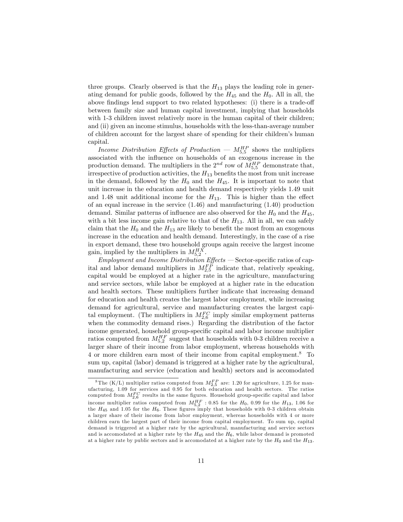three groups. Clearly observed is that the  $H_{13}$  plays the leading role in generating demand for public goods, followed by the  $H_{45}$  and the  $H_0$ . All in all, the above findings lend support to two related hypotheses: (i) there is a trade-off between family size and human capital investment, implying that households with 1-3 children invest relatively more in the human capital of their children; and (ii) given an income stimulus, households with the less-than-average number of children account for the largest share of spending for their children's human capital.

Income Distribution Effects of Production –  $M_{5,5}^{HP}$  shows the multipliers associated with the influence on households of an exogenous increase in the production demand. The multipliers in the  $2^{nd}$  row of  $M_{5,5}^{HP}$  demonstrate that, irrespective of production activities, the  $H_{13}$  benefits the most from unit increase in the demand, followed by the  $H_0$  and the  $H_{45}$ . It is important to note that unit increase in the education and health demand respectively yields 1.49 unit and 1.48 unit additional income for the  $H_{13}$ . This is higher than the effect of an equal increase in the service  $(1.46)$  and manufacturing  $(1.40)$  production demand. Similar patterns of influence are also observed for the  $H_0$  and the  $H_{45}$ ; with a bit less income gain relative to that of the  $H_{13}$ . All in all, we can safely claim that the  $H_0$  and the  $H_{13}$  are likely to benefit the most from an exogenous increase in the education and health demand. Interestingly, in the case of a rise in export demand, these two household groups again receive the largest income gain, implied by the multipliers in  $M_{5,2}^{HX}$ .

 $Emplogment$  and Income Distribution  $Effects$   $-$  Sector-specific ratios of capital and labor demand multipliers in  $M_{2,5}^{FP}$  indicate that, relatively speaking, capital would be employed at a higher rate in the agriculture, manufacturing and service sectors, while labor be employed at a higher rate in the education and health sectors. These multipliers further indicate that increasing demand for education and health creates the largest labor employment, while increasing demand for agricultural, service and manufacturing creates the largest capital employment. (The multipliers in  $M_{2,6}^{FC}$  imply similar employment patterns when the commodity demand rises.) Regarding the distribution of the factor income generated, household group-specific capital and labor income multiplier ratios computed from  $M_{5,2}^{HF}$  suggest that households with 0-3 children receive a larger share of their income from labor employment, whereas households with 4 or more children earn most of their income from capital employment.<sup>8</sup> To sum up, capital (labor) demand is triggered at a higher rate by the agricultural, manufacturing and service (education and health) sectors and is accomodated

 ${}^{8}$ The (K/L) multiplier ratios computed from  $M_{2,5}^{FP}$  are: 1.20 for agriculture, 1.25 for manufacturing, 1.09 for services and 0.95 for both education and health sectors. The ratios computed from  $M_{2,6}^{FC}$  results in the same figures. Household group-specific capital and labor income multiplier ratios computed from  $M_{5,2}^{HF}$  : 0.85 for the  $H_0$ , 0.99 for the  $H_{13}$ , 1.06 for the  $H_{45}$  and 1.05 for the  $H_6$ . These figures imply that households with 0-3 children obtain a larger share of their income from labor employment, whereas households with 4 or more children earn the largest part of their income from capital employment. To sum up, capital demand is triggered at a higher rate by the agricultural, manufacturing and service sectors and is accomodated at a higher rate by the  $H_{45}$  and the  $H_6$ , while labor demand is promoted at a higher rate by public sectors and is accomodated at a higher rate by the  $H_0$  and the  $H_{13}$ .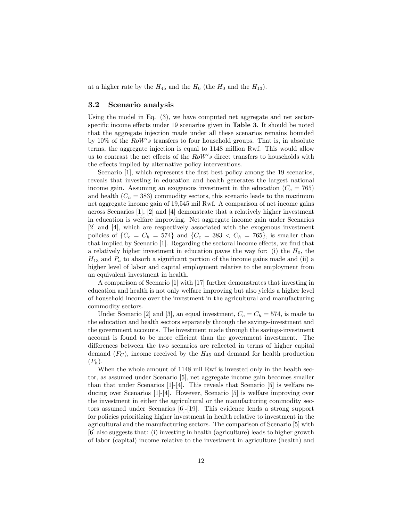at a higher rate by the  $H_{45}$  and the  $H_6$  (the  $H_0$  and the  $H_{13}$ ).

#### 3.2 Scenario analysis

Using the model in Eq. (3), we have computed net aggregate and net sectorspecific income effects under 19 scenarios given in **Table 3**. It should be noted that the aggregate injection made under all these scenarios remains bounded by 10% of the  $RoW's$  transfers to four household groups. That is, in absolute terms, the aggregate injection is equal to 1148 million Rwf. This would allow us to contrast the net effects of the  $RoW's$  direct transfers to households with the effects implied by alternative policy interventions.

Scenario [1], which represents the first best policy among the 19 scenarios, reveals that investing in education and health generates the largest national income gain. Assuming an exogenous investment in the education  $(C_e = 765)$ and health  $(C_h = 383)$  commodity sectors, this scenario leads to the maximum net aggregate income gain of 19,545 mil Rwf. A comparison of net income gains across Scenarios [1], [2] and [4] demonstrate that a relatively higher investment in education is welfare improving. Net aggregate income gain under Scenarios [2] and [4], which are respectively associated with the exogenous investment policies of  $\{C_e = C_h = 574\}$  and  $\{C_e = 383 \lt C_h = 765\}$ , is smaller than that implied by Scenario [1]. Regarding the sectoral income effects, we find that a relatively higher investment in education paves the way for: (i) the  $H_0$ , the  $H_{13}$  and  $P_a$  to absorb a significant portion of the income gains made and (ii) a higher level of labor and capital employment relative to the employment from an equivalent investment in health.

A comparison of Scenario [1] with [17] further demonstrates that investing in education and health is not only welfare improving but also yields a higher level of household income over the investment in the agricultural and manufacturing commodity sectors.

Under Scenario [2] and [3], an equal investment,  $C_e = C_h = 574$ , is made to the education and health sectors separately through the savings-investment and the government accounts. The investment made through the savings-investment account is found to be more efficient than the government investment. The differences between the two scenarios are reflected in terms of higher capital demand  $(F_C)$ , income received by the  $H_{45}$  and demand for health production  $(P_h)$ .

When the whole amount of  $1148$  mil Rwf is invested only in the health sector, as assumed under Scenario [5], net aggregate income gain becomes smaller than that under Scenarios  $[1]-[4]$ . This reveals that Scenario  $[5]$  is welfare reducing over Scenarios [1]-[4]. However, Scenario [5] is welfare improving over the investment in either the agricultural or the manufacturing commodity sectors assumed under Scenarios [6]-[19]. This evidence lends a strong support for policies prioritizing higher investment in health relative to investment in the agricultural and the manufacturing sectors. The comparison of Scenario [5] with [6] also suggests that: (i) investing in health (agriculture) leads to higher growth of labor (capital) income relative to the investment in agriculture (health) and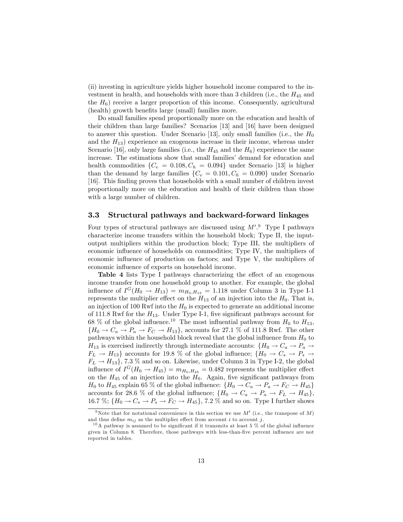(ii) investing in agriculture yields higher household income compared to the investment in health, and households with more than 3 children (i.e., the  $H_{45}$  and the  $H_6$ ) receive a larger proportion of this income. Consequently, agricultural (health) growth benefits large (small) families more.

Do small families spend proportionally more on the education and health of their children than large families? Scenarios [13] and [16] have been designed to answer this question. Under Scenario [13], only small families (i.e., the  $H_0$ and the  $H_{13}$ ) experience an exogenous increase in their income, whereas under Scenario [16], only large families (i.e., the  $H_{45}$  and the  $H_6$ ) experience the same increase. The estimations show that small families' demand for education and health commodities  $\{C_e = 0.108, C_h = 0.094\}$  under Scenario [13] is higher than the demand by large families  $\{C_e = 0.101, C_h = 0.090\}$  under Scenario [16]. This finding proves that households with a small number of children invest proportionally more on the education and health of their children than those with a large number of children.

#### 3.3 Structural pathways and backward-forward linkages

Four types of structural pathways are discussed using  $M'^{9}$ . Type I pathways characterize income transfers within the household block; Type II, the inputoutput multipliers within the production block; Type III, the multipliers of economic influence of households on commodities; Type IV, the multipliers of economic influence of production on factors; and Type V, the multipliers of economic influence of exports on household income.

Table 4 lists Type I pathways characterizing the effect of an exogenous income transfer from one household group to another. For example, the global influence of  $I^G(H_0 \rightarrow H_{13}) = m_{H_0,H_{13}} = 1.118$  under Column 3 in Type I-1 represents the multiplier effect on the  $H_{13}$  of an injection into the  $H_0$ . That is, an injection of 100 Rwf into the  $H_0$  is expected to generate an additional income of 111.8 Rwf for the  $H_{13}$ . Under Type I-1, five significant pathways account for 68 % of the global influence.<sup>10</sup> The most influential pathway from  $H_0$  to  $H_{13}$ ,  ${H_0 \to C_a \to P_a \to F_C \to H_{13}}$ , accounts for 27.1 % of 111.8 Rwf. The other pathways within the household block reveal that the global influence from  $H_0$  to  $H_{13}$  is exercised indirectly through intermediate accounts:  $\{H_0 \to C_a \to P_a \to$  $F_L \rightarrow H_{13}$  accounts for 19.8 % of the global influence;  $\{H_0 \rightarrow C_s \rightarrow P_s \rightarrow$  $F_L \rightarrow H_{13}$ , 7.3 % and so on. Likewise, under Column 3 in Type I-2, the global influence of  $I^G(H_0 \to H_{45}) = m_{H_0,H_{45}} = 0.482$  represents the multiplier effect on the  $H_{45}$  of an injection into the  $H_0$ . Again, five significant pathways from  $H_0$  to  $H_{45}$  explain 65 % of the global influence:  $\{H_0 \to C_a \to P_a \to F_C \to H_{45}\}\$ accounts for 28.6 % of the global influence;  $\{H_0 \to C_a \to P_a \to F_L \to H_{45}\},\$ 16.7 %;  $\{H_0 \to C_s \to P_s \to F_C \to H_{45}\},$  7.2 % and so on. Type I further shows

<sup>&</sup>lt;sup>9</sup>Note that for notational convenience in this section we use  $M'$  (i.e., the transpose of M) and thus define  $m_{ij}$  as the multiplier effect from account i to account j.

 $10$ A pathway is assumed to be significant if it transmits at least 5 % of the global influence given in Column 8. Therefore, those pathways with less-than-Öve percent ináuence are not reported in tables.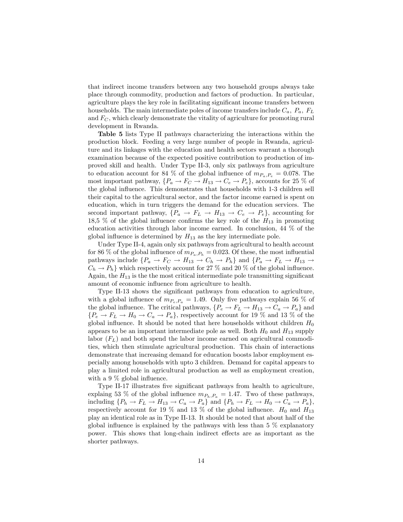that indirect income transfers between any two household groups always take place through commodity, production and factors of production. In particular, agriculture plays the key role in facilitating significant income transfers between households. The main intermediate poles of income transfers include  $C_a$ ,  $P_a$ ,  $F_L$ and  $F_C$ , which clearly demonstrate the vitality of agriculture for promoting rural development in Rwanda.

Table 5 lists Type II pathways characterizing the interactions within the production block. Feeding a very large number of people in Rwanda, agriculture and its linkages with the education and health sectors warrant a thorough examination because of the expected positive contribution to production of improved skill and health. Under Type II-3, only six pathways from agriculture to education account for 84 % of the global influence of  $m_{P_a,P_e} = 0.078$ . The most important pathway,  $\{P_a \to F_C \to H_{13} \to C_e \to P_e\}$ , accounts for 25 % of the global influence. This demonstrates that households with 1-3 children sell their capital to the agricultural sector, and the factor income earned is spent on education, which in turn triggers the demand for the education services. The second important pathway,  $\{P_a \rightarrow F_L \rightarrow H_{13} \rightarrow C_e \rightarrow P_e\}$ , accounting for 18,5 % of the global influence confirms the key role of the  $H_{13}$  in promoting education activities through labor income earned. In conclusion, 44 % of the global influence is determined by  $H_{13}$  as the key intermediate pole.

Under Type II-4, again only six pathways from agricultural to health account for 86 % of the global influence of  $m_{P_a,P_h} = 0.023$ . Of these, the most influential pathways include  $\{P_a \to F_C \to H_{13} \to C_h \to P_h\}$  and  $\{P_a \to F_L \to H_{13} \to$  $C_h \rightarrow P_h$ } which respectively account for 27 % and 20 % of the global influence. Again, the  $H_{13}$  is the the most critical intermediate pole transmitting significant amount of economic influence from agriculture to health.

Type II-13 shows the significant pathways from education to agriculture, with a global influence of  $m_{P_e,P_a} = 1.49$ . Only five pathways explain 56 % of the global influence. The critical pathways,  $\{P_e \to F_L \to H_{13} \to C_a \to P_a\}$  and  $\{P_e \rightarrow F_L \rightarrow H_0 \rightarrow C_a \rightarrow P_a\}$ , respectively account for 19 % and 13 % of the global influence. It should be noted that here households without children  $H_0$ appears to be an important intermediate pole as well. Both  $H_0$  and  $H_{13}$  supply labor  $(F_L)$  and both spend the labor income earned on agricultural commodities, which then stimulate agricultural production. This chain of interactions demonstrate that increasing demand for education boosts labor employment especially among households with upto 3 children. Demand for capital appears to play a limited role in agricultural production as well as employment creation, with a 9  $\%$  global influence.

Type II-17 illustrates five significant pathways from health to agriculture, explaing 53 % of the global influence  $m_{P_h,P_a} = 1.47$ . Two of these pathways, including  $\{P_h \to F_L \to H_{13} \to C_a \to P_a\}$  and  $\{P_h \to F_L \to H_0 \to C_a \to P_a\},$ respectively account for 19 % and 13 % of the global influence.  $H_0$  and  $H_{13}$ play an identical role as in Type II-13. It should be noted that about half of the global influence is explained by the pathways with less than  $5\%$  explanatory power. This shows that long-chain indirect effects are as important as the shorter pathways.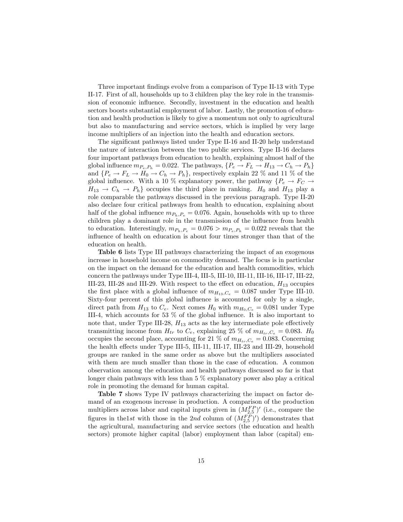Three important findings evolve from a comparison of Type II-13 with Type II-17. First of all, households up to 3 children play the key role in the transmission of economic influence. Secondly, investment in the education and health sectors boosts substantial employment of labor. Lastly, the promotion of education and health production is likely to give a momentum not only to agricultural but also to manufacturing and service sectors, which is implied by very large income multipliers of an injection into the health and education sectors.

The significant pathways listed under Type II-16 and II-20 help understand the nature of interaction between the two public services. Type II-16 declares four important pathways from education to health, explaining almost half of the global influence  $m_{P_e,P_h} = 0.022$ . The pathways,  $\{P_e \to F_L \to H_{13} \to C_h \to P_h\}$ and  $\{P_e \to F_L \to H_0 \to C_h \to P_h\}$ , respectively explain 22 % and 11 % of the global influence. With a 10 % explanatory power, the pathway  $\{P_e \rightarrow F_C \rightarrow$  $H_{13} \to C_h \to P_h$  occupies the third place in ranking.  $H_0$  and  $H_{13}$  play a role comparable the pathways discussed in the previous paragraph. Type II-20 also declare four critical pathways from health to education, explaining about half of the global influence  $m_{P_h,P_e} = 0.076$ . Again, households with up to three children play a dominant role in the transmission of the influence from health to education. Interestingly,  $m_{P_h,P_e} = 0.076 > m_{P_e,P_h} = 0.022$  reveals that the influence of health on education is about four times stronger than that of the education on health.

Table 6 lists Type III pathways characterizing the impact of an exogenous increase in household income on commodity demand. The focus is in particular on the impact on the demand for the education and health commodities, which concern the pathways under Type III-4, III-5, III-10, III-11, III-16, III-17, III-22, III-23, III-28 and III-29. With respect to the effect on education,  $H_{13}$  occupies the first place with a global influence of  $m_{H_{13},C_e} = 0.087$  under Type III-10. Sixty-four percent of this global influence is accounted for only by a single, direct path from  $H_{13}$  to  $C_e$ . Next comes  $H_0$  with  $m_{H_0,C_e} = 0.081$  under Type III-4, which accounts for 53  $\%$  of the global influence. It is also important to note that, under Type III-28,  $H_{13}$  acts as the key intermediate pole effectively transmitting income from  $H_{tr}$  to  $C_e$ , explaining 25 % of  $m_{H_{tr},C_e} = 0.083$ .  $H_0$ occupies the second place, accounting for 21 % of  $m_{H_{tr},C_e} = 0.083$ . Concerning the health effects under Type III-5, III-11, III-17, III-23 and III-29, household groups are ranked in the same order as above but the multipliers associated with them are much smaller than those in the case of education. A common observation among the education and health pathways discussed so far is that longer chain pathways with less than 5 % explanatory power also play a critical role in promoting the demand for human capital.

Table 7 shows Type IV pathways characterizing the impact on factor demand of an exogenous increase in production. A comparison of the production multipliers across labor and capital inputs given in  $(M_{2,5}^{FP})'$  (i.e., compare the figures in the1st with those in the 2nd column of  $(M_{2,5}^{F\hat{P}})'$  demonstrates that the agricultural, manufacturing and service sectors (the education and health sectors) promote higher capital (labor) employment than labor (capital) em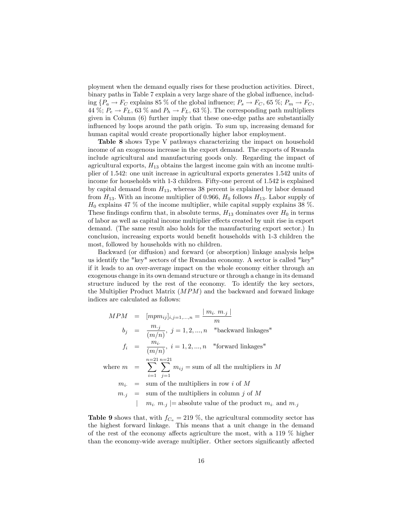ployment when the demand equally rises for these production activities. Direct, binary paths in Table 7 explain a very large share of the global influence, including  $\{P_a \to F_C \text{ explains } 85 \text{ % of the global influence; } P_s \to F_C, 65 \text{ %; } P_m \to F_C,$ 44 %;  $P_e \rightarrow F_L$ , 63 % and  $P_h \rightarrow F_L$ , 63 %}. The corresponding path multipliers given in Column (6) further imply that these one-edge paths are substantially influenced by loops around the path origin. To sum up, increasing demand for human capital would create proportionally higher labor employment.

Table 8 shows Type V pathways characterizing the impact on household income of an exogenous increase in the export demand. The exports of Rwanda include agricultural and manufacturing goods only. Regarding the impact of agricultural exports,  $H_{13}$  obtains the largest income gain with an income multiplier of 1.542: one unit increase in agricultural exports generates 1.542 units of income for households with 1-3 children. Fifty-one percent of 1.542 is explained by capital demand from  $H_{13}$ , whereas 38 percent is explained by labor demand from  $H_{13}$ . With an income multiplier of 0.966,  $H_0$  follows  $H_{13}$ . Labor supply of  $H_0$  explains 47 % of the income multiplier, while capital supply explains 38 %. These findings confirm that, in absolute terms,  $H_{13}$  dominates over  $H_0$  in terms of labor as well as capital income multiplier effects created by unit rise in export demand. (The same result also holds for the manufacturing export sector.) In conclusion, increasing exports would benefit households with 1-3 children the most, followed by households with no children.

Backward (or diffusion) and forward (or absorption) linkage analysis helps us identify the "key" sectors of the Rwandan economy. A sector is called "key" if it leads to an over-average impact on the whole economy either through an exogenous change in its own demand structure or through a change in its demand structure induced by the rest of the economy. To identify the key sectors, the Multiplier Product Matrix (MPM) and the backward and forward linkage indices are calculated as follows:

$$
MPM = [mpm_{ij}]_{i,j=1,...,n} = \frac{|m_i \cdot m_{.j}|}{m}
$$
\n
$$
b_j = \frac{m_{.j}}{(m/n)}, j = 1, 2, ..., n \quad \text{"backward linkages"}
$$
\n
$$
f_i = \frac{m_i}{(m/n)}, i = 1, 2, ..., n \quad \text{"forward linkages"}
$$
\n
$$
n=21 \, n=21
$$
\n
$$
n=21 \, n=21
$$
\n
$$
m_i = \sum_{i=1}^{n=21} \sum_{j=1}^{n} m_{ij} = \text{sum of all the multipliers in } M
$$
\n
$$
m_{.j} = \text{sum of the multipliers in column } j \text{ of } M
$$
\n
$$
m_{.j} = \text{sum of the multipliers in column } j \text{ of } M
$$
\n
$$
m_{i.} \, m_{.j} \mid = \text{absolute value of the product } m_{i.} \text{ and } m_{.j}
$$

**Table 9** shows that, with  $f_{C_a} = 219$  %, the agricultural commodity sector has the highest forward linkage. This means that a unit change in the demand of the rest of the economy affects agriculture the most, with a 119  $\%$  higher than the economy-wide average multiplier. Other sectors significantly affected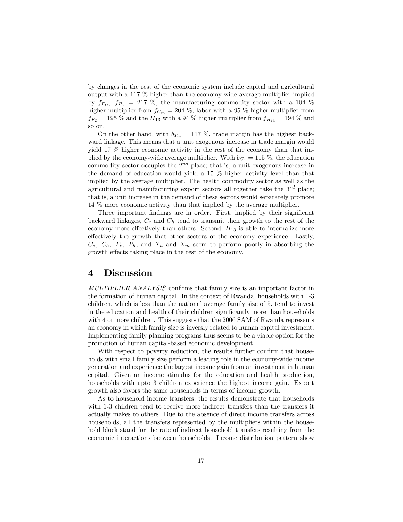by changes in the rest of the economic system include capital and agricultural output with a 117 % higher than the economy-wide average multiplier implied by  $f_{F_C}$ ,  $f_{P_a}$  = 217 %, the manufacturing commodity sector with a 104 % higher multiplier from  $f_{C_m} = 204$  %, labor with a 95 % higher multiplier from  $f_{F_L} = 195\%$  and the  $H_{13}$  with a 94 % higher multiplier from  $f_{H_{13}} = 194\%$  and so on.

On the other hand, with  $b_{T_m} = 117$  %, trade margin has the highest backward linkage. This means that a unit exogenous increase in trade margin would yield 17 % higher economic activity in the rest of the economy than that implied by the economy-wide average multiplier. With  $b_{C_e} = 115\%$ , the education commodity sector occupies the  $2^{nd}$  place; that is, a unit exogenous increase in the demand of education would yield a 15 % higher activity level than that implied by the average multiplier. The health commodity sector as well as the agricultural and manufacturing export sectors all together take the  $3^{rd}$  place; that is, a unit increase in the demand of these sectors would separately promote 14 % more economic activity than that implied by the average multiplier.

Three important findings are in order. First, implied by their significant backward linkages,  $C_e$  and  $C_h$  tend to transmit their growth to the rest of the economy more effectively than others. Second,  $H_{13}$  is able to internalize more effectively the growth that other sectors of the economy experience. Lastly,  $C_e$ ,  $C_h$ ,  $P_e$ ,  $P_h$ , and  $X_a$  and  $X_m$  seem to perform poorly in absorbing the growth effects taking place in the rest of the economy.

## 4 Discussion

MULTIPLIER ANALYSIS confirms that family size is an important factor in the formation of human capital. In the context of Rwanda, households with 1-3 children, which is less than the national average family size of 5, tend to invest in the education and health of their children significantly more than households with 4 or more children. This suggests that the 2006 SAM of Rwanda represents an economy in which family size is inversly related to human capital investment. Implementing family planning programs thus seems to be a viable option for the promotion of human capital-based economic development.

With respect to poverty reduction, the results further confirm that households with small family size perform a leading role in the economy-wide income generation and experience the largest income gain from an investment in human capital. Given an income stimulus for the education and health production, households with upto 3 children experience the highest income gain. Export growth also favors the same households in terms of income growth.

As to household income transfers, the results demonstrate that households with 1-3 children tend to receive more indirect transfers than the transfers it actually makes to others. Due to the absence of direct income transfers across households, all the transfers represented by the multipliers within the household block stand for the rate of indirect household transfers resulting from the economic interactions between households. Income distribution pattern show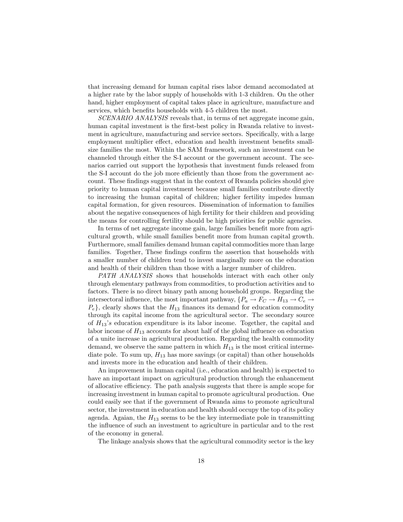that increasing demand for human capital rises labor demand accomodated at a higher rate by the labor supply of households with 1-3 children. On the other hand, higher employment of capital takes place in agriculture, manufacture and services, which benefits households with 4-5 children the most.

SCENARIO ANALYSIS reveals that, in terms of net aggregate income gain, human capital investment is the first-best policy in Rwanda relative to investment in agriculture, manufacturing and service sectors. Specifically, with a large employment multiplier effect, education and health investment benefits smallsize families the most. Within the SAM framework, such an investment can be channeled through either the S-I account or the government account. The scenarios carried out support the hypothesis that investment funds released from the S-I account do the job more efficiently than those from the government account. These findings suggest that in the context of Rwanda policies should give priority to human capital investment because small families contribute directly to increasing the human capital of children; higher fertility impedes human capital formation, for given resources. Dissemination of information to families about the negative consequences of high fertility for their children and providing the means for controlling fertility should be high priorities for public agencies.

In terms of net aggregate income gain, large families benefit more from agricultural growth, while small families benefit more from human capital growth. Furthermore, small families demand human capital commodities more than large families. Together, These findings confirm the assertion that households with a smaller number of children tend to invest marginally more on the education and health of their children than those with a larger number of children.

PATH ANALYSIS shows that households interact with each other only through elementary pathways from commodities, to production activities and to factors. There is no direct binary path among household groups. Regarding the intersectoral influence, the most important pathway,  $\{P_a \to F_C \to H_{13} \to C_e \to$  $P_e$ , clearly shows that the  $H_{13}$  finances its demand for education commodity through its capital income from the agricultural sector. The secondary source of  $H_{13}$ 's education expenditure is its labor income. Together, the capital and labor income of  $H_{13}$  accounts for about half of the global influence on education of a unite increase in agricultural production. Regarding the health commodity demand, we observe the same pattern in which  $H_{13}$  is the most critical intermediate pole. To sum up,  $H_{13}$  has more savings (or capital) than other households and invests more in the education and health of their children.

An improvement in human capital (i.e., education and health) is expected to have an important impact on agricultural production through the enhancement of allocative efficiency. The path analysis suggests that there is ample scope for increasing investment in human capital to promote agricultural production. One could easily see that if the government of Rwanda aims to promote agricultural sector, the investment in education and health should occupy the top of its policy agenda. Agaian, the  $H_{13}$  seems to be the key intermediate pole in transmitting the influence of such an investment to agriculture in particular and to the rest of the economy in general.

The linkage analysis shows that the agricultural commodity sector is the key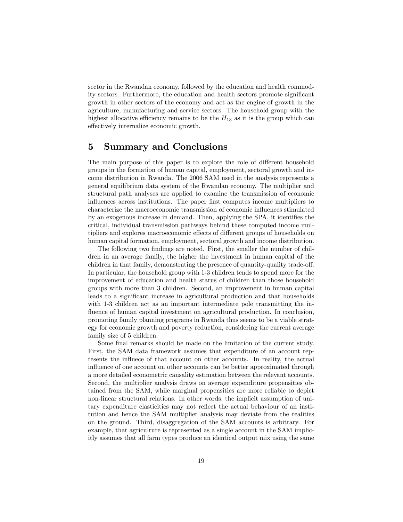sector in the Rwandan economy, followed by the education and health commodity sectors. Furthermore, the education and health sectors promote significant growth in other sectors of the economy and act as the engine of growth in the agriculture, manufacturing and service sectors. The household group with the highest allocative efficiency remains to be the  $H_{13}$  as it is the group which can effectively internalize economic growth.

## 5 Summary and Conclusions

The main purpose of this paper is to explore the role of different household groups in the formation of human capital, employment, sectoral growth and income distribution in Rwanda. The 2006 SAM used in the analysis represents a general equilibrium data system of the Rwandan economy. The multiplier and structural path analyses are applied to examine the transmission of economic influences across institutions. The paper first computes income multipliers to characterize the macroeconomic transmission of economic influences stimulated by an exogenous increase in demand. Then, applying the SPA, it identifies the critical, individual transmission pathways behind these computed income multipliers and explores macroeconomic effects of different groups of households on human capital formation, employment, sectoral growth and income distribution.

The following two findings are noted. First, the smaller the number of children in an average family, the higher the investment in human capital of the children in that family, demonstrating the presence of quantity-quality trade-off. In particular, the household group with 1-3 children tends to spend more for the improvement of education and health status of children than those household groups with more than 3 children. Second, an improvement in human capital leads to a significant increase in agricultural production and that households with 1-3 children act as an important intermediate pole transmitting the influence of human capital investment on agricultural production. In conclusion, promoting family planning programs in Rwanda thus seems to be a viable strategy for economic growth and poverty reduction, considering the current average family size of 5 children.

Some final remarks should be made on the limitation of the current study. First, the SAM data framework assumes that expenditure of an account represents the influece of that account on other accounts. In reality, the actual influence of one account on other accounts can be better approximated through a more detailed econometric causality estimation between the relevant accounts. Second, the multiplier analysis draws on average expenditure propensities obtained from the SAM, while marginal propensities are more reliable to depict non-linear structural relations. In other words, the implicit assumption of unitary expenditure elasticities may not reflect the actual behaviour of an institution and hence the SAM multiplier analysis may deviate from the realities on the ground. Third, disaggregation of the SAM accounts is arbitrary. For example, that agriculture is represented as a single account in the SAM implicitly assumes that all farm types produce an identical output mix using the same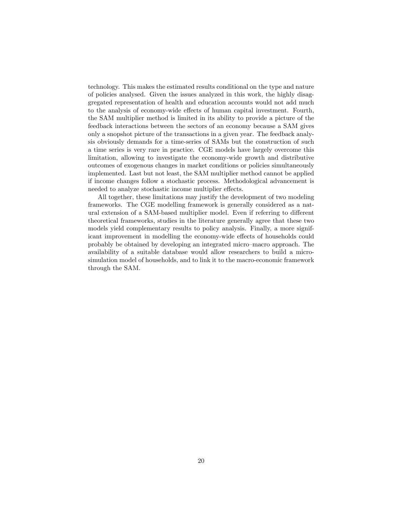technology. This makes the estimated results conditional on the type and nature of policies analysed. Given the issues analyzed in this work, the highly disaggregated representation of health and education accounts would not add much to the analysis of economy-wide effects of human capital investment. Fourth, the SAM multiplier method is limited in its ability to provide a picture of the feedback interactions between the sectors of an economy because a SAM gives only a snopshot picture of the transactions in a given year. The feedback analysis obviously demands for a time-series of SAMs but the construction of such a time series is very rare in practice. CGE models have largely overcome this limitation, allowing to investigate the economy-wide growth and distributive outcomes of exogenous changes in market conditions or policies simultaneously implemented. Last but not least, the SAM multiplier method cannot be applied if income changes follow a stochastic process. Methodological advancement is needed to analyze stochastic income multiplier effects.

All together, these limitations may justify the development of two modeling frameworks. The CGE modelling framework is generally considered as a natural extension of a SAM-based multiplier model. Even if referring to different theoretical frameworks, studies in the literature generally agree that these two models yield complementary results to policy analysis. Finally, a more significant improvement in modelling the economy-wide effects of households could probably be obtained by developing an integrated micro-macro approach. The availability of a suitable database would allow researchers to build a microsimulation model of households, and to link it to the macro-economic framework through the SAM.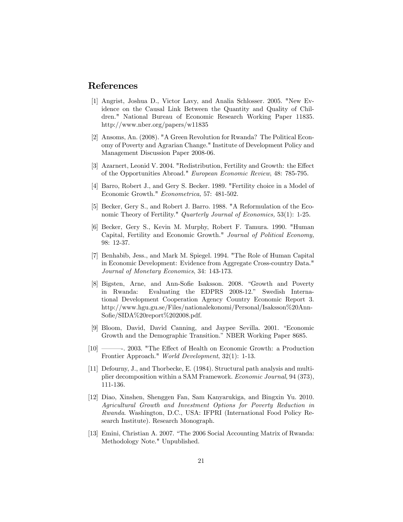## References

- [1] Angrist, Joshua D., Victor Lavy, and Analia Schlosser. 2005. "New Evidence on the Causal Link Between the Quantity and Quality of Children." National Bureau of Economic Research Working Paper 11835. http://www.nber.org/papers/w11835
- [2] Ansoms, An. (2008). "A Green Revolution for Rwanda? The Political Economy of Poverty and Agrarian Change." Institute of Development Policy and Management Discussion Paper 2008-06.
- [3] Azarnert, Leonid V. 2004. "Redistribution, Fertility and Growth: the Effect of the Opportunities Abroad." European Economic Review, 48: 785-795.
- [4] Barro, Robert J., and Gery S. Becker. 1989. "Fertility choice in a Model of Economic Growth." Econometrica, 57: 481-502.
- [5] Becker, Gery S., and Robert J. Barro. 1988. "A Reformulation of the Economic Theory of Fertility." Quarterly Journal of Economics, 53(1): 1-25.
- [6] Becker, Gery S., Kevin M. Murphy, Robert F. Tamura. 1990. "Human Capital, Fertility and Economic Growth." Journal of Political Economy, 98: 12-37.
- [7] Benhabib, Jess., and Mark M. Spiegel. 1994. "The Role of Human Capital in Economic Development: Evidence from Aggregate Cross-country Data." Journal of Monetary Economics, 34: 143-173.
- [8] Bigsten, Arne, and Ann-Sofie Isaksson. 2008. "Growth and Poverty in Rwanda: Evaluating the EDPRS 2008-12." Swedish International Development Cooperation Agency Country Economic Report 3. http://www.hgu.gu.se/Files/nationalekonomi/Personal/Isaksson%20Ann-Sofie/SIDA%20report%202008.pdf.
- [9] Bloom, David, David Canning, and Jaypee Sevilla. 2001. "Economic Growth and the Demographic Transition." NBER Working Paper 8685.
- [10] <sup>10</sup> 2003. "The Effect of Health on Economic Growth: a Production Frontier Approach." World Development, 32(1): 1-13.
- [11] Defourny, J., and Thorbecke, E. (1984). Structural path analysis and multiplier decomposition within a SAM Framework. Economic Journal, 94 (373), 111-136.
- [12] Diao, Xinshen, Shenggen Fan, Sam Kanyarukiga, and Bingxin Yu. 2010. Agricultural Growth and Investment Options for Poverty Reduction in Rwanda. Washington, D.C., USA: IFPRI (International Food Policy Research Institute). Research Monograph.
- $[13]$  Emini, Christian A. 2007. "The 2006 Social Accounting Matrix of Rwanda: Methodology Note." Unpublished.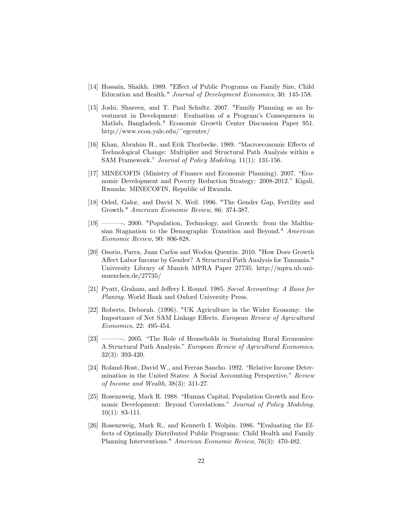- [14] Hossain, Shaikh. 1989. "Effect of Public Programs on Family Size, Child Education and Health." Journal of Development Economics, 30: 145-158.
- [15] Joshi, Shareen, and T. Paul Schultz. 2007. "Family Planning as an Investment in Development: Evaluation of a Program's Consequences in Matlab, Bangladesh." Economic Growth Center Discussion Paper 951. http://www.econ.yale.edu/~egcenter/
- [16] Khan, Abrahim H., and Erik Thorbecke. 1989. "Macroeconomic Effects of Technological Change: Multiplier and Structural Path Analysis within a SAM Framework." Journal of Policy Modeling, 11(1): 131-156.
- [17] MINECOFIN (Ministry of Finance and Economic Planning). 2007. "Economic Development and Poverty Reduction Strategy: 2008-2012." Kigali, Rwanda: MINECOFIN, Republic of Rwanda.
- [18] Oded, Galor, and David N. Weil. 1996. "The Gender Gap, Fertility and Growth." American Economic Review, 86: 374-387.
- [19] <sup>19</sup> 2000. "Population, Technology, and Growth: from the Malthusian Stagnation to the Demographic Transition and Beyond." American Economic Review, 90: 806-828.
- [20] Osorio, Parra, Juan Carlos and Wodon Quentin. 2010. "How Does Growth Affect Labor Income by Gender? A Structural Path Analysis for Tanzania." University Library of Munich MPRA Paper 27735. http://mpra.ub.unimuenchen.de/27735/
- [21] Pyatt, Graham, and Jeffery I. Round. 1985. Social Accounting: A Basis for Planing. World Bank and Oxford University Press.
- [22] Roberts, Deborah. (1996). "UK Agriculture in the Wider Economy: the Importance of Net SAM Linkage Effects. European Review of Agricultural Economics, 22: 495-454.
- $[23]$   $\longrightarrow$  2005. "The Role of Households in Sustaining Rural Economies: A Structural Path Analysis." European Review of Agricultural Economics, 32(3): 393-420.
- [24] Roland-Host, David W., and Ferran Sancho. 1992. "Relative Income Determination in the United States: A Social Accounting Perspective." Review of Income and Wealth, 38(3): 311-27.
- [25] Rosenzweig, Mark R. 1988. "Human Capital, Population Growth and Economic Development: Beyond Correlations." Journal of Policy Modeling,  $10(1): 83-111.$
- [26] Rosenzweig, Mark R., and Kenneth I. Wolpin. 1986. "Evaluating the Effects of Optimally Distributed Public Programs: Child Health and Family Planning Interventions." American Economic Review, 76(3): 470-482.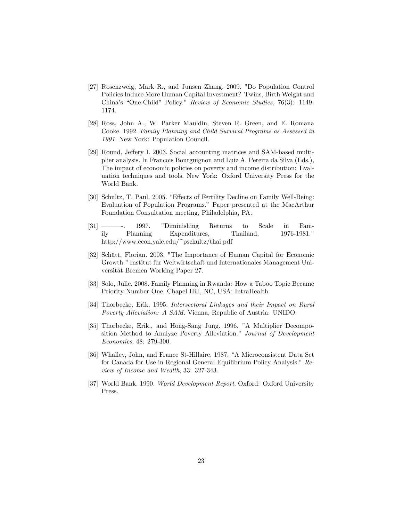- [27] Rosenzweig, Mark R., and Junsen Zhang. 2009. "Do Population Control Policies Induce More Human Capital Investment? Twins, Birth Weight and China's "One-Child" Policy." Review of Economic Studies, 76(3): 1149-1174.
- [28] Ross, John A., W. Parker Mauldin, Steven R. Green, and E. Romana Cooke. 1992. Family Planning and Child Survival Programs as Assessed in 1991. New York: Population Council.
- [29] Round, Jeffery I. 2003. Social accounting matrices and SAM-based multiplier analysis. In Francois Bourguignon and Luiz A. Pereira da Silva (Eds.), The impact of economic policies on poverty and income distribution: Evaluation techniques and tools. New York: Oxford University Press for the World Bank.
- [30] Schultz, T. Paul. 2005. "Effects of Fertility Decline on Family Well-Being: Evaluation of Population Programs.î Paper presented at the MacArthur Foundation Consultation meeting, Philadelphia, PA.
- $[31]$   $\longrightarrow$  1997. "Diminishing Returns to Scale in Family Planning Expenditures, Thailand, 1976-1981." http://www.econ.yale.edu/~pschultz/thai.pdf
- [32] Schütt, Florian. 2003. "The Importance of Human Capital for Economic Growth." Institut für Weltwirtschaft und Internationales Management Universität Bremen Working Paper 27.
- [33] Solo, Julie. 2008. Family Planning in Rwanda: How a Taboo Topic Became Priority Number One. Chapel Hill, NC, USA: IntraHealth.
- [34] Thorbecke, Erik. 1995. Intersectoral Linkages and their Impact on Rural Poverty Alleviation: A SAM. Vienna, Republic of Austria: UNIDO.
- [35] Thorbecke, Erik., and Hong-Sang Jung. 1996. "A Multiplier Decomposition Method to Analyze Poverty Alleviation." Journal of Development Economics, 48: 279-300.
- [36] Whalley, John, and France St-Hillaire. 1987. "A Microconsistent Data Set for Canada for Use in Regional General Equilibrium Policy Analysis." Review of Income and Wealth, 33: 327-343.
- [37] World Bank. 1990. World Development Report. Oxford: Oxford University Press.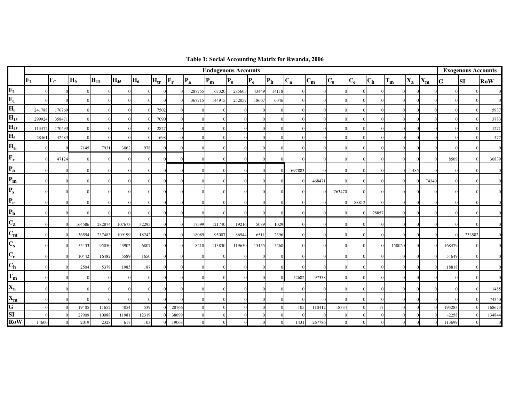|                                          |                         |                           |                |          |          |          |          |                         |              |          | <b>Endogenous Accounts</b> |       |              |          |        |              |            |              |          |         |                           |         | <b>Exogenous Accounts</b> |            |
|------------------------------------------|-------------------------|---------------------------|----------------|----------|----------|----------|----------|-------------------------|--------------|----------|----------------------------|-------|--------------|----------|--------|--------------|------------|--------------|----------|---------|---------------------------|---------|---------------------------|------------|
|                                          | $\mathbf{F}_{\text{L}}$ | $\mathbf{F}_{\mathbf{C}}$ | H <sub>0</sub> | $H_{13}$ | $H_{45}$ | $H_6$    | $H_{tr}$ | $\mathbf{F}_\mathbf{r}$ | $P_{a}$      | $P_m$    | $P_{s}$                    | $P_e$ | $P_h$        | $C_{a}$  | $C_m$  | $C_{s}$      | $C_{e}$    | $C_h$        | $T_m$    | $X_{a}$ | $\mathbf{X}_{\mathbf{m}}$ | G       | <b>SI</b>                 | <b>RoW</b> |
| $\mathbf{F}_{\text{L}}$                  |                         |                           |                |          | $\Omega$ |          |          |                         | 287755       | 67320    | 285603                     | 43449 | 14118        |          |        | $\Omega$     |            |              |          |         |                           |         |                           |            |
| $\overline{\mathbf{F}_C}$                |                         |                           |                |          |          |          |          |                         | 367715       | 144915   | 252057                     | 18607 | 6046         |          |        |              |            |              |          |         |                           |         |                           |            |
| $H_0$                                    | 241788                  | 170769                    |                |          |          | $\Omega$ | 7502     |                         |              |          |                            |       |              |          |        |              |            | $\Omega$     | $\Omega$ |         |                           |         |                           | 5937       |
| $H_{13}$                                 | 299924                  | 35847                     |                |          |          |          | 7090     | $\Omega$                |              |          |                            |       |              |          |        |              |            | $\Omega$     |          |         |                           |         |                           | 3783       |
| $H_{45}$                                 | 113472                  | 170493                    |                |          |          | $\Omega$ | 2827     |                         |              |          |                            |       |              |          |        |              |            |              |          |         |                           |         |                           | 1271       |
| $H_6$                                    | 28461                   | 42483                     |                |          |          | $\Omega$ | 1698     |                         |              |          |                            |       |              |          |        |              |            |              | $\Omega$ |         |                           |         |                           | 477        |
| H <sub>tr</sub>                          |                         |                           | 7145           | 7931     | 3062     | 978      |          |                         |              |          |                            |       |              |          |        | $\Omega$     |            | $\Omega$     | $\Omega$ |         |                           |         |                           |            |
| $F_r$                                    |                         | 47124                     |                |          | $\Omega$ | $\Omega$ |          |                         |              |          |                            |       |              |          |        | $\Omega$     |            | $\Omega$     |          |         |                           | 8569    |                           | 30839      |
| $P_{a}$                                  |                         | ſ                         |                | $\Omega$ | $\Omega$ | $\Omega$ |          |                         |              |          |                            |       |              | 697883   |        | $\Omega$     |            | $\Omega$     | $\Omega$ | 1485    |                           |         |                           |            |
| $P_m$                                    |                         |                           |                |          | $\Omega$ | $\Omega$ |          |                         |              |          |                            |       |              |          | 468471 | $\Omega$     |            | $\Omega$     |          |         | 74340                     |         |                           |            |
| $\left  \mathbf{P}_{\mathrm{s}} \right $ |                         |                           |                |          |          |          |          |                         |              |          |                            |       |              |          |        | 763470       |            |              | $\Omega$ |         |                           |         |                           |            |
| $P_e$                                    |                         |                           |                |          |          |          |          |                         |              |          |                            |       |              |          |        | $\Omega$     | 88812      | $\Omega$     | $\Omega$ |         |                           |         |                           |            |
| P <sub>h</sub>                           |                         |                           |                |          | $\Omega$ | $\Omega$ |          |                         |              |          | $\Omega$                   |       |              |          |        | $\Omega$     |            | 28857        | $\Omega$ |         |                           |         |                           |            |
| $C_{a}$                                  |                         |                           | 164586         | 282874   | 107673   | 32295    |          | $\Omega$                | 17599        | 121740   | 19216                      | 5089  | 1029         |          |        |              |            | $\Omega$     |          |         |                           |         |                           |            |
| $C_m$                                    |                         |                           | 136554         | 237483   | 109199   | 18242    |          | $\Omega$                | 18089        | 95007    | 86944                      | 6511  | 2396         | $\Omega$ |        | $\Omega$     | $^{\circ}$ | $\Omega$     |          |         |                           |         | 233582                    |            |
| $C_{s}$                                  |                         |                           | 55433          | 95050    | 43902    | 6807     |          | $\Omega$                | 8210         | 113830   | 119650                     | 15155 | 5268         |          |        | $\Omega$     | $\Omega$   | $\Omega$     | 150020   |         |                           | 168479  |                           |            |
| $C_{e}$                                  |                         |                           | 10442          | 16482    | 5589     | 1650     |          | $\Omega$                | $\mathbf{0}$ |          |                            |       |              |          |        | $\Omega$     |            | $\Omega$     |          |         |                           | 54649   |                           |            |
| $C_h$                                    |                         |                           | 2504           | 5379     | 1985     | 187      |          |                         |              |          |                            |       |              |          |        |              |            |              |          |         |                           | 18818   |                           |            |
| $T_m$                                    |                         |                           |                |          |          |          |          |                         |              |          |                            |       |              | 52682    | 97338  |              |            |              |          |         |                           |         |                           |            |
| $\mathbf{X}_\mathbf{a}$                  |                         |                           |                |          | $\Omega$ |          |          |                         |              |          |                            |       |              |          |        |              |            |              |          |         |                           |         |                           | 1485       |
| $\mathbf{X}_{\mathbf{m}}$                |                         |                           |                |          | $\Omega$ | $\Omega$ |          |                         |              |          |                            |       |              |          |        |              |            |              |          |         |                           |         |                           | 74340      |
| G                                        |                         |                           | 19405          | 11652    | 4054     | 539      |          | 28766                   |              |          |                            |       |              | 105      | 110412 | 18334        |            | 17           |          |         |                           | 193283  |                           | 168673     |
| SI                                       |                         |                           | 27909          | 10088    | 11981    | 12319    |          | 38699                   |              |          |                            |       |              |          |        |              |            |              |          |         |                           | $-2258$ |                           | 134844     |
| RoW                                      | 14600                   | $\sqrt{ }$                | 2019           | 2328     | 617      | 103      |          | 19068                   | $\mathbf{0}$ | $\Omega$ | $\overline{0}$             |       | $\mathbf{0}$ | 1431     | 267786 | $\mathbf{0}$ | $\Omega$   | $\mathbf{0}$ | $\Omega$ |         |                           | 113699  |                           |            |

**Table 1: Social Accounting Matrix for Rwanda, 2006**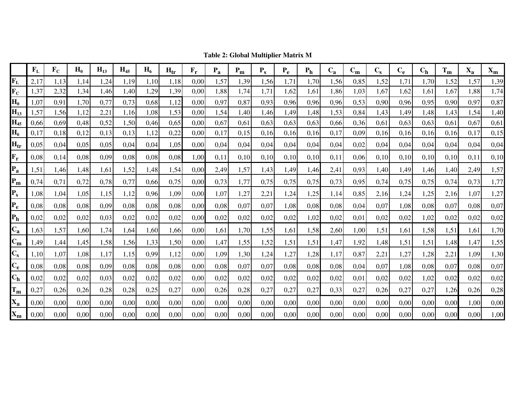|                           | F <sub>L</sub> | $\mathbf{F_C}$ | $H_0$ | $H_{13}$ | $H_{45}$ | $H_6$ | $H_{tr}$ | $F_r$ | $P_{a}$ | $P_m$ | $P_{s}$ | $P_{e}$ | P <sub>h</sub> | $C_{a}$ | $C_m$ | $C_{S}$ | $C_{e}$ | $C_h$ | $T_m$ | $X_{a}$ | $\mathbf{X}_{\mathbf{m}}$ |
|---------------------------|----------------|----------------|-------|----------|----------|-------|----------|-------|---------|-------|---------|---------|----------------|---------|-------|---------|---------|-------|-------|---------|---------------------------|
| $\mathbf{F}_{\mathbf{L}}$ | 2,17           | 1,13           | 1.14  | 1,24     | 1,19     | 1,10  | 1,18     | 0,00  | 1,57    | 1,39  | 1,56    | 1,71    | 1,70           | 1,56    | 0,85  | 1,52    | 1,71    | 1,70  | 1,52  | 1,57    | 1,39                      |
| $\mathbf{F_C}$            | 1,37           | 2,32           | 1,34  | 1,46     | 1,40     | 1,29  | 1,39     | 0,00  | 1,88    | 1,74  | 1,71    | 1,62    | 1,61           | 1,86    | 1,03  | 1,67    | 1,62    | 1,61  | 1,67  | 1,88    | 1,74                      |
| $H_0$                     | 1,07           | 0.91           | 1,70  | 0,77     | 0,73     | 0.68  | 1,12     | 0.00  | 0,97    | 0,87  | 0.93    | 0.96    | 0.96           | 0.96    | 0.53  | 0,90    | 0.96    | 0.95  | 0,90  | 0,97    | 0,87                      |
| $H_{13}$                  | 1,57           | 1,56           | 1,12  | 2,21     | 1,16     | 1,08  | 1,53     | 0,00  | 1,54    | 1,40  | 1,46    | 1,49    | 1,48           | 1,53    | 0,84  | 1,43    | 1,49    | 1,48  | 1,43  | 1,54    | 1,40                      |
| $H_{45}$                  | 0,66           | 0.69           | 0,48  | 0,52     | 1,50     | 0,46  | 0.65     | 0.00  | 0,67    | 0,61  | 0.63    | 0,63    | 0.63           | 0,66    | 0,36  | 0.61    | 0.63    | 0.63  | 0,61  | 0,67    | 0,61                      |
| $H_6$                     | 0,17           | 0,18           | 0,12  | 0.13     | 0.13     | 1,12  | 0,22     | 0.00  | 0,17    | 0.15  | 0.16    | 0.16    | 0.16           | 0.17    | 0.09  | 0.16    | 0.16    | 0.16  | 0.16  | 0,17    | 0,15                      |
| $H_{tr}$                  | 0,05           | 0,04           | 0,05  | 0,05     | 0,04     | 0,04  | 1.05     | 0,00  | 0,04    | 0,04  | 0.04    | 0,04    | 0,04           | 0,04    | 0,02  | 0,04    | 0,04    | 0,04  | 0,04  | 0,04    | 0,04                      |
| $\mathbf{F}_{\mathbf{r}}$ | 0,08           | 0,14           | 0.08  | 0,09     | 0,08     | 0,08  | 0,08     | 1.00  | 0.11    | 0,10  | 0,10    | 0,10    | 0.10           | 0.11    | 0.06  | 0,10    | 0.10    | 0,10  | 0,10  | 0,11    | 0,10                      |
| $P_{a}$                   | 1,51           | 1,46           | 1,48  | 1,61     | 1,52     | 1,48  | 1,54     | 0,00  | 2,49    | 1,57  | 1,43    | 1,49    | 1,46           | 2,41    | 0,93  | 1,40    | 1,49    | 1,46  | 1,40  | 2,49    | 1,57                      |
| $P_m$                     | 0,74           | 0,71           | 0,72  | 0,78     | 0,77     | 0,66  | 0.75     | 0,00  | 0,73    | 1,77  | 0.75    | 0,75    | 0.75           | 0.73    | 0.95  | 0,74    | 0,75    | 0.75  | 0,74  | 0,73    | 1,77                      |
| $P_{s}$                   | 1.08           | 1.04           | 1.05  | 1.15     | 1.12     | 0.96  | 1,09     | 0.00  | 1,07    | 1,27  | 2,21    | 1,24    | 1,25           | 1.14    | 0.85  | 2,16    | 1.24    | 1,25  | 2,16  | 1,07    | 1,27                      |
| $P_{e}$                   | 0,08           | 0,08           | 0.08  | 0,09     | 0,08     | 0,08  | 0.08     | 0,00  | 0,08    | 0,07  | 0,07    | 1,08    | 0,08           | 0,08    | 0,04  | 0,07    | 1,08    | 0,08  | 0,07  | 0,08    | 0,07                      |
| P <sub>h</sub>            | 0,02           | 0,02           | 0.02  | 0,03     | 0,02     | 0,02  | 0,02     | 0,00  | 0,02    | 0,02  | 0,02    | 0,02    | 1,02           | 0,02    | 0,01  | 0,02    | 0,02    | 1,02  | 0,02  | 0,02    | 0,02                      |
| $C_{a}$                   | 1,63           | 1,57           | 1,60  | 1,74     | 1,64     | 1,60  | 1,66     | 0,00  | 1,61    | 1,70  | 1,55    | 1,61    | 1,58           | 2,60    | 1,00  | 1,51    | 1,61    | 1,58  | 1,51  | 1,61    | 1,70                      |
| $C_m$                     | l.49           | 1.44           | 1,45  | 1,58     | 1,56     | 1,33  | 1,50     | 0.00  | 1,47    | 1,55  | 1,52    | 1,51    | 1,51           | 1,47    | 1,92  | 1,48    | 1,51    | 1,51  | 1,48  | 1,47    | 1,55                      |
| $C_{\rm s}$               | 1,10           | 1,07           | 1,08  | 1,17     | 1,15     | 0,99  | 1,12     | 0,00  | 1,09    | 1,30  | 1,24    | 1,27    | 1,28           | 1,17    | 0,87  | 2,21    | 1,27    | 1,28  | 2,21  | 1,09    | 1,30                      |
| $C_{e}$                   | 0,08           | 0,08           | 0.08  | 0.09     | 0.08     | 0,08  | 0,08     | 0.00  | 0.08    | 0,07  | 0,07    | 0,08    | 0.08           | 0.08    | 0.04  | 0,07    | 1,08    | 0,08  | 0,07  | 0.08    | 0,07                      |
| $C_h$                     | 0,02           | 0,02           | 0.02  | 0,03     | 0,02     | 0,02  | 0,02     | 0,00  | 0,02    | 0,02  | 0,02    | 0,02    | 0,02           | 0,02    | 0,01  | 0,02    | 0,02    | 1,02  | 0,02  | 0,02    | 0,02                      |
| $T_m$                     | 0,27           | 0,26           | 0,26  | 0,28     | 0,28     | 0,25  | 0,27     | 0,00  | 0,26    | 0,28  | 0,27    | 0,27    | 0,27           | 0,33    | 0,27  | 0,26    | 0,27    | 0,27  | 1,26  | 0,26    | 0,28                      |
| $X_{a}$                   | 0,00           | 0,00           | 0,00  | 0,00     | 0,00     | 0,00  | 0,00     | 0,00  | 0,00    | 0,00  | 0,00    | 0,00    | 0,00           | 0,00    | 0,00  | 0,00    | 0,00    | 0,00  | 0,00  | 1,00    | 0,00                      |
| $X_{m}$                   | 0,00           | 0.00           | 0,00  | 0,00     | 0.00     | 0.00  | 0.00     | 0.00  | 0,00    | 0,00  | 0,00    | 0,00    | 0.00           | 0.00    | 0.00  | 0,00    | 0,00    | 0,00  | 0,00  | 0,00    | 1,00                      |

**Table 2: Global Multiplier Matrix M**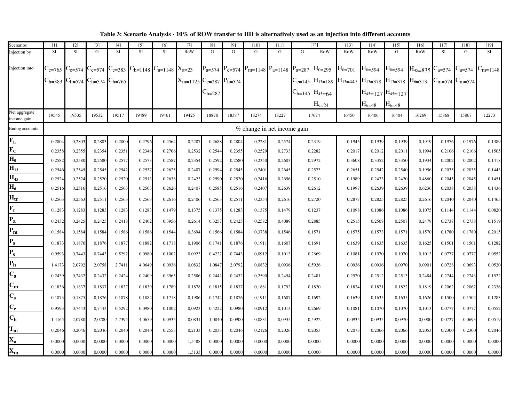| Scenarios                    | [1]                  | $[2]$     | $\lceil 3 \rceil$                   | [4]       | [5]                                                           | [6]       | $[7]$      | [8]                                  | [9]         | [10]                        | [11]          | $[12]$                                                                                                         | $[13]$      | [14]        | $[15]$                 | [16]                     | $[17]$    | [18]                    | [19]         |
|------------------------------|----------------------|-----------|-------------------------------------|-----------|---------------------------------------------------------------|-----------|------------|--------------------------------------|-------------|-----------------------------|---------------|----------------------------------------------------------------------------------------------------------------|-------------|-------------|------------------------|--------------------------|-----------|-------------------------|--------------|
| Injection by                 | <b>SI</b>            | <b>SI</b> | $\mathbf G$                         | <b>SI</b> | <b>SI</b>                                                     | <b>SI</b> | RoW        | G                                    | $\mathbf G$ | G                           | $\mathcal{G}$ | G<br><b>RoW</b>                                                                                                | RoW         | RoW         | $\mathbf G$            | RoW                      | <b>SI</b> | G                       | <b>SI</b>    |
| Injection into               | $\mathrm{C_{e=765}}$ |           |                                     |           | $C_{e=574}$ $C_{e=574}$ $C_{e=383}$ $C_{h=1148}$ $C_{a=1148}$ |           | $X_{a=23}$ |                                      |             |                             |               | $P_{a=574}$ $P_{e=574}$ $P_{m=1148}$ $P_{a=1148}$ $P_{a=287}$ $H_{0=295}$                                      | $H_{0=701}$ | $H_{0=594}$ | $H_{0=594}$            | $H_{45=835}$ $C_{a=574}$ |           | $C_{a=574}$             | $C_{m=1148}$ |
|                              | $C_{h=383}$          |           | $C_{h=574}$ $C_{h=574}$ $C_{h=765}$ |           |                                                               |           |            | $X_{m=1125}$ $C_{e=287}$ $P_{h=574}$ |             |                             |               | $C_{e=145}$ H <sub>13=189</sub> H <sub>13=447</sub> H <sub>13=378</sub> H <sub>13=378</sub> H <sub>6=313</sub> |             |             |                        |                          |           | $C_{m=574}$ $C_{m=574}$ |              |
|                              |                      |           |                                     |           |                                                               |           |            | $C_{h=287}$                          |             |                             |               | $C_{h=145}$ H <sub>45=64</sub>                                                                                 |             |             | $H_{45=127}H_{45=127}$ |                          |           |                         |              |
|                              |                      |           |                                     |           |                                                               |           |            |                                      |             |                             |               | $H_{6=24}$                                                                                                     |             | $H_{6=48}$  | $H_{6=48}$             |                          |           |                         |              |
| Net aggregate<br>income gain | 19545                | 19535     | 19532                               | 19517     | 19489                                                         | 19461     | 19425      | 18878                                | 18387       | 18274                       | 18227         | 17674                                                                                                          | 16450       | 16406       | 16404                  | 16269                    | 15868     | 15867                   | 12273        |
| Endog accounts               |                      |           |                                     |           |                                                               |           |            |                                      |             | % change in net income gain |               |                                                                                                                |             |             |                        |                          |           |                         |              |
| $F_L$                        | 0,2804               | 0,2803    | 0,2803                              | 0,280     | 0,2796                                                        | 0,2564    | 0,2287     | 0,2688                               | 0,2804      | 0,2281                      | 0,2574        | 0,2319                                                                                                         | 0,1945      | 0,1939      | 0,1939                 | 0,1919                   | 0,1976    | 0,1976                  | 0,1389       |
| $\overline{\mathbf{F_C}}$    | 0,2358               | 0,2355    | 0,2354                              | 0,2351    | 0,2346                                                        | 0,2706    | 0,2532     | 0,2544                               | 0,2355      | 0,2529                      | 0,2733        | 0,2282                                                                                                         | 0,2017      | 0,2012      | 0,2011                 | 0,1994                   | 0,2106    | 0,2106                  | 0,1505       |
| $\overline{\mathbf{H}_0}$    | 0,2582               | 0,2580    | 0,2580                              | 0,2577    | 0,2573                                                        | 0,2587    | 0,2354     | 0,2592                               | 0,2580      | 0,2350                      | 0,2603        | 0,2972                                                                                                         | 0,3608      | 0,3352      | 0,3350                 | 0,1934                   | 0,2002    | 0,2002                  | 0,1418       |
| $\overline{H_{13}}$          | 0,2546               | 0,2545    | 0,2545                              | 0,2542    | 0,2537                                                        | 0,2625    | 0,2407     | 0,2594                               | 0,2545      | 0,2401                      | 0,2645        | 0,2573                                                                                                         | 0,2651      | 0,2542      | 0,2540                 | 0,1956                   | 0,2035    | 0,2035                  | 0,1443       |
| $H_{45}$                     | 0,2524               | 0,2524    | 0,2520                              | 0,2520    | 0,2513                                                        | 0,2638    | 0,2423     | 0,2590                               | 0,2520      | 0,2416                      | 0,2656        | 0,2510                                                                                                         | 0,1989      | 0,2423      | 0.2420                 | 0.4860                   | 0,2045    | 0,2045                  | 0,1451       |
| $\overline{H_6}$             | 0,2516               | 0,2516    | 0,2516                              | 0,2503    | 0,2503                                                        | 0,2626    | 0,2407     | 0,2585                               | 0,2516      | 0,2407                      | 0,2639        | 0,2612                                                                                                         | 0,1997      | 0,2639      | 0,2639                 | 0,6236                   | 0,2038    | 0,2038                  | 0,1436       |
| $H_{tr}$                     | 0,2563               | 0,2563    | 0,2511                              | 0,2563    | 0,2563                                                        | 0,2616    | 0,2406     | 0,2563                               | 0,2511      | 0,2354                      | 0,2616        | 0,2720                                                                                                         | 0,2877      | 0,2825      | 0,2825                 | 0,2616                   | 0,2040    | 0,2040                  | 0,1465       |
| $F_r$                        | 0,1283               | 0,1283    | 0,1283                              | 0,1283    | 0,1283                                                        | 0,1479    | 0,1375     | 0,1375                               | 0,1283      | 0,1375                      | 0,1479        | 0,1237                                                                                                         | 0,1098      | 0,1086      | 0,1086                 | 0,1075                   | 0,1144    | 0,1144                  | 0,0820       |
| $P_a$                        | 0.2432               | 0.2425    | 0.2425                              | 0,2418    | 0,2402                                                        | 0,3956    | 0,2614     | 0.3257                               | 0,2425      | 0,2582                      | 0.4089        | 0.2885                                                                                                         | 0,2515      | 0.2508      | 0.2507                 | 0.2479                   | 0,2737    | 0.2738                  | 0,1519       |
| $P_{m}$                      | 0,1584               | 0,1584    | 0.1584                              | 0.1586    | 0.1586                                                        | 0,1544    | 0,3694     | 0,1566                               | 0,1584      | 0,3738                      | 0,1546        | 0,1571                                                                                                         | 0,1575      | 0,1573      | 0,1571                 | 0,1570                   | 0,1780    | 0,1780                  | 0,2015       |
| $P_{s}$                      | 0,1873               | 0,1876    | 0,1876                              | 0,1877    | 0,1882                                                        | 0,1718    | 0,1906     | 0,1741                               | 0,1876      | 0,191                       | 0,1607        | 0,1691                                                                                                         | 0,1639      | 0,1635      | 0,1635                 | 0,1625                   | 0,1501    | 0,1501                  | 0,1282       |
| $P_e$                        | 0,9593               | 0,7443    | 0,7443                              | 0,5292    | 0,0980                                                        | 0,1002    | 0,0923     | 0,4222                               | 0,7443      | 0,0912                      | 0,1013        | 0,2669                                                                                                         | 0,1081      | 0,1070      | 0.1070                 | 0,1013                   | 0,0777    | 0,0777                  | 0,0552       |
| P <sub>h</sub>               | 1,4173               | 2,0792    | 2,0758                              | 2,7411    | 4,0649                                                        | 0,0936    | 0,0832     | 1,0847                               | 2,0792      | 0,0832                      | 0,0936        | 0,5926                                                                                                         | 0,0936      | 0,0936      | 0,0970                 | 0,0901                   | 0,0728    | 0,0693                  | 0,0520       |
| $C_{a}$                      | 0,2439               | 0,2432    | 0,2432                              | 0,2424    | 0,2409                                                        | 0,3965    | 0,2586     | 0,2442                               | 0,2432      | 0,2590                      | 0,2454        | 0,2481                                                                                                         | 0,2520      | 0,2512      | 0,2513                 | 0,2484                   | 0,2744    | 0,2743                  | 0,1522       |
| $\overline{C_m}$             | 0,1836               | 0,1837    | 0,1837                              | 0,1837    | 0,1839                                                        | 0,1789    | 0,1878     | 0,1815                               | 0,1837      | 0,1881                      | 0,1792        | 0,1820                                                                                                         | 0,1824      | 0,1821      | 0,1822                 | 0,1819                   | 0,2062    | 0,2062                  | 0,2336       |
| $\overline{C}_{S}$           | 0,1873               | 0,1875    | 0,1876                              | 0,1878    | 0,1882                                                        | 0,1718    | 0,1906     | 0,1742                               | 0,1876      | 0,191                       | 0,1607        | 0,1692                                                                                                         | 0,1639      | 0,1635      | 0,1635                 | 0,1626                   | 0,1500    | 0,1502                  | 0,1283       |
| $\mathbf{c}_{\mathbf{e}}$    | 0,9593               | 0,7443    | 0,7443                              | 0,5292    | 0,0980                                                        | 0,1002    | 0,0923     | 0,4222                               | 0,0980      | 0,0912                      | 0,1013        | 0,2669                                                                                                         | 0,1081      | 0,1070      | 0,1070                 | 0,1013                   | 0,0777    | 0,0777                  | 0,0552       |
| $\mathbf{C}_{\mathbf{h}}$    | 1,4165               | 2,0780    | 2.0780                              | 2,7395    | 4.0659                                                        | 0,0935    | 0.0831     | 1,0840                               | 0,0900      | 0,0831                      | 0.0935        | 0,5922                                                                                                         | 0,0935      | 0.0935      | 0,0970                 | 0.0900                   | 0,0727    | 0,0693                  | 0,0519       |
| $T_m$                        | 0,2046               | 0,2046    | 0,2046                              | 0,2040    | 0.2040                                                        | 0,2553    | 0,2133     | 0,2033                               | 0,2046      | 0,2126                      | 0,2026        | 0,2053                                                                                                         | 0,2073      | 0,2066      | 0,2066                 | 0,2053                   | 0,2300    | 0,2300                  | 0,2046       |
| $\mathbf{X}_\mathbf{a}$      | 0,0000               | 0,0000    | 0,0000                              | 0,0000    | 0,0000                                                        | 0,0000    | 1,5488     | 0,0000                               | 0,0000      | 0,0000                      | 0,0000        | 0,0000                                                                                                         | 0,0000      | 0,0000      | 0,0000                 | 0,0000                   | 0,0000    | 0,0000                  | 0,0000       |
| $\mathbf{x}_{\mathbf{m}}$    | 0.0000               | 0.0000    | 0.0000                              | 0.0000    | 0.0000                                                        | 0.0000    | 1,5133     | 0.0000                               | 0.0000      | 0.0000                      | 0.0000        | 0.0000                                                                                                         | 0.0000      | 0.0000      | 0.0000                 | 0.0000                   | 0,0000    | 0.0000                  | 0,0000       |

**Table 3: Scenario Analysis - 10% of ROW transfer to HH is alternatively used as an injection into different accounts**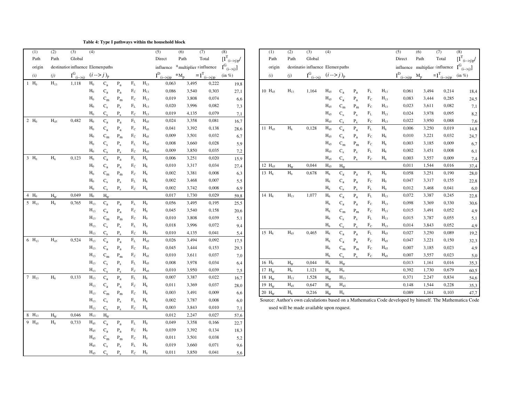**Table 4: Type I pathways within the household block**

| (1)               | (2)         | (3)                               | (4)               |                           |                           |                       |                   | (5)                        | (6)    | (7)                        | (8)                          | (1)                  | (2)                      | (3)                                       | (4)                      |                           |                           |            |                | (5)                                                                                              | (6)     | (7)                                  | (8)                 |
|-------------------|-------------|-----------------------------------|-------------------|---------------------------|---------------------------|-----------------------|-------------------|----------------------------|--------|----------------------------|------------------------------|----------------------|--------------------------|-------------------------------------------|--------------------------|---------------------------|---------------------------|------------|----------------|--------------------------------------------------------------------------------------------------|---------|--------------------------------------|---------------------|
| Path              | Path        | Global                            |                   |                           |                           |                       |                   | Direct                     | Path   | Total                      | $[I^T_{(i\rightarrow i)p}$ / | Path                 | Path                     | Global                                    |                          |                           |                           |            |                | Direct                                                                                           | Path    | Total                                | $\overline{\rm II}$ |
| origin            |             | destinatior influence Elemenpaths |                   |                           |                           |                       |                   | influence                  |        | $*$ multiplier = influence | $I^G_{(i\to i)}]$            | origin               |                          | destinationinfluence Elemenpaths          |                          |                           |                           |            |                |                                                                                                  |         | influence multiplier influence $I^G$ |                     |
| (i)               | (j)         | $I^G_{(i\rightarrow j)}$          |                   | $(i \rightarrow j)_{p}$   |                           |                       |                   | $I^D_{(i \rightarrow j)p}$ | $*M_p$ | $=I^T_{(i\rightarrow i)p}$ | $(\text{in } \%)$            | (i)                  | (j)                      | $I^G_{(i-1)}$ $(i-1)$ <sub>p</sub>        |                          |                           |                           |            |                | $I^D_{\underline{\phantom{A}}(i\rightarrow j)p}$                                                 | $M_{p}$ | $= I^{T}$ <sub>(i-&gt;j)p</sub> (in  |                     |
| $1$ $H_0$         | $H_{13}$    | 1,118                             | $H_0$             | $C_{a}$                   | $P_{a}$                   | $\mathcal{F}_{\rm L}$ | $\mathbf{H}_{13}$ | 0,063                      | 3,495  | 0,222                      | 19,8                         |                      |                          |                                           |                          |                           |                           |            |                |                                                                                                  |         |                                      |                     |
|                   |             |                                   | $H_0$             | $C_{a}$                   | $\rm P_a$                 | $\rm{F_C}$            | $\rm H_{13}$      | 0,086                      | 3,540  | 0,303                      | 27,1                         | $10 H_{45}$          | $H_{13}$                 | 1,164                                     | $H_{45}$                 | $C_{a}$                   | $P_{a}$                   | $F_{L}$    | $H_{13}$       | 0,061                                                                                            | 3,494   | 0,214                                |                     |
|                   |             |                                   | $H_0$             | $\mathrm{C}_\mathrm{m}$   | $\mathbf{P}_{\mathbf{m}}$ | $\rm{F_C}$            | $H_{13}$          | 0,019                      | 3,808  | 0,074                      | 6,6                          |                      |                          |                                           | $H_{45}$                 | $C_{a}$                   | $P_{a}$                   | $\rm{F_C}$ | $H_{13}$       | 0,083                                                                                            | 3,444   | 0,285                                |                     |
|                   |             |                                   | $H_0$             | $C_{S}$                   | $P_{S}$                   | $\rm F_L$             | $H_{13}$          | 0,020                      | 3,996  | 0,082                      | 7,3                          |                      |                          |                                           | $H_{45}$                 | $\mathrm{C}_\mathrm{m}$   | $\mathbf{P}_{\mathbf{m}}$ | $\rm{F_C}$ | $H_{13}$       | 0,023                                                                                            | 3,611   | 0,082                                |                     |
|                   |             |                                   | $H_0$             | $C_{S}$                   | $P_{S}$                   | $\rm F_C$             | $H_{13}$          | 0,019                      | 4,135  | 0,079                      | 7,1                          |                      |                          |                                           | $H_{45}$                 | $C_{\rm s}$               | $P_{S}$                   | $\rm F_L$  | $H_{13}$       | 0,024                                                                                            | 3,978   | 0,095                                |                     |
| $2 H_0$           | $H_{45}$    | 0,482                             | ${\rm H_0}$       | $C_{a}$                   | $P_{a}$                   | $\rm F_L$             | $H_{45}$          | 0,024                      | 3,358  | 0,081                      | 16,7                         |                      |                          |                                           | $H_{45}$                 | $C_{s}$                   | $P_{c}$                   | $F_C$      | $H_{13}$       | 0,022                                                                                            | 3,950   | 0,088                                |                     |
|                   |             |                                   | $H_0$             | $C_{a}$                   | $P_{a}$                   | $F_C$                 | $H_{45}$          | 0,041                      | 3,392  | 0,138                      | 28,6                         | 11 $H_{45}$          | ${\rm H_6}$              | 0,128                                     | $H_{45}$                 | $C_{a}$                   | $P_{a}$                   | $\rm F_L$  | $H_6$          | 0,006                                                                                            | 3,250   | 0,019                                |                     |
|                   |             |                                   | $H_0$             | $\mathbf{C}_{\mathbf{m}}$ | $\mathbf{P}_{\mathbf{m}}$ | $\rm F_C$             | $H_{45}$          | 0,009                      | 3,501  | 0,032                      | 6,7                          |                      |                          |                                           | $\rm{H}_{45}$            | $\mathbf{C}_\mathbf{a}$   | $P_a$                     | $\rm{F_C}$ | H <sub>6</sub> | 0,010                                                                                            | 3,221   | 0,032                                |                     |
|                   |             |                                   | $H_0$             | $C_{S}$                   | $P_{S}$                   | $\rm F_L$             | $H_{45}$          | 0,008                      | 3,660  | 0,028                      | 5,9                          |                      |                          |                                           | $\rm{H}_{45}$            | $C_m$                     | $\mathbf{P}_{\mathbf{m}}$ | $\rm{F_C}$ | $H_6$          | 0,003                                                                                            | 3,185   | 0,009                                |                     |
|                   |             |                                   | $H_0$             | $C_{s}$                   | $P_{s}$                   | $\rm{F_C}$            | $H_{45}$          | 0,009                      | 3,850  | 0,035                      | 7,2                          |                      |                          |                                           | $H_{45}$                 | $\mathbf{C}_\mathrm{s}$   | $P_s$                     | $\rm F_L$  | $H_6$          | 0,002                                                                                            | 3,451   | 0,008                                |                     |
| $3 H_0$           | ${\rm H_6}$ | 0,123                             | $H_0$             | $C_{a}$                   | $P_a$                     | $\rm F_L$             | $H_6$             | 0,006                      | 3,251  | 0,020                      | 15,9                         |                      |                          |                                           | $H_{45}$                 | $C_{S}$                   | $P_{s}$                   | $\rm{F_C}$ | $H_6$          | 0,003                                                                                            | 3,557   | 0,009                                |                     |
|                   |             |                                   | $H_0$             | $C_{a}$                   | $\rm P_a$                 | $\rm F_C$             | $H_6$             | 0,010                      | 3,317  | 0,034                      | 27,4                         | 12 $H_{45}$          | $\mathbf{H}_{\text{tr}}$ | 0,044                                     | $H_{45}$                 | $\mathbf{H}_{\text{tr}}$  |                           |            |                | 0,011                                                                                            | 1,544   | 0,016                                |                     |
|                   |             |                                   | $H_0$             | $C_m$                     | $\mathbf{P}_{\mathbf{m}}$ | $\rm F_C$             | $H_6$             | 0,002                      | 3,381  | 0,008                      | 6,3                          | 13 $H_6$             | $H_0$                    | 0,678                                     | $\rm{H_6}$               | $\mathrm{C}_\mathrm{a}$   | $\mathbf{P}_{\text{a}}$   | $\rm F_L$  | $H_0$          | 0,058                                                                                            | 3,251   | 0,190                                |                     |
|                   |             |                                   | $H_0$             | $C_{S}$                   | $P_{S}$                   | $\rm F_L$             | $H_6$             | 0,002                      | 3,468  | 0,007                      | 5,5                          |                      |                          |                                           | $\rm{H_6}$               | $C_{a}$                   | $P_a$                     | $\rm{F_C}$ | $H_0$          | 0,047                                                                                            | 3,317   | 0,155                                |                     |
|                   |             |                                   | $H_0$             | $C_{s}$                   | $P_{c}$                   | $\rm{F_C}$            | $H_6$             | 0,002                      | 3,742  | 0,008                      | 6,9                          |                      |                          |                                           | $H_6$                    | $C_{s}$                   | $P_{s}$                   | $\rm F_L$  | $H_0$          | 0,012                                                                                            | 3,468   | 0,041                                |                     |
| 4 $H_0$           | $H_{tr}$    | 0,049                             | $H_0$             | $H_{tr}$                  |                           |                       |                   | 0,017                      | 1,730  | 0,029                      | 59,8                         | 14 H <sub>6</sub>    | $H_{13}$                 | 1,077                                     | $H_6$                    | $\mathbf{C}_\mathrm{a}$   | $P_a$                     | $\rm F_L$  | $H_{13}$       | 0,072                                                                                            | 3,387   | 0,245                                |                     |
| $5 H_{13}$        | $H_0$       | 0,765                             | $\mathrm{H}_{13}$ | $C_{a}$                   | $P_{a}$                   | $\rm F_L$             | $H_0$             | 0,056                      | 3,495  | 0,195                      | 25,5                         |                      |                          |                                           | $H_6$                    | $\mathrm{C}_\mathrm{a}$   | $\mathbf{P}_{\text{a}}$   | $\rm{F_C}$ | $H_{13}$       | 0,098                                                                                            | 3,369   | 0,330                                |                     |
|                   |             |                                   | $H_{13}$          | $C_{a}$                   | $\rm P_a$                 | $\rm{F_C}$            | $H_0$             | 0,045                      | 3,540  | 0,158                      | 20,6                         |                      |                          |                                           | $H_6$                    | $\mathbf{C}_{\mathbf{m}}$ | $\mathbf{P}_{\mathbf{m}}$ | $\rm{F_C}$ | $H_{13}$       | 0,015                                                                                            | 3,491   | 0,052                                |                     |
|                   |             |                                   | $H_{13}$          | $C_m$                     | $\mathbf{P}_{\mathbf{m}}$ | $\rm{F_C}$            | $H_0$             | 0,010                      | 3,808  | 0,039                      | 5,1                          |                      |                          |                                           | $H_6$                    | $C_{S}$                   | $P_s$                     | $\rm F_L$  | $H_{13}$       | 0,015                                                                                            | 3,787   | 0,055                                |                     |
|                   |             |                                   | $H_{13}$          | $C_{\rm s}$               | $P_{S}$                   | $\rm F_L$             | $H_0$             | 0,018                      | 3,996  | 0,072                      | 9,4                          |                      |                          |                                           | $H_6$                    | $C_{S}$                   | $P_{s}$                   | $\rm{F_C}$ | $H_{13}$       | 0,014                                                                                            | 3,843   | 0,052                                |                     |
|                   |             |                                   | $H_{13}$          | $C_{S}$                   | $P_{c}$                   | $\rm F_C$             | $H_0$             | 0,010                      | 4,135  | 0,041                      | 5,4                          | 15 $H_6$             | $H_{45}$                 | 0,465                                     | $H_6$                    | $C_{a}$                   | $P_a$                     | $\rm F_L$  | $\rm{H}_{45}$  | 0,027                                                                                            | 3,250   | 0,089                                |                     |
| $6 H_{13}$        | $H_{45}$    | 0,524                             | $H_{13}$          | $C_{a}$                   | $P_{a}$                   | $\rm F_L$             | $\rm{H}_{45}$     | 0,026                      | 3,494  | 0,092                      | 17,5                         |                      |                          |                                           | $H_6$                    | $\mathrm{C}_\mathrm{a}$   | $\mathbf{P}_{\text{a}}$   | $\rm{F_C}$ | $H_{45}$       | 0,047                                                                                            | 3,221   | 0,150                                |                     |
|                   |             |                                   | $\rm H_{13}$      | $C_{a}$                   | $\rm P_a$                 | $\rm{F_C}$            | $H_{45}$          | 0,045                      | 3,444  | 0,153                      | 29,3                         |                      |                          |                                           | $H_6$                    | $\mathrm{C}_\mathrm{m}$   | $\mathbf{P}_{\mathbf{m}}$ | $\rm{F_C}$ | $H_{45}$       | 0,007                                                                                            | 3,185   | 0,023                                |                     |
|                   |             |                                   | $H_{13}$          | $\mathrm{C}_\mathrm{m}$   | $\mathbf{P}_{\mathbf{m}}$ | $F_C$                 | $H_{45}$          | 0,010                      | 3,611  | 0,037                      | 7,0                          |                      |                          |                                           | $H_6$                    | $C_{S}$                   | $P_{s}$                   | $F_C$      | $H_{45}$       | 0,007                                                                                            | 3,557   | 0,023                                |                     |
|                   |             |                                   | $H_{13}$          | $C_{S}$                   | $P_{s}$                   | $F_{L}$               | $H_{45}$          | 0,008                      | 3,978  | 0,034                      | 6,4                          | 16 $H_6$             | $\mathbf{H}_{\text{tr}}$ | 0,044                                     | H <sub>6</sub>           | $H_{tr}$                  |                           |            |                | 0,013                                                                                            | 1,161   | 0,016                                |                     |
|                   |             |                                   | $H_{13}$          | $C_{S}$                   | $P_{c}$                   | $\rm F_C$             | $H_{45}$          | 0,010                      | 3,950  | 0,039                      | 7,5                          | 17 $H_{tr}$          | $\mathbf{H}_0$           | 1,121                                     | $\mathbf{H}_{\text{tr}}$ | $\mathbf{H}_0$            |                           |            |                | 0,392                                                                                            | 1,730   | 0,679                                |                     |
| $7 H_{13}$        | $H_6$       | 0,133                             | $H_{13}$          | $C_{a}$                   | $P_{a}$                   | $\rm F_L$             | $H_6$             | 0,007                      | 3,387  | 0,022                      | 16,7                         | 18 $H_{tr}$          | $H_{13}$                 | 1,528                                     | $H_{tr}$                 | $H_{13}$                  |                           |            |                | 0,371                                                                                            | 2,247   | 0,834                                |                     |
|                   |             |                                   | $H_{13}$          | $C_{a}$                   | $\rm P_a$                 | $F_C$                 | $H_6$             | 0,011                      | 3,369  | 0,037                      | 28,0                         | 19 $H_{tr}$          | $H_{45}$                 | 0,647                                     | $H_{tr}$                 | $H_{45}$                  |                           |            |                | 0,148                                                                                            | 1,544   | 0,228                                |                     |
|                   |             |                                   | $H_{13}$          | $\mathbf{C}_{\mathbf{m}}$ | $\mathbf{P}_{\mathbf{m}}$ | $F_C$                 | $H_6$             | 0,003                      | 3,491  | 0,009                      | 6,6                          | $20$ H <sub>tr</sub> | H <sub>6</sub>           | 0,216                                     | $H_{tr}$                 | $H_6$                     |                           |            |                | 0,089                                                                                            | 1,161   | 0,103                                |                     |
|                   |             |                                   | $H_{13}$          | $C_{S}$                   | $P_{S}$                   | $\rm F_L$             | $H_6$             | 0,002                      | 3,787  | 0,008                      | 6,0                          |                      |                          |                                           |                          |                           |                           |            |                | Source: Author's own calculations based on a Mathematica Code developed by himself. The Mathemat |         |                                      |                     |
|                   |             |                                   | $H_{13}$          | $C_{S}$                   | $P_{s}$                   | $\rm{F_C}$            | $H_6$             | 0,003                      | 3,843  | 0,010                      | 7,1                          |                      |                          | used will be made available upon request. |                          |                           |                           |            |                |                                                                                                  |         |                                      |                     |
| $8$ $\,$ $H_{13}$ | $H_{tr}$    | 0,046                             | $H_{13}$          | $H_{tr}$                  |                           |                       |                   | 0,012                      | 2,247  | 0,027                      | 57,6                         |                      |                          |                                           |                          |                           |                           |            |                |                                                                                                  |         |                                      |                     |
| 9 $H_{45}$        | $H_0$       | 0,733                             | $\rm{H}_{45}$     | $C_{a}$                   | $P_{a}$                   | $\rm F_L$             | $H_0$             | 0,049                      | 3,358  | 0,166                      | 22,7                         |                      |                          |                                           |                          |                           |                           |            |                |                                                                                                  |         |                                      |                     |
|                   |             |                                   | $\rm{H}_{45}$     | $\mathrm{C}_\mathrm{a}$   | $P_{a}$                   | $\rm F_C$             | $H_0$             | 0,039                      | 3,392  | 0,134                      | 18,3                         |                      |                          |                                           |                          |                           |                           |            |                |                                                                                                  |         |                                      |                     |
|                   |             |                                   | $H_{45}$          | $C_m$                     | $\mathbf{P}_{\mathbf{m}}$ | $F_C$                 | $H_0$             | 0,011                      | 3,501  | 0,038                      | 5,2                          |                      |                          |                                           |                          |                           |                           |            |                |                                                                                                  |         |                                      |                     |
|                   |             |                                   | $H_{45}$          | $C_{S}$                   | $P_{S}$                   | $\rm F_L$             | $H_0$             | 0,019                      | 3,660  | 0,071                      | 9,6                          |                      |                          |                                           |                          |                           |                           |            |                |                                                                                                  |         |                                      |                     |
|                   |             |                                   | $H_{45}$          | $C_{\rm c}$               | $P_{\rm c}$               | $F_C$                 | $H_0$             | 0,011                      | 3,850  | 0,041                      | 5,6                          |                      |                          |                                           |                          |                           |                           |            |                |                                                                                                  |         |                                      |                     |

|         |          | (5)                                     | (6)                     | (7)                        | (8)                                       | (1)         | (2)      | (3)                              | (4)            |                         |                           |              |                | (5)                                      | (6)                            | (7)                              | (8)                                       |
|---------|----------|-----------------------------------------|-------------------------|----------------------------|-------------------------------------------|-------------|----------|----------------------------------|----------------|-------------------------|---------------------------|--------------|----------------|------------------------------------------|--------------------------------|----------------------------------|-------------------------------------------|
|         |          | Direct                                  | Path                    | Total                      | $[\boldsymbol{I}^T_{(i\rightarrow i)p} /$ | Path        | Path     | Global                           |                |                         |                           |              |                | Direct                                   | Path                           | Total                            | $[\boldsymbol{I}^T_{(i\rightarrow j)p} /$ |
|         |          | influence                               | *multiplier = influence |                            | $I^G_{\phantom{G} (i \rightarrow j)} ]$   | origin      |          | destinationinfluence Elemenpaths |                |                         |                           |              |                |                                          | influence multiplier influence |                                  | $I^G_{\phantom{G} (i\rightarrow j)}]$     |
|         |          | $I^D_{\underline{\scriptstyle(i->j)p}}$ | $*M_{n}$                | $=I^T_{(i\rightarrow i)p}$ | $(in \%)$                                 | (i)         | (j)      | $I^G_{(i\to j)}$ $(i\to j)_p$    |                |                         |                           |              |                | $I^D_{(i\rightarrow i)p}$ M <sub>p</sub> |                                | $= I^{T}$ <sub>(i--&gt;j)p</sub> | (in %)                                    |
| $F_{L}$ | $H_{13}$ | 0,063                                   | 3,495                   | 0,222                      | 19,8                                      |             |          |                                  |                |                         |                           |              |                |                                          |                                |                                  |                                           |
| $F_C$   | $H_{13}$ | 0,086                                   | 3,540                   | 0,303                      | 27,1                                      | $10 H_{45}$ | $H_{13}$ | 1,164                            | $H_{45}$       | $C_{a}$                 | $P_{a}$                   | $F_{L}$      | $H_{13}$       | 0,061                                    | 3,494                          | 0,214                            | 18,4                                      |
| $F_C$   | $H_{13}$ | 0,019                                   | 3,808                   | 0,074                      | 6,6                                       |             |          |                                  | $H_{45}$       | $C_{a}$                 | $\rm P_a$                 | $F_C$        | $H_{13}$       | 0,083                                    | 3,444                          | 0,285                            | 24,5                                      |
| $F_{L}$ | $H_{13}$ | 0,020                                   | 3,996                   | 0,082                      | 7,3                                       |             |          |                                  | $H_{45}$       | $\mathrm{C}_\mathrm{m}$ | $P_{m}$                   | $F_{C}$      | $H_{13}$       | 0,023                                    | 3,611                          | 0,082                            | 7,1                                       |
| $F_C$   | $H_{13}$ | 0,019                                   | 4,135                   | 0,079                      | 7,1                                       |             |          |                                  | $H_{45}$       | $C_{S}$                 | $P_{S}$                   | $F_L$        | $H_{13}$       | 0,024                                    | 3,978                          | 0,095                            | 8,2                                       |
| $F_{L}$ | $H_{45}$ | 0,024                                   | 3,358                   | 0,081                      | 16,7                                      |             |          |                                  | $H_{45}$       | $C_{S}$                 | $\mathbf{P}_{\mathrm{s}}$ | $F_C$        | $H_{13}$       | 0,022                                    | 3,950                          | 0,088                            | 7,6                                       |
| $F_C$   | $H_{45}$ | 0,041                                   | 3,392                   | 0,138                      | 28,6                                      | $11 H_{45}$ | $H_6$    | 0,128                            | $H_{45}$       | $C_{a}$                 | $\rm P_a$                 | $\rm{F_{L}}$ | H <sub>6</sub> | 0,006                                    | 3,250                          | 0,019                            | 14,8                                      |
| $F_C$   | $H_{45}$ | 0,009                                   | 3,501                   | 0,032                      | 6,7                                       |             |          |                                  | $H_{45}$       | $C_{a}$                 | $P_{a}$                   | $F_C$        | $H_6$          | 0,010                                    | 3,221                          | 0,032                            | 24,7                                      |
| $F_{L}$ | $H_{45}$ | 0,008                                   | 3,660                   | 0,028                      | 5,9                                       |             |          |                                  | $H_{45}$       | $C_m$                   | $P_m$                     | $F_C$        | $H_6$          | 0,003                                    | 3,185                          | 0,009                            | 6,7                                       |
| $F_C$   | $H_{45}$ | 0,009                                   | 3,850                   | 0,035                      | 7,2                                       |             |          |                                  | $H_{45}$       | $C_{S}$                 | $P_{s}$                   | $F_{L}$      | $H_6$          | 0,002                                    | 3,451                          | 0,008                            | 6,1                                       |
| $F_{L}$ | $H_6$    | 0,006                                   | 3,251                   | 0,020                      | 15,9                                      |             |          |                                  | $H_{45}$       | $C_{S}$                 | $P_{S}$                   | $F_C$        | $H_6$          | 0,003                                    | 3,557                          | 0,009                            | 7,4                                       |
| $F_C$   | $H_6$    | 0,010                                   | 3,317                   | 0,034                      | 27,4                                      | 12 $H_{45}$ | $H_{tr}$ | 0,044                            | $H_{45}$       | $H_{tr}$                |                           |              |                | 0,011                                    | 1,544                          | 0,016                            | 37,4                                      |
| $F_C$   | $H_6$    | 0,002                                   | 3,381                   | 0,008                      | 6,3                                       | 13 $H_6$    | $H_0$    | 0,678                            | H <sub>6</sub> | $\mathrm{C}_\mathrm{a}$ | $P_{a}$                   | $\rm F_L$    | $H_0$          | 0,058                                    | 3,251                          | 0,190                            | 28,0                                      |
| $F_{L}$ | $H_6$    | 0,002                                   | 3,468                   | 0,007                      | 5,5                                       |             |          |                                  | H <sub>6</sub> | $\mathrm{C}_\mathrm{a}$ | $\rm P_a$                 | $F_C$        | $H_0$          | 0,047                                    | 3,317                          | 0,155                            | 22,8                                      |
| $F_C$   | $H_6$    | 0,002                                   | 3,742                   | 0,008                      | 6,9                                       |             |          |                                  | $H_6$          | $C_{S}$                 | $P_{s}$                   | $F_L$        | $H_0$          | 0,012                                    | 3,468                          | 0,041                            | 6,0                                       |
|         |          | 0,017                                   | 1,730                   | 0,029                      | 59,8                                      | 14 $H_6$    | $H_{13}$ | 1,077                            | $H_6$          | $C_{a}$                 | $\mathbf{P}_{\text{a}}$   | $F_L$        | $H_{13}$       | 0,072                                    | 3,387                          | 0,245                            | 22,8                                      |
| $F_{L}$ | $H_0$    | 0,056                                   | 3,495                   | 0,195                      | 25,5                                      |             |          |                                  | $H_6$          | $C_{a}$                 | $P_{a}$                   | $F_C$        | $H_{13}$       | 0,098                                    | 3,369                          | 0,330                            | 30,6                                      |
| $F_C$   | $H_0$    | 0,045                                   | 3,540                   | 0,158                      | 20,6                                      |             |          |                                  | $H_6$          | $C_m$                   | $\rm P_{m}$               | $F_C$        | $H_{13}$       | 0,015                                    | 3,491                          | 0,052                            | 4,9                                       |
| $F_C$   | $H_0$    | 0,010                                   | 3,808                   | 0,039                      | 5,1                                       |             |          |                                  | $H_6$          | $C_{S}$                 | $P_{s}$                   | $F_L$        | $H_{13}$       | 0,015                                    | 3,787                          | 0,055                            | 5,1                                       |
| $F_{L}$ | $H_0$    | 0,018                                   | 3,996                   | 0,072                      | 9,4                                       |             |          |                                  | $H_6$          | $C_{S}$                 | $P_{S}$                   | $F_C$        | $H_{13}$       | 0,014                                    | 3,843                          | 0,052                            | 4,9                                       |
| $F_C$   | $H_0$    | 0,010                                   | 4,135                   | 0,041                      | 5,4                                       | 15 $H_6$    | $H_{45}$ | 0,465                            | $H_6$          | $C_{a}$                 | $P_{a}$                   | $F_L$        | $H_{45}$       | 0,027                                    | 3,250                          | 0,089                            | 19,2                                      |
| $F_{L}$ | $H_{45}$ | 0,026                                   | 3,494                   | 0,092                      | 17,5                                      |             |          |                                  | $H_6$          | $C_{a}$                 | $P_{a}$                   | $F_{C}$      | $H_{45}$       | 0,047                                    | 3,221                          | 0,150                            | 32,3                                      |
| $F_C$   | $H_{45}$ | 0,045                                   | 3,444                   | 0,153                      | 29,3                                      |             |          |                                  | $H_6$          | $C_m$                   | $P_m$                     | $F_C$        | $H_{45}$       | 0,007                                    | 3,185                          | 0,023                            | 4,9                                       |
| $F_C$   | $H_{45}$ | 0,010                                   | 3,611                   | 0,037                      | 7,0                                       |             |          |                                  | $H_6$          | $C_{S}$                 | $P_{s}$                   | $F_{C}$      | $H_{45}$       | 0,007                                    | 3,557                          | 0,023                            | 5,0                                       |
| $F_{L}$ | $H_{45}$ | 0,008                                   | 3,978                   | 0,034                      | 6,4                                       | 16 $H_6$    | $H_{tr}$ | 0,044                            | $H_6$          | $H_{tr}$                |                           |              |                | 0,013                                    | 1,161                          | 0,016                            | 35,3                                      |
| $F_C$   | $H_{45}$ | 0,010                                   | 3,950                   | 0,039                      | 7,5                                       | 17 $H_{tr}$ | $H_0$    | 1,121                            | $H_{tr}$       | $H_0$                   |                           |              |                | 0,392                                    | 1,730                          | 0,679                            | 60,5                                      |
| $F_{L}$ | $H_6$    | 0,007                                   | 3,387                   | 0,022                      | 16,7                                      | 18 $H_{tr}$ | $H_{13}$ | 1,528                            | $H_{tr}$       | $H_{13}$                |                           |              |                | 0,371                                    | 2,247                          | 0,834                            | 54,6                                      |
| $F_C$   | $H_6$    | 0,011                                   | 3,369                   | 0,037                      | 28,0                                      | 19 $H_{tr}$ | $H_{45}$ | 0,647                            | $H_{tr}$       | $H_{45}$                |                           |              |                | 0,148                                    | 1,544                          | 0,228                            | 35,3                                      |
| $F_C$   | $H_6$    | 0,003                                   | 3,491                   | 0,009                      | 6,6                                       | 20 $H_{tr}$ | $H_6$    | 0,216                            | $H_{tr}$       | $H_6$                   |                           |              |                | 0,089                                    | 1,161                          | 0,103                            | 47,7                                      |

Source: Author's own calculations based on a Mathematica Code developed by himself. The Mathematica Code used will be made available upon request.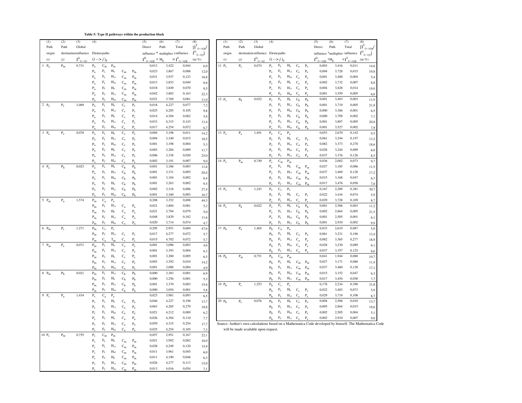#### **Table 5: Type II pathways within the production block**

| (1)       | (2)                       | (3)                                | (4)                                |                                       |                           |                         |                | (5)            | (6)            | (7)                                | (8)                        | (1)               | (2)            | (3)                                                                                          | (4)                              |                             |                |                           |                | (5)            | (6)                                                  | (7)            | (8)          |
|-----------|---------------------------|------------------------------------|------------------------------------|---------------------------------------|---------------------------|-------------------------|----------------|----------------|----------------|------------------------------------|----------------------------|-------------------|----------------|----------------------------------------------------------------------------------------------|----------------------------------|-----------------------------|----------------|---------------------------|----------------|----------------|------------------------------------------------------|----------------|--------------|
| Path      | Path                      | Global                             |                                    |                                       |                           |                         |                | Direct         | Path           | Total                              | $[I^T_{(i\rightarrow j)p}$ | Path              | Path           | Global                                                                                       |                                  |                             |                |                           |                | Direct         | Path                                                 | Total          | $\mathbf{I}$ |
| origin    |                           | destination influence Elemer paths |                                    |                                       |                           |                         |                |                |                | influence * multiplier = influence | $I^G_{(i\rightarrow j)}]$  | origin            |                | destination influence Elemepaths                                                             |                                  |                             |                |                           |                |                | influence $\frac{1}{3}$ multiplier : influence $I^G$ |                |              |
| (i)       | (j)                       | $I^G_{\ \alpha}$                   |                                    | $(i \rightarrow j)_{r}$               |                           |                         |                | $I^D$ .        | $* M$          | $=I^{\mathrm{T}}$                  | (in %)                     | (i)               | (j)            | $I^G_{\sigma}$                                                                               |                                  | $(i \rightarrow j)_{\rm r}$ |                |                           |                | $I^D$          | $^*M_p$                                              | $=IT$          | (in          |
| $1$ $P_a$ | $\mathrm{P}_{\mathrm{m}}$ | 0,731                              | $P_{a}$                            | $\mathrm{C}_\mathrm{m}$               | $\mathrm{P}_{\mathrm{m}}$ |                         |                | 0,013          | 3,422          | 0,044                              | 6,0                        | $11$ $P_e$        | $P_e$          | 0,074                                                                                        | $P_{S}$                          | $\rm{F_L}$                  | $H_0$          | $C_e$                     | $P_e$          | 0,003          | 3,416                                                | 0,011          |              |
|           |                           |                                    | $\rm P_a$                          | $\rm F_L$                             | $\mathbf{H}_0$            | $\mathrm{C}_\mathrm{m}$ | $P_m$          | 0,023          | 3,867          | 0,088                              | 12,0                       |                   |                |                                                                                              | $P_{S}$                          | $\mathcal{F}_{\rm L}$       | $H_{13}$       | $\mathrm{C_{e}}$          | $\rm P_e$      | 0,004          | 3,728                                                | 0,015          |              |
|           |                           |                                    | $\mathbf{P}_{\text{a}}$            | $F_L$                                 | $H_{13}$                  | $C_m$                   | $P_{m}$        | 0,031          | 3,937          | 0,123                              | 16,8                       |                   |                |                                                                                              | $P_{c}$                          | $\rm F_L$                   | $\rm{H}_{45}$  | $\mathrm{C_{e}}$          | $\rm P_e$      | 0,001          | 3,400                                                | 0,004          |              |
|           |                           |                                    | $\rm P_a$                          | $\rm F_L$                             | $H_{45}$                  | $\mathrm{C}_\mathrm{m}$ | $P_m$          | 0,013          | 3,853          | 0,049                              | 6,6                        |                   |                |                                                                                              | $P_s$                            | F <sub>C</sub>              | $\rm H_0$      | $\mathrm{C}_{\mathrm{e}}$ | $\rm P_e$      | 0,002          | 3,732                                                | 0,007          |              |
|           |                           |                                    | $P_a$                              | $\rm{F_C}$                            | ${\rm H_0}$               | $\mathrm{C}_\mathrm{m}$ | $P_{m}$        | 0,018          | 3,849          | 0,070                              | 9,5                        |                   |                |                                                                                              | $P_{s}$                          | F <sub>c</sub>              | $H_{13}$       | $C_e$                     | $P_e$          | 0,004          | 3,828                                                | 0,014          |              |
|           |                           |                                    | $P_a$                              | $\rm{F_C}$                            | $H_{13}$                  | $\mathrm{C}_\mathrm{m}$ | $P_{m}$        | 0,042          | 3,883          | 0,163                              | 22,3                       |                   |                |                                                                                              | $P_{s}$                          | $F_{C}$                     | $H_{45}$       | $C_{s}$                   | $P_{\alpha}$   | 0,001          | 3,559                                                | 0,005          |              |
|           |                           |                                    | $P_{\alpha}$                       | $F_C$                                 | $H_{45}$                  | $C_m$                   | $P_m$          | 0,021          | 3,769          | 0,081                              | 11,0                       | $12 P_s$          | P <sub>h</sub> | 0,022                                                                                        | $P_s$                            | $F_L$                       | $H_0$          | $C_h$                     | P <sub>h</sub> | 0,001          | 3,403                                                | 0,003          |              |
| 2 $P_a$   | $\mathbf{P}_{\mathrm{S}}$ | 1,069                              | $P_a$                              | $\rm F_L$                             | $\rm H_0$                 | $C_{\rm s}$             | $P_{S}$        | 0,018          | 4,227          | 0,077                              | 7,2                        |                   |                |                                                                                              | $P_{S}$                          | $\rm F_L$                   | $H_{13}$       | $\mathrm{C}_\mathrm{h}$   | P <sub>h</sub> | 0,001          | 3,719                                                | 0,005          |              |
|           |                           |                                    | $\rm P_a$                          | $\rm F_L$                             | $H_{13}$                  | $C_{s}$                 | $P_{S}$        | 0,025          | 4,285          | 0,105                              | 9,8                        |                   |                |                                                                                              | $P_s$                            | $\rm F_L$                   | $H_{45}$       | $C_h$                     | P <sub>h</sub> | 0,000          | 3,386                                                | 0,001          |              |
|           |                           |                                    | $\mathbf{P}_{\text{a}}$            | $\rm{F_C}$                            | $\mathbf{H}_0$            | $C_{\rm s}$             | $P_{S}$        | 0,014          | 4,304          | 0,062                              | 5,8                        |                   |                |                                                                                              | $P_{s}$                          | $\rm{F_C}$                  | $\mathbf{H}_0$ | $\mathrm{C}_\mathrm{h}$   | $\rm P_h$      | 0,000          | 3,709                                                | 0,002          |              |
|           |                           |                                    | $\rm P_a$                          | $\rm{F_C}$                            | $H_{13}$                  | $C_{S}$                 | $P_{S}$        | 0,033          | 4,315          | 0,143                              | 13,4                       |                   |                |                                                                                              | $P_s$                            | $F_C$                       | $H_{13}$       | $C_h$                     | P <sub>h</sub> | 0,001          | 3,807                                                | 0,005          |              |
|           |                           |                                    | $P_{a}$                            | $F_C$                                 | $H_{45}$                  | $C_{S}$                 | $P_s$          | 0,017          | 4,254          | 0,072                              | 6,7                        |                   |                |                                                                                              | $P_s$                            | $F_C$                       | $H_{45}$       | $C_h$                     | P <sub>h</sub> | 0,001          | 3,527                                                | 0,002          |              |
| $3$ $P_a$ | $P_e$                     | 0,078                              | $P_a$                              | $\rm F_L$                             | $H_0$                     | $\mathrm{C_{e}}$        | $\rm P_e$      | 0,004          | 3,198          | 0,011                              | 14,2                       | 13 $P_e$          | $P_a$          | 1,491                                                                                        | $\rm P_e$                        | $\mathrm{C}_\mathrm{a}$     | $\rm P_a$      |                           |                | 0,053          | 2,670                                                | 0,142          |              |
|           |                           |                                    | $\mathbf{P}_{\text{a}}$            | $\rm F_L$                             | $H_{13}$                  | $\mathbf{C}_{\rm e}$    | $P_e$          | 0,004          | 3,340          | 0,015                              | 18,5                       |                   |                |                                                                                              | $P_e$                            | $\rm F_L$                   | $\mathbf{H}_0$ | $\mathrm{C}_\mathrm{a}$   | $P_a$          | 0,061          | 3,244                                                | 0,197          |              |
|           |                           |                                    | $\rm P_a$                          | $\rm F_L$                             | $H_{45}$                  | $C_e$                   | $P_e$          | 0,001          | 3,198          | 0,004                              | 5,3                        |                   |                |                                                                                              | $P_e$                            | $\rm{F_L}$                  | $H_{13}$       | $C_{a}$                   | $P_a$          | 0,082          | 3,373                                                | 0,278          |              |
|           |                           |                                    | $\mathbf{P}_{\text{a}}$            | $\rm{F_C}$                            | $\mathbf{H}_0$            | $\mathrm{C_{e}}$        | $P_e$          | 0,003          | 3,284          | 0,009                              | 11,7                       |                   |                |                                                                                              | $\rm P_e$                        | $\rm F_L$                   | $\rm{H}_{45}$  | $\mathrm{C}_\mathrm{a}$   | $P_a$          | 0,028          | 3,244                                                | 0,089          |              |
|           |                           |                                    | $P_a$                              | $\rm{F_C}$                            | $H_{13}$                  | $C_e$                   | $P_e$          | 0,006          | 3,338          | 0,020                              | 25,0                       |                   |                |                                                                                              | Ρ,                               | $F_C$                       | $H_{13}$       | $C_{a}$                   | $P_{\alpha}$   | 0,037          | 3,376                                                | 0,126          |              |
|           |                           |                                    | $P_{a}$                            | $F_C$                                 | $H_{45}$                  | $C_{e}$                 | $P_e$          | 0,002          | 3,191          | 0,007                              | 9,0                        | 14 $P_e$          | $P_m$          | 0,749                                                                                        | $\rm P_e$                        | $C_m$                       | $P_m$          |                           |                | 0,036          | 2,002                                                | 0,073          |              |
| $4$ $P_a$ | $\mathbf{P}_{\mathrm{h}}$ | 0,023                              | $P_{a}$                            | $\rm F_L$                             | $H_0$                     | $C_h$                   | P <sub>h</sub> | 0,001          | 3,186          | 0,003                              | 11,6                       |                   |                |                                                                                              | $P_e$                            | $\rm F_L$                   | ${\rm H_0}$    | $C_m$                     | $P_m$          | 0,027          | 3,185                                                | 0,086          |              |
|           |                           |                                    | $\rm P_a$                          | $\rm F_L$                             | $H_{13}$                  | $\mathrm{C}_\mathrm{h}$ | P <sub>h</sub> | 0,001          | 3,331          | 0,005                              | 20,4                       |                   |                |                                                                                              | $P_e$                            | $\rm F_L$                   | $H_{13}$       | $\mathrm{C}_\mathrm{m}$   | $P_m$          | 0,037          | 3,469                                                | 0,128          |              |
|           |                           |                                    | $P_a$                              | $\rm F_L$                             | $H_{45}$                  | $C_h$                   | P <sub>h</sub> | 0,001          | 3,184          | 0,002                              | 6,4                        |                   |                |                                                                                              | $P_e$                            | $\rm F_L$                   | $\rm{H}_{45}$  | $C_m$                     | $P_m$          | 0,015          | 3,168                                                | 0,047          |              |
|           |                           |                                    | $\mathbf{P}_{\text{a}}$            | $\rm{F_C}$                            | $\rm H_0$                 | $\mathrm{C}_\mathrm{h}$ | P <sub>h</sub> | 0,001          | 3,263          | 0,002                              | 9,5                        |                   |                |                                                                                              | $P_e$                            | F <sub>C</sub>              | $H_{13}$       | $C_m$                     | $P_m$          | 0,017          | 3,476                                                | 0,058          |              |
|           |                           |                                    | $P_a$                              | $F_C$                                 | $H_{13}$                  | $C_h$                   | P <sub>h</sub> | 0,002          | 3,318          | 0,006                              | 27,4                       | 15 $P_e$          | $P_{S}$        | 1,243                                                                                        | $P_e$                            | $C_{\rm s}$                 | $P_{S}$        |                           |                | 0,167          | 2,289                                                | 0,381          |              |
|           |                           |                                    | $P_{a}$                            | $F_C$                                 | $H_{45}$                  | C <sub>h</sub>          | P <sub>h</sub> | 0,001          | 3,160          | 0,003                              | 10,7                       |                   |                |                                                                                              | $\rm P_e$                        | $\rm F_L$                   | $\mathbf{H}_0$ | $C_{\rm s}$               | $P_{s}$        | 0,022          | 3,416                                                | 0,074          |              |
| $5$ $P_m$ | $\rm P_a$                 | 1,574                              | $\mathbf{P}_{\mathbf{m}}$          | $\mathbf{C}_\mathrm{a}$               | $\mathbf{P}_{\text{a}}$   |                         |                | 0,208          | 3,352          | 0,698                              | 44,3                       |                   |                |                                                                                              | P                                | $F_1$                       | $H_{13}$       | C.                        | $P_{s}$        | 0,029          | 3,728                                                | 0,109          |              |
|           |                           |                                    | $\mathbf{P}_{\mathbf{m}}$          | $\rm F_L$                             | $H_{13}$                  | $C_{a}$                 | $P_{a}$        | 0,021          | 3,884          | 0,081                              | 5,2                        | $16 P_e$          | P <sub>h</sub> | 0,022                                                                                        | $\rm P_e$                        | $F_{L}$                     | ${\rm H_0}$    | $\mathrm{C}_\mathrm{h}$   | P <sub>h</sub> | 0,001          | 2,506                                                | 0,003          |              |
|           |                           |                                    | $P_{m}$                            | $\rm{F_C}$                            | $H_0$                     | $C_a$                   | $P_a$          | 0,021          | 3,794          | 0,079                              | 5,0                        |                   |                |                                                                                              | $P_e$                            | $\rm F_L$                   | $H_{13}$       | C <sub>h</sub>            | P <sub>h</sub> | 0,002          | 2,864                                                | 0,005          |              |
|           |                           |                                    | $\mathbf{P}_{\text{m}}$            | $\rm{F_C}$                            | $H_{13}$                  | $\mathrm{C}_\mathrm{a}$ | $P_a$          | 0,048          | 3,829          | 0,182                              | 11,6                       |                   |                |                                                                                              | $P_e$                            | $\rm F_L$                   | $\rm{H}_{45}$  | $\mathrm{C}_\mathrm{h}$   | P <sub>h</sub> | 0,001          | 2,505                                                | 0,001          |              |
| $6P_m$    |                           | 1,271                              | $P_m$                              | $F_C$                                 | $H_{45}$                  | $C_{a}$                 | $P_a$          | 0,020<br>0,205 | 3,714<br>2,951 | 0,074<br>0,604                     | 4,7                        | 17 P <sub>h</sub> |                | 1,465                                                                                        | $P_{c}$                          | F <sub>C</sub>              | $H_{13}$       | $C_h$                     | P <sub>h</sub> | 0,001<br>0,033 | 2,910<br>2,619                                       | 0,002<br>0,087 |              |
|           | $P_{S}$                   |                                    | $P_m$                              | $\mathbf{C}_\mathrm{s}$<br>$\rm{F_C}$ | $P_{S}$<br>$H_{13}$       | $C_{\rm s}$             | $P_{s}$        | 0,017          | 4,277          | 0,072                              | 47,6                       |                   | $P_a$          |                                                                                              | P <sub>h</sub><br>P <sub>h</sub> | $C_{a}$<br>$F_L$            | $P_a$<br>$H_0$ | $C_{a}$                   |                | 0,061          | 3,231                                                | 0,196          |              |
|           |                           |                                    | $\mathbf{P}_{\mathrm{m}}$<br>$P_m$ | C,                                    | $T_m$                     | C,                      | $P_{s}$        | 0,015          | 4,702          | 0,072                              | 5,7<br>5,7                 |                   |                |                                                                                              | P <sub>h</sub>                   | $\rm F_L$                   | $H_{13}$       | $\mathrm{C}_\mathrm{a}$   | $P_a$<br>$P_a$ | 0,082          | 3,365                                                | 0,277          |              |
| 7 $P_m$   | $\rm P_e$                 | 0,071                              | $P_m$                              | $\rm F_L$                             | $\rm H_0$                 | $C_e$                   | $P_e$          | 0,001          | 3,096          | 0,003                              | 4,6                        |                   |                |                                                                                              | P <sub>h</sub>                   | $\rm{F_L}$                  | $\rm{H}_{45}$  | $\mathrm{C}_\mathrm{a}$   | $P_a$          | 0,028          | 3,230                                                | 0,089          |              |
|           |                           |                                    | $\mathbf{P}_{\mathrm{m}}$          | $\rm F_L$                             | $\mathbf{H}_{13}$         | $\mathbf{C}_{\rm e}$    | $P_e$          | 0,001          | 3,393          | 0,004                              | 6,3                        |                   |                |                                                                                              | P <sub>h</sub>                   | $F_C$                       | $H_{13}$       | $C_{a}$                   | $P_{a}$        | 0,037          | 3,357                                                | 0,125          |              |
|           |                           |                                    | $\mathbf{P}_{\mathrm{m}}$          | $\rm{F_C}$                            | $\mathbf{H}_0$            | $C_e$                   | $P_e$          | 0,001          | 3,280          | 0,005                              | 6,5                        | $18$ $P_h$        | $\rm P_m$      | 0,751                                                                                        | $\mathbf{P}_{\mathrm{h}}$        | $C_m$                       | $P_m$          |                           |                | 0,041          | 1,944                                                | 0,080          |              |
|           |                           |                                    | $P_m$                              | $\rm{F_C}$                            | $H_{13}$                  | $\mathrm{C_{e}}$        | $P_e$          | 0,003          | 3,392          | 0,010                              | 14,2                       |                   |                |                                                                                              | P <sub>h</sub>                   | $\rm F_L$                   | $\mathbf{H}_0$ | $C_m$                     | $P_m$          | 0,027          | 3,171                                                | 0,086          |              |
|           |                           |                                    | $\mathbf{P}_{\mathbf{m}}$          | $F_C$                                 | $\rm{H}_{45}$             | $C_{e}$                 | $P_e$          | 0,001          | 3,088          | 0,004                              | 4,9                        |                   |                |                                                                                              | P <sub>h</sub>                   | $\rm{F_L}$                  | $\rm H_{13}$   | $C_m$                     | $P_m$          | 0,037          | 3,460                                                | 0,128          |              |
| $8P_m$    | $\mathbf{P}_{\mathrm{h}}$ | 0,021                              | $\mathbf{P}_{\mathrm{m}}$          | $\rm F_L$                             | $H_{13}$                  | $C_h$                   | $\rm P_h$      | 0,000          | 3,383          | 0,001                              | 6,9                        |                   |                |                                                                                              | P <sub>h</sub>                   | $\rm F_L$                   | $\rm{H}_{45}$  | $\mathbf{C}_{\mathbf{m}}$ | $P_m$          | 0,015          | 3,152                                                | 0,047          |              |
|           |                           |                                    | $P_{m}$                            | $\rm{F_C}$                            | $\mathbf{H}_0$            | $C_h$                   | P <sub>h</sub> | 0,000          | 3,256          | 0,001                              | 5,3                        |                   |                |                                                                                              | $P_{\rm k}$                      | $F_{C}$                     | $H_{13}$       | $C_m$                     | $P_m$          | 0,017          | 3,454                                                | 0,058          |              |
|           |                           |                                    | $P_m$                              | $\rm{F_C}$                            | $H_{13}$                  | $\mathrm{C}_\mathrm{h}$ | $\rm P_h$      | 0,001          | 3,370          | 0,003                              | 15,6                       | 19 $Ph$           | $P_{S}$        | 1,253                                                                                        | $\mathbf{P}_{\mathrm{h}}$        | $\mathbf{C}_\mathrm{s}$     | $P_{S}$        |                           |                | 0,178          | 2,234                                                | 0,398          |              |
|           |                           |                                    | $P_m$                              | $\rm{F_C}$                            | $H_{45}$                  | $C_h$                   | P <sub>h</sub> | 0,000          | 3,054          | 0,001                              | 5,8                        |                   |                |                                                                                              | P <sub>h</sub>                   | $\rm F_L$                   | $\mathbf{H}_0$ | $C_{\rm s}$               | $P_{S}$        | 0,022          | 3,403                                                | 0,073          |              |
| $9$ $P_s$ | $\rm P_a$                 | 1,434                              | $P_{S}$                            | $\mathrm{C}_\mathrm{a}$               | $P_a$                     |                         |                | 0,023          | 3,981          | 0,093                              | 6,5                        |                   |                |                                                                                              | P <sub>h</sub>                   | $\rm F_L$                   | $H_{13}$       | $C_{s}$                   | $P_{s}$        | 0,029          | 3,719                                                | 0,108          |              |
|           |                           |                                    | $P_{S}$                            | $\rm F_L$                             | $\mathbf{H}_0$            | $C_{a}$                 | $P_{a}$        | 0,046          | 4,227          | 0,196                              | 13,7                       | 20 Ph             | $P_e$          | 0,076                                                                                        | P <sub>h</sub>                   | $\rm F_L$                   | $H_0$          | $C_e$                     | $P_e$          | 0,004          | 2,506                                                | 0,010          |              |
|           |                           |                                    | $P_{S}$                            | $\rm F_L$                             | $H_{13}$                  | $\mathrm{C}_\mathrm{a}$ | $P_{a}$        | 0,063          | 4,285          | 0,270                              | 18,8                       |                   |                |                                                                                              | P <sub>h</sub>                   | $\rm F_L$                   | $H_{13}$       | $C_e$                     | $P_e$          | 0,005          | 2,864                                                | 0,015          |              |
|           |                           |                                    | $P_{S}$                            | $\rm F_L$                             | $H_{45}$                  | $C_{a}$                 | $P_a$          | 0,021          | 4,212          | 0,089                              | 6,2                        |                   |                |                                                                                              | P <sub>h</sub>                   | $\rm F_L$                   | $H_{45}$       | $\mathrm{C_{e}}$          | $P_e$          | 0,002          | 2,505                                                | 0,004          |              |
|           |                           |                                    | $P_{S}$                            | $\rm{F_C}$                            | $\mathrm{H}_0$            | $\mathrm{C}_\mathrm{a}$ | $P_{a}$        | 0,026          | 4,304          | 0,110                              | 7,7                        |                   |                |                                                                                              | P <sub>h</sub>                   | $\rm{F_C}$                  | $H_{13}$       | $C_e$                     | $P_e$          | 0,002          | 2,910                                                | 0,007          |              |
|           |                           |                                    | $P_{S}$                            | $\rm{F_C}$                            | $H_{13}$                  | $C_a$                   | $P_{a}$        | 0,059          | 4,315          | 0,254                              | 17,7                       |                   |                | Source: Author's own calculations based on a Mathematica Code developed by himself. The Math |                                  |                             |                |                           |                |                |                                                      |                |              |
|           |                           |                                    | $P_s$                              | $F_C$                                 | $H_{45}$                  | $\mathrm{C}_\mathrm{a}$ | $P_a$          | 0,025          | 4,254          | 0,105                              | 7,3                        |                   |                | will be made available upon request.                                                         |                                  |                             |                |                           |                |                |                                                      |                |              |
| $10P_e$   | $\mathsf{P}_{\mathsf{m}}$ | 0,755                              | $P_{s}$                            | $\mathrm{C}_\mathrm{m}$               | $P_m$                     |                         |                | 0,057          | 2,951          | 0,167                              | 22,1                       |                   |                |                                                                                              |                                  |                             |                |                           |                |                |                                                      |                |              |
|           |                           |                                    | $P_{S}$                            | $\rm F_L$                             | $H_0$                     | $\mathrm{C}_\mathrm{m}$ | $P_{m}$        | 0,021          | 3,992          | 0,082                              | 10,9                       |                   |                |                                                                                              |                                  |                             |                |                           |                |                |                                                      |                |              |
|           |                           |                                    | $P_s$                              | $\rm F_L$                             | $\mathbf{H}_{13}$         | $\mathrm{C}_\mathrm{m}$ | $P_{m}$        | 0,028          | 4,249          | 0,120                              | 15,9                       |                   |                |                                                                                              |                                  |                             |                |                           |                |                |                                                      |                |              |
|           |                           |                                    | $P_{s}$                            | $F_L$                                 | $H_{45}$                  | $C_m$                   | $P_{m}$        | 0,011          | 3,961          | 0,045                              | 6,0                        |                   |                |                                                                                              |                                  |                             |                |                           |                |                |                                                      |                |              |
|           |                           |                                    | $P_{S}$                            | $F_C$                                 | $H_0$                     | $C_m$                   | $P_{m}$        | 0,011          | 4,190          | 0,048                              | 6,3                        |                   |                |                                                                                              |                                  |                             |                |                           |                |                |                                                      |                |              |
|           |                           |                                    | $P_{S}$                            | $\rm{F_C}$                            | $H_{13}$                  | $C_m$                   | $P_m$          | 0,026          | 4,277          | 0,113                              | 15,0                       |                   |                |                                                                                              |                                  |                             |                |                           |                |                |                                                      |                |              |
|           |                           |                                    | $P_{S}$                            | $F_C$                                 | $H_{45}$                  | $C_m$                   | $P_m$          | 0,013          | 4,016          | 0,054                              | 7,1                        |                   |                |                                                                                              |                                  |                             |                |                           |                |                |                                                      |                |              |

|                  | Path                                 | Total         | $\prod_{(i\rightarrow j)p'}$          | Path       | Path                                 | Global                           |                |                         |                   |                           |                           | Direct                                                                                                   | Path  | Total                         | $1_{(i\to j)p'}$ |
|------------------|--------------------------------------|---------------|---------------------------------------|------------|--------------------------------------|----------------------------------|----------------|-------------------------|-------------------|---------------------------|---------------------------|----------------------------------------------------------------------------------------------------------|-------|-------------------------------|------------------|
|                  | $\frac{1}{2}$ multiplier = influence |               | $I^G_{\phantom{G} (i\rightarrow j)}]$ | origin     |                                      | destination influence Elemepaths |                |                         |                   |                           |                           | influence $\mathbb{I}^G_{(i\rightarrow j)}$                                                              |       |                               |                  |
| $* M$<br>$>i$ )p | $=IT$                                | $\frac{1}{2}$ | $(in \%)$                             | (i)        | (j)                                  | $I^G_{\ \acute{G}}$              |                | $(i \rightarrow j)_{p}$ |                   |                           |                           | $I^D_{\ \underline{(i\rightarrow j)p}}$<br>$^*M$                                                         |       | $=IT$<br>$(i \rightarrow i)p$ | $(in \%)$        |
| 0,013            | 3,422                                | 0,044         | 6,0                                   | $11$ $P_s$ | $P_e$                                | 0,074                            | $P_s$          | $\rm F_L$               | $H_0$             | $C_e$                     | $P_e$                     | 0,003                                                                                                    | 3,416 | 0,011                         | 14,6             |
| 0,023            | 3,867                                | 0,088         | 12,0                                  |            |                                      |                                  | $P_{s}$        | $\rm F_L$               | $H_{13}$          | $\mathrm{C_{e}}$          | $P_e$                     | 0,004                                                                                                    | 3,728 | 0,015                         | 19,8             |
| 0,031            | 3,937                                | 0,123         | 16,8                                  |            |                                      |                                  | $P_{s}$        | $F_{L}$                 | $H_{45}$          | $C_e$                     | $P_e$                     | 0,001                                                                                                    | 3,400 | 0,004                         | 5,4              |
| 0,013            | 3,853                                | 0,049         | 6,6                                   |            |                                      |                                  | $P_{S}$        | $F_{C}$                 | $H_0$             | $C_e$                     | $\rm P_e$                 | 0,002                                                                                                    | 3,732 | 0,007                         | 8,8              |
| 0,018            | 3,849                                | 0,070         | 9,5                                   |            |                                      |                                  | $P_s$          | $F_C$                   | $H_{13}$          | $C_e$                     | $P_e$                     | 0,004                                                                                                    | 3,828 | 0,014                         | 19,0             |
| 0,042            | 3,883                                | 0,163         | 22,3                                  |            |                                      |                                  | $P_{s}$        | $F_C$                   | $H_{45}$          | $C_e$                     | $P_e$                     | 0,001                                                                                                    | 3,559 | 0,005                         | 6,6              |
| 0,021            | 3,769                                | 0,081         | 11,0                                  | 12 $P_s$   | P <sub>h</sub>                       | 0,022                            | $P_{s}$        | $\rm F_L$               | $H_0$             | $\mathbf{C}_\mathbf{h}$   | P <sub>h</sub>            | 0,001                                                                                                    | 3,403 | 0,003                         | 11,9             |
| 0,018            | 4,227                                | 0,077         | 7,2                                   |            |                                      |                                  | $P_{S}$        | $F_{L}$                 | $H_{13}$          | $C_h$                     | P <sub>h</sub>            | 0,001                                                                                                    | 3,719 | 0,005                         | 21,8             |
| 0,025            | 4,285                                | 0,105         | 9,8                                   |            |                                      |                                  | $P_{s}$        | $F_{L}$                 | $\rm H_{45}$      | C <sub>h</sub>            | P <sub>h</sub>            | 0,000                                                                                                    | 3,386 | 0,001                         | 6,5              |
| 0,014            | 4,304                                | 0,062         | 5,8                                   |            |                                      |                                  | $P_{s}$        | $F_C$                   | $H_0$             | C <sub>h</sub>            | P <sub>h</sub>            | 0,000                                                                                                    | 3,709 | 0,002                         | 7,1              |
| 0,033            | 4,315                                | 0,143         | 13,4                                  |            |                                      |                                  | $P_{S}$        | $F_C$                   | $H_{13}$          | $C_h$                     | P <sub>h</sub>            | 0,001                                                                                                    | 3,807 | 0,005                         | 20,8             |
| 0,017            | 4,254                                | 0,072         | 6,7                                   |            |                                      |                                  | $P_{S}$        | $F_C$                   | $H_{45}$          | $C_h$                     | P <sub>h</sub>            | 0,001                                                                                                    | 3,527 | 0,002                         | 7,9              |
| 0,004            | 3,198                                | 0,011         | 14,2                                  | 13 $P_e$   | $\rm P_a$                            | 1,491                            | $P_e$          | $C_a$                   | $\rm P_a$         |                           |                           | 0,053                                                                                                    | 2,670 | 0,142                         | 9,5              |
| 0,004            | 3,340                                | 0,015         | 18,5                                  |            |                                      |                                  | $\rm P_e$      | $F_{L}$                 | $H_0$             | $C_{a}$                   | $P_a$                     | 0,061                                                                                                    | 3,244 | 0,197                         | 13,2             |
| 0,001            | 3,198                                | 0,004         | 5,3                                   |            |                                      |                                  | $P_e$          | $F_{L}$                 | $H_{13}$          | $C_{a}$                   | $P_{a}$                   | 0,082                                                                                                    | 3,373 | 0,278                         | 18,6             |
| 0,003            | 3,284                                | 0,009         | 11,7                                  |            |                                      |                                  | $P_e$          | $F_{L}$                 | $H_{45}$          | $C_{a}$                   | $P_a$                     | 0,028                                                                                                    | 3,244 | 0,089                         | 6,0              |
| 0,006            | 3,338                                | 0,020         | 25,0                                  |            |                                      |                                  | $P_e$          | $F_C$                   | $\rm H_{13}$      | $C_{a}$                   | $P_a$                     | 0,037                                                                                                    | 3,376 | 0,126                         | 8,5              |
| 0,002            | 3,191                                | 0,007         | 9,0                                   | 14 $P_e$   | $P_m$                                | 0,749                            | $P_e$          | $C_m$                   | $P_m$             |                           |                           | 0,036                                                                                                    | 2,002 | 0,073                         | 9,7              |
| 0,001            | 3,186                                | 0,003         | 11,6                                  |            |                                      |                                  | $P_e$          | $\rm F_L$               | $H_0$             | $\mathrm{C}_\mathrm{m}$   | $P_m$                     | 0,027                                                                                                    | 3,185 | 0,086                         | 11,5             |
| 0,001            | 3,331                                | 0,005         | 20,4                                  |            |                                      |                                  | $P_e$          | $F_{L}$                 | $H_{13}$          | $C_m$                     | $P_{m}$                   | 0,037                                                                                                    | 3,469 | 0,128                         | 17,2             |
| 0,001            | 3,184                                | 0,002         | 6,4                                   |            |                                      |                                  | $P_e$          | $F_{L}$                 | $H_{45}$          | $C_m$                     | $P_{m}$                   | 0,015                                                                                                    | 3,168 | 0,047                         | 6,3              |
| 0,001            | 3,263                                | 0,002         | 9,5                                   |            |                                      |                                  | $P_e$          | F <sub>C</sub>          | $H_{13}$          | $C_m$                     | $\mathbf{P}_{\mathbf{m}}$ | 0,017                                                                                                    | 3,476 | 0,058                         | 7,8              |
| 0,002            | 3,318                                | 0,006         | 27,4                                  | 15 $P_e$   | $P_s$                                | 1,243                            | $P_e$          | $C_{S}$                 | $P_{S}$           |                           |                           | 0,167                                                                                                    | 2,289 | 0,381                         | 30,7             |
| 0,001            | 3,160                                | 0,003         | 10,7                                  |            |                                      |                                  | $P_e$          | $F_{L}$                 | $H_0$             | $C_{\rm s}$               | $P_{s}$                   | 0,022                                                                                                    | 3,416 | 0,074                         | 5,9              |
| 0,208            | 3,352                                | 0,698         | 44,3                                  |            |                                      |                                  | $P_e$          | $F_{L}$                 | $H_{13}$          | $C_{s}$                   | $P_{S}$                   | 0,029                                                                                                    | 3,728 | 0,109                         | 8,7              |
| 0,021            | 3,884                                | 0,081         | 5,2                                   | $16P_e$    | P <sub>h</sub>                       | 0,022                            | $\rm P_e$      | $F_{L}$                 | $\rm H_0$         | C <sub>h</sub>            | P <sub>h</sub>            | 0,001                                                                                                    | 2,506 | 0,003                         | 11,2             |
| 0,021            | 3,794                                | 0,079         | 5,0                                   |            |                                      |                                  | $P_e$          | $F_{L}$                 | $H_{13}$          | $\mathrm{C}_\mathrm{h}$   | P <sub>h</sub>            | 0,002                                                                                                    | 2,864 | 0,005                         | 21,5             |
| 0,048            | 3,829                                | 0,182         | 11,6                                  |            |                                      |                                  | $P_e$          | $F_{L}$                 | $H_{45}$          | $C_{h}$                   | P <sub>h</sub>            | 0,001                                                                                                    | 2,505 | 0,001                         | 6,1              |
| 0,020            | 3,714                                | 0,074         | 4,7                                   |            |                                      |                                  | $P_e$          | $F_C$                   | $H_{13}$          | C <sub>h</sub>            | P <sub>h</sub>            | 0,001                                                                                                    | 2,910 | 0,002                         | 9,9              |
| 0,205            | 2,951                                | 0,604         | 47,6                                  | $17$ $P_h$ | $P_{a}$                              | 1,465                            | P <sub>h</sub> | $C_{a}$                 | $P_a$             |                           |                           | 0,033                                                                                                    | 2,619 | 0,087                         | 5,9              |
| 0,017            | 4,277                                | 0,072         | 5,7                                   |            |                                      |                                  | P <sub>h</sub> | $F_{L}$                 | $H_0$             | $C_{a}$                   | $P_a$                     | 0,061                                                                                                    | 3,231 | 0,196                         | 13,4             |
| 0,015            | 4,702                                | 0,072         | 5,7                                   |            |                                      |                                  | P <sub>h</sub> | $F_{L}$                 | $H_{13}$          | $C_{a}$                   | $P_{a}$                   | 0,082                                                                                                    | 3,365 | 0,277                         | 18,9             |
| 0,001            | 3,096                                | 0,003         | 4,6                                   |            |                                      |                                  | P <sub>h</sub> | $F_{L}$                 | $\rm{H}_{45}$     | $C_{a}$                   | $P_a$                     | 0,028                                                                                                    | 3,230 | 0,089                         | 6,1              |
| 0,001            | 3,393                                | 0,004         | 6,3                                   |            |                                      |                                  | P <sub>h</sub> | $F_C$                   | $\rm{H}_{13}$     | $C_{a}$                   | $P_{a}$                   | 0,037                                                                                                    | 3,357 | 0,125                         | 8,6              |
| 0,001            | 3,280                                | 0,005         | 6,5                                   | $18$ $P_h$ | $P_{m}$                              | 0,751                            | P <sub>h</sub> | $C_m$                   | $P_{m}$           |                           |                           | 0,041                                                                                                    | 1,944 | 0,080                         | 10,7             |
| 0,003            | 3,392                                | 0,010         | 14,2                                  |            |                                      |                                  | P <sub>h</sub> | $F_{L}$                 | $H_0$             | $C_m$                     | $P_m$                     | 0,027                                                                                                    | 3,171 | 0,086                         | 11,4             |
| $_{0.001}$       | 3,088                                | 0,004         | 4,9                                   |            |                                      |                                  | P <sub>h</sub> | $F_{L}$                 | $H_{13}$          | $C_m$                     | $P_m$                     | 0,037                                                                                                    | 3,460 | 0,128                         | 17,1             |
| 0.000            | 3,383                                | 0,001         | 6,9                                   |            |                                      |                                  | P <sub>h</sub> | $F_{L}$                 | $H_{45}$          | $\mathbf{C}_{\mathbf{m}}$ | $P_{m}$                   | 0,015                                                                                                    | 3,152 | 0,047                         | 6,3              |
| 0,000            | 3,256                                | 0,001         | 5,3                                   |            |                                      |                                  | P <sub>h</sub> | $F_C$                   | $H_{13}$          | $\mathbf{C}_{\mathbf{m}}$ | $P_{m}$                   | 0,017                                                                                                    | 3,454 | 0,058                         | 7,7              |
| 0,001            | 3,370                                | 0,003         | 15,6                                  | $19$ $P_h$ | $P_s$                                | 1,253                            | P <sub>h</sub> | $C_{S}$                 | $P_{S}$           |                           |                           | 0,178                                                                                                    | 2,234 | 0,398                         | 31,8             |
| 0,000            | 3,054                                | 0,001         | 5,8                                   |            |                                      |                                  | P <sub>h</sub> | $F_{L}$                 | $H_0$             | $C_{S}$                   | $P_{S}$                   | 0,022                                                                                                    | 3,403 | 0,073                         | 5,9              |
| 0,023            | 3,981                                | 0,093         | 6,5                                   |            |                                      |                                  | P <sub>h</sub> | $F_{L}$                 | $\mathbf{H}_{13}$ | $C_{s}$                   | $P_{s}$                   | 0,029                                                                                                    | 3,719 | 0,108                         | 8,7              |
| 0,046            | 4,227                                | 0,196         | 13,7                                  | $20P_h$    | $P_e$                                | 0,076                            | P <sub>h</sub> | $F_{L}$                 | $H_0$             | $C_{e}$                   | $P_e$                     | 0,004                                                                                                    | 2,506 | 0,010                         | 13,7             |
| 0,063            | 4,285                                | 0,270         | 18,8                                  |            |                                      |                                  | P <sub>h</sub> | $F_{L}$                 | $H_{13}$          | $C_e$                     | $P_e$                     | 0,005                                                                                                    | 2,864 | 0,015                         | 19,6             |
| 0,021            | 4,212                                | 0,089         | 6,2                                   |            |                                      |                                  | P <sub>h</sub> | $F_{L}$                 | $H_{45}$          | $C_e$                     | $P_e$                     | 0,002                                                                                                    | 2,505 | 0,004                         | 5,1              |
| 0,026            | 4,304                                | 0,110         | 7,7                                   |            |                                      |                                  | P <sub>h</sub> | $F_C$                   | $H_{13}$          | $C_e$                     | $P_e$                     | 0,002                                                                                                    | 2,910 | 0,007                         | 9.0              |
| 0,059            | 4,315                                | 0,254         | 17,7                                  |            |                                      |                                  |                |                         |                   |                           |                           | Source: Author's own calculations based on a Mathematica Code developed by himself. The Mathematica Code |       |                               |                  |
| 0,025            | 4,254                                | 0,105         | 7,3                                   |            | will be made available upon request. |                                  |                |                         |                   |                           |                           |                                                                                                          |       |                               |                  |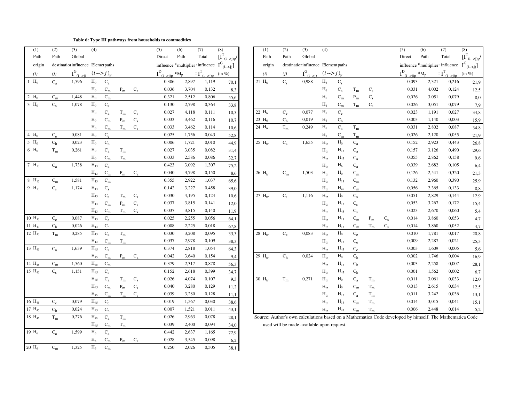#### **Table 6: Type III pathways from households to commodities**

| (1)                | (2)                     | (3)                                | (4)               |                           |                           |                               | (5)                                     | (6)   | (7)                                                                    | (8)                                     | (1)         | (2)                     | (3)                                                      | (4)                      |                         |                           |             |
|--------------------|-------------------------|------------------------------------|-------------------|---------------------------|---------------------------|-------------------------------|-----------------------------------------|-------|------------------------------------------------------------------------|-----------------------------------------|-------------|-------------------------|----------------------------------------------------------|--------------------------|-------------------------|---------------------------|-------------|
| Path               | Path                    | Global                             |                   |                           |                           |                               | Direct                                  | Path  | Total                                                                  | $[\boldsymbol{I}^T_{(i\rightarrow j)p}$ |             | Path<br>Path            | Global                                                   |                          |                         |                           |             |
| origin             |                         | destination influence Elemen paths |                   |                           |                           |                               |                                         |       | influence <sup>4</sup> multiplier : influence $I^G_{(i\rightarrow j)}$ |                                         |             | origin                  | destination influence Element paths                      |                          |                         |                           |             |
| (i)                | (j)                     | $I^G_{\frac{(i-\geq j)}{2}}$       |                   | $(i \rightarrow j)_{p}$   |                           |                               | $I^D_{\hbox{\tiny $(i->j)p$}}\,{}^*M_p$ |       | $=I^T_{(i-\geq\underline{j})\underline{p}}$                            | $(in \%)$                               | (i)         | (j)                     | $I^G_{\;\;\underline{(i-\geq j)}}$                       |                          | $(i \rightarrow j)_{p}$ |                           |             |
| $1$ $H_0$          | $C_{a}$                 | 1,596                              | $H_0$             | $C_{a}$                   |                           |                               | 0,386                                   | 2,897 | 1,119                                                                  | 70,1                                    | $21 H_6$    | $C_{\rm s}$             | 0,988                                                    | $H_6$                    | $\mathbf{C}_\mathrm{s}$ |                           |             |
|                    |                         |                                    | $H_0$             | $\mathrm{C}_\mathrm{m}$   | $P_m$                     | $C_{a}$                       | 0,036                                   | 3,704 | 0,132                                                                  | 8,3                                     |             |                         |                                                          | $H_6$                    | $C_{a}$                 | $T_m$                     | $C_{s}$     |
| 2 $H_0$            | $\mathrm{C}_\mathrm{m}$ | 1,448                              | $H_0$             | $\mathrm{C}_\mathrm{m}$   |                           |                               | 0,321                                   | 2,512 | 0,806                                                                  | 55,6                                    |             |                         |                                                          | $H_6$                    | $C_m$                   | $\mathbf{P}_{\mathbf{m}}$ | $C_{s}$     |
| $3 H_0$            | $C_{S}$                 | 1,078                              | $H_0$             | $C_{\rm s}$               |                           |                               | 0,130                                   | 2,798 | 0,364                                                                  | 33,8                                    |             |                         |                                                          | $H_6$                    | $C_m$                   | $\rm T_m$                 | $C_{s}$     |
|                    |                         |                                    | $H_0$             | $C_{a}$                   | $T_m$                     | $\mathrm{C}_{\textnormal{s}}$ | 0,027                                   | 4,118 | 0,111                                                                  | 10,3                                    | $22 H_6$    | $C_{\rm e}$             | 0,077                                                    | $H_6$                    | $C_{e}$                 |                           |             |
|                    |                         |                                    | $H_0$             | $C_m$                     | $\rm P_m$                 | $\mathbf{C}_\mathrm{s}$       | 0,033                                   | 3,462 | 0,116                                                                  | 10,7                                    | 23 $H_6$    | $C_h$                   | 0,019                                                    | H <sub>6</sub>           | $C_h$                   |                           |             |
|                    |                         |                                    | $H_0$             | $\mathbf{C}_{\mathbf{m}}$ | $\rm T_m$                 | $\mathbf{C}_\mathrm{s}$       | 0,033                                   | 3,462 | 0,114                                                                  | 10,6                                    | 24 $H_6$    | $\rm T_m$               | 0,249                                                    | $H_6$                    | $C_{a}$                 | $\rm T_m$                 |             |
| $4$ H <sub>0</sub> | $C_{e}$                 | 0.081                              | $H_0$             | $\mathrm{C_{e}}$          |                           |                               | 0,025                                   | 1,756 | 0,043                                                                  | 52,8                                    |             |                         |                                                          | H <sub>6</sub>           | $C_m$                   | $\rm T_m$                 |             |
| 5 $H_0$            | $\mathrm{C}_\mathrm{h}$ | 0,023                              | $H_0$             | $\mathrm{C}_\mathrm{h}$   |                           |                               | 0,006                                   | 1,721 | 0,010                                                                  | 44,9                                    | 25 $H_{tr}$ | $C_{a}$                 | 1,655                                                    | $\mathbf{H}_{\text{tr}}$ | $H_0$                   | $C_{a}$                   |             |
| $6$ H <sub>0</sub> | $\rm T_m$               | 0,261                              | $H_0$             | $\mathbf{C}_\mathbf{a}$   | $\rm T_m$                 |                               | 0,027                                   | 3,035 | 0,082                                                                  | 31,4                                    |             |                         |                                                          | $H_{tr}$                 | $H_{13}$                | $\mathrm{C}_\mathrm{a}$   |             |
|                    |                         |                                    | $H_0$             | $\mathrm{C}_\mathrm{m}$   | $\rm T_m$                 |                               | 0,033                                   | 2,586 | 0,086                                                                  | 32,7                                    |             |                         |                                                          | $H_{tr}$                 | $\rm{H}_{45}$           | $\mathrm{C}_\mathrm{a}$   |             |
| $7 H_{13}$         | $C_{a}$                 | 1,738                              | $H_{13}$          | $C_{a}$                   |                           |                               | 0,423                                   | 3,092 | 1,307                                                                  | 75,2                                    |             |                         |                                                          | $H_{tr}$                 | $H_6$                   | $C_{a}$                   |             |
|                    |                         |                                    | $H_{13}$          | $\mathrm{C}_\mathrm{m}$   | $\mathbf{P}_{\mathbf{m}}$ | $C_{a}$                       | 0,040                                   | 3,798 | 0,150                                                                  | 8,6                                     | 26 $Htr$    | $C_m$                   | 1,503                                                    | $\mathbf{H}_{\text{tr}}$ | $H_0$                   | $\mathrm{C}_\mathrm{m}$   |             |
| $8\text{ H}_{13}$  | $\mathrm{C}_\mathrm{m}$ | 1,581                              | $H_{13}$          | $\mathrm{C}_\mathrm{m}$   |                           |                               | 0,355                                   | 2,922 | 1,037                                                                  | 65,6                                    |             |                         |                                                          | $H_{tr}$                 | $H_{13}$                | $C_{m}$                   |             |
| $9 H_{13}$         | $C_{\rm s}$             | 1,174                              | $H_{13}$          | $C_{\rm s}$               |                           |                               | 0,142                                   | 3,227 | 0,458                                                                  | 39,0                                    |             |                         |                                                          | $H_{tr}$                 | $\rm{H}_{45}$           | $\mathrm{C}_\mathrm{m}$   |             |
|                    |                         |                                    | $H_{13}$          | $C_{a}$                   | $\rm T_m$                 | $\mathbf{C}_\mathrm{s}$       | 0,030                                   | 4,195 | 0,124                                                                  | 10,6                                    | 27 $H_{tr}$ | $\mathbf{C}_\mathrm{s}$ | 1,116                                                    | $H_{tr}$                 | $H_0$                   | $\mathbf{C}_\mathrm{s}$   |             |
|                    |                         |                                    | $\rm H_{13}$      | $C_m$                     | $\mathbf{P}_{\mathbf{m}}$ | $\mathbf{C}_\mathrm{s}$       | 0,037                                   | 3,815 | 0,141                                                                  | 12,0                                    |             |                         |                                                          | $H_{tr}$                 | $H_{13}$                | $\mathbf{C}_\mathrm{s}$   |             |
|                    |                         |                                    | $H_{13}$          | $C_m$                     | $T_m$                     | $C_{\rm s}$                   | 0,037                                   | 3,815 | 0,140                                                                  | 11,9                                    |             |                         |                                                          | $H_{tr}$                 | $H_{45}$                | $\mathbf{C}_\mathrm{s}$   |             |
| $10 H_{13}$        | $C_{e}$                 | 0,087                              | $\rm{H}_{13}$     | $C_{e}$                   |                           |                               | 0,025                                   | 2,255 | 0,056                                                                  | 64,1                                    |             |                         |                                                          | $H_{tr}$                 | $H_{13}$                | $C_m$                     | $P_{r}$     |
| 11 $H_{13}$        | $C_h$                   | 0,026                              | $\mathrm{H}_{13}$ | $C_h$                     |                           |                               | 0,008                                   | 2,225 | 0,018                                                                  | 67,8                                    |             |                         |                                                          | $H_{tr}$                 | $\mathbf{H}_{13}$       | $C_m$                     | $T_r$       |
| 12 $H_{13}$        | $T_m$                   | 0,285                              | $H_{13}$          | $\mathrm{C}_\mathrm{a}$   | $\rm T_m$                 |                               | 0,030                                   | 3,208 | 0,095                                                                  | 33,3                                    | 28 $H_{tr}$ | $C_{e}$                 | 0,083                                                    | $H_{tr}$                 | $H_0$                   | $\mathrm{C_{e}}$          |             |
|                    |                         |                                    | $H_{13}$          | $C_m$                     | $\rm T_m$                 |                               | 0,037                                   | 2,978 | 0,109                                                                  | 38,3                                    |             |                         |                                                          | $H_{tr}$                 | $H_{13}$                | $\mathrm{C_{e}}$          |             |
| 13 $H_{45}$        | $C_{a}$                 | 1,639                              | $H_{45}$          | $\mathrm{C}_\mathrm{a}$   |                           |                               | 0,374                                   | 2,818 | 1,054                                                                  | 64,3                                    |             |                         |                                                          | $H_{tr}$                 | $H_{45}$                | $\mathrm{C_{e}}$          |             |
|                    |                         |                                    | $\rm{H}_{45}$     | $\mathrm{C}_\mathrm{m}$   | $P_m$                     | $C_{a}$                       | 0,042                                   | 3,640 | 0,154                                                                  | 9,4                                     | 29 Htr      | $\mathrm{C}_\mathrm{h}$ | 0,024                                                    | $\mathbf{H}_{\text{tr}}$ | $H_0$                   | $\mathrm{C}_\mathrm{h}$   |             |
| 14 H <sub>45</sub> | $\mathrm{C}_\mathrm{m}$ | 1,560                              | $H_{45}$          | $C_m$                     |                           |                               | 0.379                                   | 2,317 | 0,878                                                                  | 56,3                                    |             |                         |                                                          | $H_{tr}$                 | $H_{13}$                | $\mathrm{C}_\mathrm{h}$   |             |
| 15 $H_{45}$        | $C_{S}$                 | 1,151                              | $H_{45}$          | $\mathbf{C}_\mathrm{s}$   |                           |                               | 0,152                                   | 2,618 | 0,399                                                                  | 34,7                                    |             |                         |                                                          | $H_{tr}$                 | $H_{45}$                | $C_{h}$                   |             |
|                    |                         |                                    | $\rm{H}_{45}$     | $C_{a}$                   | $\rm T_m$                 | $\mathrm{C}_{\textnormal{s}}$ | 0,026                                   | 4,074 | 0,107                                                                  | 9,3                                     | 30 $H_{tr}$ | $\rm T_m$               | 0,271                                                    | $\mathbf{H}_{\text{tr}}$ | $H_0$                   | $\mathrm{C}_\mathrm{a}$   | $\rm T_{r}$ |
|                    |                         |                                    | $H_{45}$          | $C_m$                     | $\mathbf{P}_{\mathbf{m}}$ | $\mathbf{C}_\mathrm{s}$       | 0,040                                   | 3,280 | 0,129                                                                  | 11,2                                    |             |                         |                                                          | $H_{tr}$                 | $H_0$                   | $\mathbf{C}_{\mathbf{m}}$ | $\rm T_{r}$ |
|                    |                         |                                    | $H_{45}$          | $C_m$                     | $\rm T_m$                 | $C_{\rm s}$                   | 0,039                                   | 3,280 | 0,128                                                                  | 11,1                                    |             |                         |                                                          | $H_{tr}$                 | $H_{13}$                | $\mathrm{C}_\mathrm{a}$   | $\rm T_{r}$ |
| 16 $H_{45}$        | $\mathrm{C_{e}}$        | 0,079                              | $\rm{H}_{45}$     | $\mathrm{C_{e}}$          |                           |                               | 0,019                                   | 1,567 | 0,030                                                                  | 38,6                                    |             |                         |                                                          | $\mathbf{H}_{\text{tr}}$ | $H_{13}$                | $\mathrm{C}_\mathrm{m}$   | $T_r$       |
| 17 $H_{45}$        | $\mathrm{C}_\mathrm{h}$ | 0,024                              | $H_{45}$          | $\mathrm{C}_\mathrm{h}$   |                           |                               | 0,007                                   | 1,521 | 0,011                                                                  | 43,1                                    |             |                         |                                                          | $H_{tr}$                 | $H_{45}$                | $\mathrm{C}_\mathrm{m}$   | $T_r$       |
| $18 H_{45}$        | $\rm T_m$               | 0,276                              | $H_{45}$          | $C_{a}$                   | $\rm T_m$                 |                               | 0,026                                   | 2,963 | 0,078                                                                  | 28,1                                    |             |                         | Source: Author's own calculations based on a Mathematica |                          |                         |                           |             |
|                    |                         |                                    | $H_{45}$          | $C_m$                     | $T_m$                     |                               | 0,039                                   | 2,400 | 0,094                                                                  | 34,0                                    |             |                         | used will be made available upon request.                |                          |                         |                           |             |
| 19 $H_6$           | $\mathrm{C}_\mathrm{a}$ | 1,599                              | $H_6$             | $\mathrm{C}_\mathrm{a}$   |                           |                               | 0,442                                   | 2,637 | 1,165                                                                  | 72,9                                    |             |                         |                                                          |                          |                         |                           |             |
|                    |                         |                                    | $H_6$             | $C_m$                     | $P_{m}$                   | $\mathrm{C}_\mathrm{a}$       | 0,028                                   | 3,545 | 0,098                                                                  | 6,2                                     |             |                         |                                                          |                          |                         |                           |             |
| $20 H_6$           | $\mathrm{C}_\mathrm{m}$ | 1,325                              | $H_6$             | $\mathrm{C}_\mathrm{m}$   |                           |                               | 0,250                                   | 2,026 | 0,505                                                                  | 38,1                                    |             |                         |                                                          |                          |                         |                           |             |

|                    | (1)    | (2)                     | (3)                                | (4)            |                           |                           |             | (5)                                                                                  | (6)   | (7)   | (8)                                                                           | (1)         | (2)                     | (3)                                 | (4)                      |                         |                           |                           |             | (5)    | (6)                                                                    | (7)   | (8)                                   |
|--------------------|--------|-------------------------|------------------------------------|----------------|---------------------------|---------------------------|-------------|--------------------------------------------------------------------------------------|-------|-------|-------------------------------------------------------------------------------|-------------|-------------------------|-------------------------------------|--------------------------|-------------------------|---------------------------|---------------------------|-------------|--------|------------------------------------------------------------------------|-------|---------------------------------------|
|                    | Path   | Path                    | Global                             |                |                           |                           |             | Direct                                                                               | Path  | Total | $[\boldsymbol{I}^T_{(i->j)p}]$                                                | Path        | Path                    | Global                              |                          |                         |                           |                           |             | Direct | Path                                                                   | Total | $[\textbf{I}^T_{(i\rightarrow j)p} /$ |
|                    | origin |                         | destination influence Elemen paths |                |                           |                           |             |                                                                                      |       |       | influence $\sqrt[3]{\text{multiplier}}$ : influence $I^G_{(i \rightarrow j)}$ | origin      |                         | destination influence Element paths |                          |                         |                           |                           |             |        | influence <sup>4</sup> multiplier : influence $I^G_{(i\rightarrow j)}$ |       |                                       |
|                    | (i)    | (j)                     | $I^G_{(i\to j)}$ $(i\to j)_p$      |                |                           |                           |             | $I^{D}$ <sub>(i-&gt;j)p</sub> *M <sub>p</sub> = $I^{T}$ <sub>(i-&gt;j)p</sub> (in %) |       |       |                                                                               | (i)         | (j)                     | $I^G_{(i \to j)}$ $(i \to j)_p$     |                          |                         |                           |                           |             |        | $I_{(i->i)p}^{D} * M_{p} = I_{(i->i)p}^{T}$ (in %)                     |       |                                       |
| $1$ $H_0$          |        | $\mathrm{C}_\mathrm{a}$ | 1,596                              | $H_0$          | $C_{a}$                   |                           |             | 0,386                                                                                | 2,897 | 1,119 | 70,1                                                                          | $21 H_6$    | $C_{\rm s}$             | 0,988                               | $H_6$                    | $\mathbf{C}_\mathrm{s}$ |                           |                           |             | 0,093  | 2,321                                                                  | 0,216 | 21,9                                  |
|                    |        |                         |                                    | $H_0$          | $C_m$                     | $P_m$                     | $C_{a}$     | 0,036                                                                                | 3,704 | 0,132 | 8,3                                                                           |             |                         |                                     | $H_6$                    | $C_{a}$                 | $T_m$                     | $C_{\rm s}$               |             | 0,031  | 4,002                                                                  | 0,124 | 12,5                                  |
| 2 $H_0$            |        | $\mathrm{C}_\mathrm{m}$ | 1,448                              | $\mathbf{H}_0$ | $\mathrm{C}_\mathrm{m}$   |                           |             | 0,321                                                                                | 2,512 | 0,806 | 55,6                                                                          |             |                         |                                     | H <sub>6</sub>           | $C_m$                   | $\mathbf{P}_{\mathbf{m}}$ | $\mathbf{C}_{\mathrm{s}}$ |             | 0,026  | 3,051                                                                  | 0,079 | 8,0                                   |
| $3 H_0$            |        | $\mathbf{C}_\mathrm{s}$ | 1,078                              | $\rm H_0$      | $\mathbf{C}_\mathrm{s}$   |                           |             | 0,130                                                                                | 2,798 | 0,364 | 33,8                                                                          |             |                         |                                     | $H_6$                    | $\mathrm{C}_\mathrm{m}$ | $\rm T_m$                 | $C_{S}$                   |             | 0,026  | 3,051                                                                  | 0,079 | 7,9                                   |
|                    |        |                         |                                    | $H_0$          | $C_{a}$                   | $T_m$                     | $C_{S}$     | 0,027                                                                                | 4,118 | 0,111 | 10,3                                                                          | 22 $H_6$    | $C_{e}$                 | 0,077                               | $H_6$                    | $C_{e}$                 |                           |                           |             | 0,023  | 1,191                                                                  | 0,027 | 34,8                                  |
|                    |        |                         |                                    | $H_0$          | $\mathrm{C}_\mathrm{m}$   | $\mathbf{P}_{\mathbf{m}}$ | $C_{S}$     | 0,033                                                                                | 3,462 | 0,116 | 10,7                                                                          | 23 $H_6$    | $\mathrm{C}_\mathrm{h}$ | 0,019                               | $H_6$                    | $C_h$                   |                           |                           |             | 0,003  | 1,140                                                                  | 0,003 | 15,9                                  |
|                    |        |                         |                                    | $H_0$          | $\mathrm{C}_\mathrm{m}$   | $\rm T_m$                 | $C_{\rm s}$ | 0,033                                                                                | 3,462 | 0,114 | 10,6                                                                          | 24 $H_6$    | $\rm T_m$               | 0,249                               | $H_6$                    | $\mathrm{C}_\mathrm{a}$ | $T_m$                     |                           |             | 0,031  | 2,802                                                                  | 0,087 | 34,8                                  |
| $4$ H <sub>0</sub> |        | $\mathrm{C_{e}}$        | 0,081                              | $H_0$          | $\mathrm{C_{e}}$          |                           |             | 0,025                                                                                | 1,756 | 0,043 | 52,8                                                                          |             |                         |                                     | $H_6$                    | $\mathrm{C}_\mathrm{m}$ | $\rm T_m$                 |                           |             | 0,026  | 2,120                                                                  | 0,055 | 21,9                                  |
| $5\ \text{H}_0$    |        | $\mathrm{C}_\mathrm{h}$ | 0,023                              | $H_0$          | $C_h$                     |                           |             | 0,006                                                                                | 1,721 | 0,010 | 44,9                                                                          | 25 $H_{tr}$ | $C_{a}$                 | 1,655                               | $H_{tr}$                 | $H_0$                   | $\mathrm{C}_\mathrm{a}$   |                           |             | 0,152  | 2,923                                                                  | 0,443 | 26,8                                  |
| $6 H_0$            |        | $\rm T_m$               | 0,261                              | $H_0$          | $\mathrm{C}_\mathrm{a}$   | $\rm T_m$                 |             | 0,027                                                                                | 3,035 | 0,082 | 31,4                                                                          |             |                         |                                     | $H_{tr}$                 | $H_{13}$                | $\mathrm{C}_\mathrm{a}$   |                           |             | 0,157  | 3,126                                                                  | 0,490 | 29,6                                  |
|                    |        |                         |                                    | $H_0$          | $C_m$                     | $\rm T_m$                 |             | 0,033                                                                                | 2,586 | 0,086 | 32,7                                                                          |             |                         |                                     | $H_{tr}$                 | $H_{45}$                | $\mathbf{C}_\text{a}$     |                           |             | 0,055  | 2,862                                                                  | 0,158 | 9,6                                   |
| $7H_{13}$          |        | $\mathrm{C}_\mathrm{a}$ | 1,738                              | $\rm{H}_{13}$  | $C_{a}$                   |                           |             | 0,423                                                                                | 3,092 | 1,307 | 75,2                                                                          |             |                         |                                     | $\mathbf{H}_{\text{tr}}$ | $H_6$                   | $C_{a}$                   |                           |             | 0,039  | 2,682                                                                  | 0,105 | 6,4                                   |
|                    |        |                         |                                    | $H_{13}$       | $C_m$                     | $P_m$                     | $C_{a}$     | 0,040                                                                                | 3,798 | 0,150 | 8,6                                                                           | 26 $Htr$    | $C_m$                   | 1,503                               | $\mathbf{H}_{\text{tr}}$ | $H_0$                   | $C_m$                     |                           |             | 0,126  | 2,541                                                                  | 0,320 | 21,3                                  |
| $8 H_{13}$         |        | $\mathrm{C}_\mathrm{m}$ | 1,581                              | $H_{13}$       | $C_m$                     |                           |             | 0,355                                                                                | 2,922 | 1,037 | 65,6                                                                          |             |                         |                                     | $\mathbf{H}_{\text{tr}}$ | $\rm{H}_{13}$           | $\mathrm{C}_\mathrm{m}$   |                           |             | 0,132  | 2,960                                                                  | 0,390 | 25,9                                  |
| 9 $H_{13}$         |        | $C_{\rm s}$             | 1,174                              | $H_{13}$       | $\mathbf{C}_\mathrm{s}$   |                           |             | 0,142                                                                                | 3,227 | 0,458 | 39,0                                                                          |             |                         |                                     | $H_{tr}$                 | $H_{45}$                | $\mathbf{C}_{\mathbf{m}}$ |                           |             | 0,056  | 2,365                                                                  | 0,133 | 8,8                                   |
|                    |        |                         |                                    | $H_{13}$       | $C_{a}$                   | $\rm T_m$                 | $C_{S}$     | 0,030                                                                                | 4,195 | 0,124 | 10,6                                                                          | 27 $H_{tr}$ | $C_{\rm s}$             | 1,116                               | $H_{tr}$                 | $\mathbf{H}_0$          | $C_{\rm s}$               |                           |             | 0,051  | 2,829                                                                  | 0,144 | 12,9                                  |
|                    |        |                         |                                    | $H_{13}$       | $\mathrm{C}_\mathrm{m}$   | $P_{m}$                   | $C_{\rm s}$ | 0,037                                                                                | 3,815 | 0,141 | 12,0                                                                          |             |                         |                                     | $\mathbf{H}_{\text{tr}}$ | $H_{13}$                | $\mathbf{C}_\mathrm{s}$   |                           |             | 0,053  | 3,267                                                                  | 0,172 | 15,4                                  |
|                    |        |                         |                                    | $H_{13}$       | $C_m$                     | $T_m$                     | $C_{\rm s}$ | 0,037                                                                                | 3,815 | 0,140 | 11,9                                                                          |             |                         |                                     | $H_{tr}$                 | $H_{45}$                | $C_{\rm s}$               |                           |             | 0,023  | 2,670                                                                  | 0,060 | 5,4                                   |
| $10 H_{13}$        |        | $\mathrm{C_{e}}$        | 0,087                              | $H_{13}$       | $\mathrm{C_{e}}$          |                           |             | 0,025                                                                                | 2,255 | 0,056 | 64,1                                                                          |             |                         |                                     | $\mathbf{H}_{\text{tr}}$ | $H_{13}$                | $\mathbf{C}_{\mathbf{m}}$ | $P_m$                     | $C_{\rm s}$ | 0,014  | 3,860                                                                  | 0,053 | 4,7                                   |
| $11 H_{13}$        |        | $\mathrm{C}_\mathrm{h}$ | 0,026                              | $H_{13}$       | C <sub>h</sub>            |                           |             | 0,008                                                                                | 2,225 | 0,018 | 67,8                                                                          |             |                         |                                     | $H_{tr}$                 | $H_{13}$                | $\mathrm{C}_\mathrm{m}$   | $T_m$                     |             | 0,014  | 3,860                                                                  | 0,052 | 4,7                                   |
| $12 H_{13}$        |        | $T_m$                   | 0,285                              | $H_{13}$       | $C_{a}$                   | $\rm T_m$                 |             | 0,030                                                                                | 3,208 | 0,095 | 33,3                                                                          | 28 $H_{tr}$ | $C_{e}$                 | 0,083                               | $H_{tr}$                 | $\mathbf{H}_0$          | $\mathrm{C_{e}}$          |                           |             | 0,010  | 1,781                                                                  | 0,017 | 20,8                                  |
|                    |        |                         |                                    | $H_{13}$       | $\mathrm{C}_\mathrm{m}$   | $\rm T_m$                 |             | 0,037                                                                                | 2,978 | 0,109 | 38,3                                                                          |             |                         |                                     | $H_{tr}$                 | $H_{13}$                | $\mathrm{C_{e}}$          |                           |             | 0,009  | 2,287                                                                  | 0,021 | 25,3                                  |
| $13 H_{45}$        |        | $C_{a}$                 | 1,639                              | $\rm{H}_{45}$  | $C_{a}$                   |                           |             | 0,374                                                                                | 2,818 | 1,054 | 64,3                                                                          |             |                         |                                     | $H_{tr}$                 | $H_{45}$                | $C_e$                     |                           |             | 0,003  | 1,609                                                                  | 0,005 | 5,6                                   |
|                    |        |                         |                                    | $H_{45}$       | $C_{\underline{m}}$       | $P_m$                     | $C_{a}$     | 0,042                                                                                | 3,640 | 0,154 | 9,4                                                                           | 29 $Htr$    | $\mathrm{C}_\mathrm{h}$ | 0,024                               | $\mathbf{H}_{\text{tr}}$ | $H_0$                   | $C_h$                     |                           |             | 0,002  | 1,746                                                                  | 0,004 | 16,9                                  |
| $14 H_{45}$        |        | $\mathrm{C}_\mathrm{m}$ | 1,560                              | $H_{45}$       | $C_m$                     |                           |             | 0,379                                                                                | 2,317 | 0,878 | 56,3                                                                          |             |                         |                                     | $H_{tr}$                 | $H_{13}$                | $\mathrm{C}_\mathrm{h}$   |                           |             | 0,003  | 2,258                                                                  | 0,007 | 28,1                                  |
| $15 H_{45}$        |        | $\mathbf{C}_\mathrm{s}$ | 1,151                              | $H_{45}$       | $C_{S}$                   |                           |             | 0,152                                                                                | 2,618 | 0,399 | 34,7                                                                          |             |                         |                                     | $H_{tr}$                 | $H_{45}$                | C <sub>h</sub>            |                           |             | 0,001  | 1,562                                                                  | 0,002 | 6,7                                   |
|                    |        |                         |                                    | $H_{45}$       |                           | $T_m$                     | $C_{S}$     | 0,026                                                                                | 4,074 | 0,107 | 9,3                                                                           | 30 $Htr$    | $\rm T_m$               | 0,271                               | $\mathbf{H}_{\text{tr}}$ | $H_0$                   | $\mathrm{C}_\mathrm{a}$   | $\rm T_m$                 |             | 0,011  | 3,061                                                                  | 0,033 | 12,0                                  |
|                    |        |                         |                                    | $\rm{H}_{45}$  | $\mathbf{C}_{\mathbf{m}}$ | $P_m$                     | $C_{S}$     | 0,040                                                                                | 3,280 | 0,129 | 11,2                                                                          |             |                         |                                     | $H_{tr}$                 | $H_0$                   | $\mathbf{C}_{\mathbf{m}}$ | $\rm T_m$                 |             | 0,013  | 2,615                                                                  | 0,034 | 12,5                                  |
|                    |        |                         |                                    | $H_{45}$       | $\mathbf{C}_{\mathbf{m}}$ | $\rm T_m$                 | $C_{s}$     | 0,039                                                                                | 3,280 | 0,128 | 11,1                                                                          |             |                         |                                     | $H_{tr}$                 | $H_{13}$                | $\mathrm{C}_\mathrm{a}$   | $\rm T_m$                 |             | 0,011  | 3,242                                                                  | 0,036 | 13,1                                  |
| $16 H_{45}$        |        | $\mathrm{C_{e}}$        | 0,079                              | $\rm{H}_{45}$  | $C_{e}$                   |                           |             | 0,019                                                                                | 1,567 | 0,030 | 38,6                                                                          |             |                         |                                     | $H_{tr}$                 | $H_{13}$                | $\mathbf{C}_{\mathbf{m}}$ | $\rm T_m$                 |             | 0,014  | 3,015                                                                  | 0,041 | 15,1                                  |
| $17 H_{45}$        |        | C <sub>h</sub>          | 0,024                              | $H_{45}$       | $C_h$                     |                           |             | 0,007                                                                                | 1,521 | 0,011 | 43,1                                                                          |             |                         |                                     | $H_{tr}$                 | $H_{45}$                | $\mathrm{C}_\mathrm{m}$   | $T_m$                     |             | 0,006  | 2,448                                                                  | 0,014 | 5,2                                   |

Source: Author's own calculations based on a Mathematica Code developed by himself. The Mathematica Code used will be made available upon request.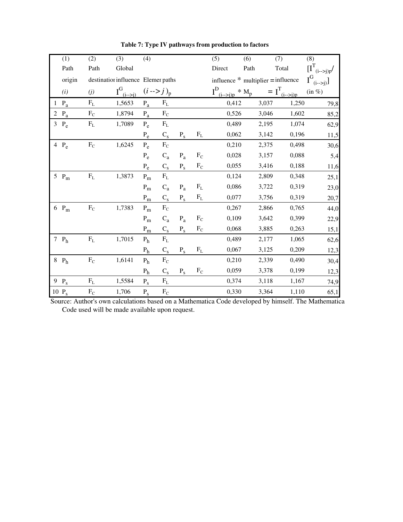|                | (1)                     | (2)       | (3)                                | (4)                       |                           |                           |           | (5)                            | (6)   | (7)                                  | (8)                                         |
|----------------|-------------------------|-----------|------------------------------------|---------------------------|---------------------------|---------------------------|-----------|--------------------------------|-------|--------------------------------------|---------------------------------------------|
|                | Path                    | Path      | Global                             |                           |                           |                           |           | Direct                         | Path  | Total                                | $[\boldsymbol{I}^T_{(i\rightarrow > j)p} /$ |
|                | origin                  |           | destination influence Elemer paths |                           |                           |                           |           |                                |       | influence $*$ multiplier = influence |                                             |
|                | (i)                     | (j)       | $I^G_{\frac{(i->j)}{2}}$           | $(i \rightarrow j)_{p}$   |                           |                           |           | $I^D_{\frac{(i->j)p}{}} * M_p$ |       | $= I^T_{\frac{(i->j)p}{i}}$          | $(in \%)$                                   |
| 1              | $\mathbf{P}_{\text{a}}$ | $\rm F_L$ | 1,5653                             | $P_a$                     | $F_{L}$                   |                           |           | 0,412                          | 3,037 | 1,250                                | 79,8                                        |
| $\overline{2}$ | $\mathbf{P}_{\text{a}}$ | $\rm F_C$ | 1,8794                             | $P_a$                     | $F_C$                     |                           |           | 0,526                          | 3,046 | 1,602                                | 85,2                                        |
|                | $3 P_e$                 | $\rm F_L$ | 1,7089                             | $P_e$                     | $\mathbf{F}_{\text{L}}$   |                           |           | 0,489                          | 2,195 | 1,074                                | 62,9                                        |
|                |                         |           |                                    | $P_e$                     | $\mathbf{C}_\mathrm{s}$   | $\mathbf{P}_{\mathrm{s}}$ | $F_L$     | 0,062                          | 3,142 | 0,196                                | 11,5                                        |
|                | 4 $P_e$                 | $\rm F_C$ | 1,6245                             | $P_e$                     | $\rm F_C$                 |                           |           | 0,210                          | 2,375 | 0,498                                | 30,6                                        |
|                |                         |           |                                    | $P_e$                     | $C_{a}$                   | $P_a$                     | $\rm F_C$ | 0,028                          | 3,157 | 0,088                                | 5,4                                         |
|                |                         |           |                                    | $P_e$                     | $\mathbf{C}_\mathrm{s}$   | $\mathbf{P}_{\mathrm{s}}$ | $F_C$     | 0,055                          | 3,416 | 0,188                                | 11,6                                        |
|                | 5 $P_m$                 | $\rm F_L$ | 1,3873                             | $P_{m}$                   | $\mathbf{F}_{\text{L}}$   |                           |           | 0,124                          | 2,809 | 0,348                                | 25,1                                        |
|                |                         |           |                                    | $P_m$                     | $C_{a}$                   | $P_a$                     | $F_{L}$   | 0,086                          | 3,722 | 0,319                                | 23,0                                        |
|                |                         |           |                                    | $\mathbf{P}_{\mathbf{m}}$ | $\mathbf{C}_\mathrm{s}$   | $P_{S}$                   | $\rm F_L$ | 0,077                          | 3,756 | 0,319                                | 20,7                                        |
|                | $6P_m$                  | $\rm F_C$ | 1,7383                             | $P_m$                     | $\rm F_C$                 |                           |           | 0,267                          | 2,866 | 0,765                                | 44,0                                        |
|                |                         |           |                                    | $P_{m}$                   | $C_{a}$                   | $P_a$                     | $\rm F_C$ | 0,109                          | 3,642 | 0,399                                | 22,9                                        |
|                |                         |           |                                    | $\mathbf{P}_{\text{m}}$   | $\mathbf{C}_\mathrm{s}$   | $P_{S}$                   | $F_C$     | 0,068                          | 3,885 | 0,263                                | 15,1                                        |
|                | 7 $P_h$                 | $\rm F_L$ | 1,7015                             | P <sub>h</sub>            | $\rm F_L$                 |                           |           | 0,489                          | 2,177 | 1,065                                | 62,6                                        |
|                |                         |           |                                    | P <sub>h</sub>            | $C_{s}$                   | $P_{S}$                   | $F_{L}$   | 0,067                          | 3,125 | 0,209                                | 12,3                                        |
|                | $8$ $P_h$               | $\rm F_C$ | 1,6141                             | P <sub>h</sub>            | $\rm F_C$                 |                           |           | 0,210                          | 2,339 | 0,490                                | 30,4                                        |
|                |                         |           |                                    | P <sub>h</sub>            | $\mathrm{C}_{\mathrm{s}}$ | $P_{S}$                   | $\rm F_C$ | 0,059                          | 3,378 | 0,199                                | 12,3                                        |
|                | $9$ $P_s$               | $F_{L}$   | 1,5584                             | $P_{S}$                   | $F_{L}$                   |                           |           | 0,374                          | 3,118 | 1,167                                | 74,9                                        |
|                | 10 $P_s$                | $\rm F_C$ | 1,706                              | $P_{S}$                   | $\rm F_C$                 |                           |           | 0,330                          | 3,364 | 1,110                                | 65,1                                        |

**Table 7: Type IV pathways from production to factors**

Source: Author's own calculations based on a Mathematica Code developed by himself. The Mathematica Code used will be made available upon request.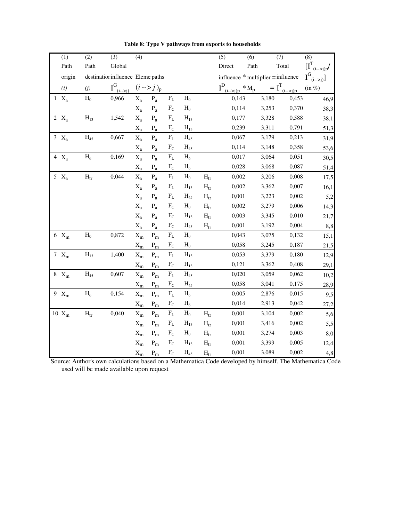| $\overline{(1)}$ | $\overline{(2)}$         | $\overline{(3)}$                  | $\overline{(4)}$      |                           |           |                |                          | (5)                             | $\overline{(6)}$ | $\overline{(7)}$                     | $\overline{(8)}$                                                                                 |
|------------------|--------------------------|-----------------------------------|-----------------------|---------------------------|-----------|----------------|--------------------------|---------------------------------|------------------|--------------------------------------|--------------------------------------------------------------------------------------------------|
| Path             | Path                     | Global                            |                       |                           |           |                |                          | Direct                          | Path             | Total                                | $\big[\big[ \begin{matrix} \textbf{I}^{\text{T}} \\ \textbf{I} & -\textbf{I} \end{matrix} \big]$ |
| origin           |                          | destination influence Eleme paths |                       |                           |           |                |                          |                                 |                  | influence $*$ multiplier = influence | $I_{\rm G}$<br>$(i\rightarrow j)$                                                                |
| (i)              | (j)                      | $I^G_{\frac{(i->j)}{2}}$          |                       | $(i \rightarrow j)_{p}$   |           |                |                          | $I^D_{(i\rightarrow j)p} * M_p$ |                  | $= I^{T}$ <sub>(i--&gt;j)p</sub>     | $(in \%)$                                                                                        |
| $1 X_a$          | $H_0$                    | 0,966                             | $X_{a}$               | $P_a$                     | $F_L$     | $H_0$          |                          | 0,143                           |                  | 3,180<br>0,453                       | 46,9                                                                                             |
|                  |                          |                                   | $X_a$                 | $P_a$                     | $F_C$     | $H_0$          |                          | 0,114                           |                  | 3,253<br>0,370                       | 38,3                                                                                             |
| 2 $X_a$          | $H_{13}$                 | 1,542                             | $X_{a}$               | $P_{a}$                   | $\rm F_L$ | $H_{13}$       |                          | 0,177                           |                  | 3,328<br>0,588                       | 38,1                                                                                             |
|                  |                          |                                   | $X_a$                 | $P_a$                     | $F_C$     | $\rm H_{13}$   |                          | 0,239                           |                  | 3,311<br>0,791                       | 51,3                                                                                             |
| $3 X_a$          | $\rm{H}_{45}$            | 0,667                             | $X_{a}$               | $P_{a}$                   | $\rm F_L$ | $\rm{H}_{45}$  |                          | 0,067                           |                  | 3,179<br>0,213                       | 31,9                                                                                             |
|                  |                          |                                   | $X_a$                 | $P_{a}$                   | $F_C$     | $H_{45}$       |                          | 0,114                           |                  | 0,358<br>3,148                       | 53,6                                                                                             |
| $4 X_a$          | $H_6$                    | 0,169                             | $X_a$                 | $P_a$                     | $\rm F_L$ | $H_6$          |                          | 0,017                           |                  | 3,064<br>0,051                       | 30,5                                                                                             |
|                  |                          |                                   | $X_a$                 | $P_a$                     | $F_C$     | $H_6$          |                          | 0,028                           |                  | 3,068<br>0,087                       | 51,4                                                                                             |
| $5 X_a$          | $H_{tr}$                 | 0,044                             | $X_{a}$               | $P_{a}$                   | $\rm F_L$ | H <sub>0</sub> | $H_{tr}$                 | 0,002                           |                  | 3,206<br>0,008                       | 17,5                                                                                             |
|                  |                          |                                   | $X_a$                 | $P_{a}$                   | $\rm F_L$ | $H_{13}$       | $H_{tr}$                 | 0,002                           |                  | 0,007<br>3,362                       | 16,1                                                                                             |
|                  |                          |                                   | $X_{a}$               | $P_{a}$                   | $F_{L}$   | $H_{45}$       | $H_{tr}$                 | 0,001                           |                  | 0,002<br>3,223                       | 5,2                                                                                              |
|                  |                          |                                   | $X_{a}$               | $P_{a}$                   | $F_{C}$   | $H_0$          | $H_{tr}$                 | 0,002                           |                  | 0,006<br>3,279                       | 14,3                                                                                             |
|                  |                          |                                   | $X_a$                 | $P_{a}$                   | $F_C$     | $H_{13}$       | $H_{tr}$                 | 0,003                           |                  | 0,010<br>3,345                       | 21,7                                                                                             |
|                  |                          |                                   | $X_a$                 | $P_{a}$                   | $F_C$     | $H_{45}$       | $H_{tr}$                 | 0,001                           |                  | 3,192<br>0,004                       | 8,8                                                                                              |
| $6 X_m$          | $H_0$                    | 0,872                             | $X_{m}$               | $P_{m}$                   | $\rm F_L$ | H <sub>0</sub> |                          | 0,043                           |                  | 3,075<br>0,132                       | 15,1                                                                                             |
|                  |                          |                                   | $X_{m}$               | $\mathbf{P}_{\mathbf{m}}$ | $F_{C}$   | $H_0$          |                          | 0,058                           |                  | 3,245<br>0,187                       | 21,5                                                                                             |
| 7 $X_m$          | $H_{13}$                 | 1,400                             | $X_m$                 | $P_m$                     | $F_{L}$   | $H_{13}$       |                          | 0,053                           |                  | 3,379<br>0,180                       | 12,9                                                                                             |
|                  |                          |                                   | $X_{m}$               | $P_{m}$                   | $F_C$     | $H_{13}$       |                          | 0,121                           |                  | 3,362<br>0,408                       | 29,1                                                                                             |
| $8 X_m$          | $H_{45}$                 | 0,607                             | $X_m$                 | $\mathbf{P}_{\mathbf{m}}$ | $\rm F_L$ | $H_{45}$       |                          | 0,020                           |                  | 3,059<br>0,062                       | 10,2                                                                                             |
|                  |                          |                                   | $X_{m}$               | $\mathbf{P}_{\mathbf{m}}$ | $F_{C}$   | $H_{45}$       |                          | 0,058                           |                  | 3,041<br>0,175                       | 28,9                                                                                             |
| 9 $X_m$          | $H_6$                    | 0,154                             | $\mathbf{X}_\text{m}$ | $P_{m}$                   | $\rm F_L$ | $H_6$          |                          | 0,005                           |                  | 2,876<br>0,015                       | 9,5                                                                                              |
|                  |                          |                                   | $X_{m}$               | $P_m$                     | $F_C$     | $H_6$          |                          | 0,014                           |                  | 2,913<br>0,042                       | 27,2                                                                                             |
| $10 X_m$         | $\mathbf{H}_{\text{tr}}$ | 0,040                             | $X_{m}$               | $P_m$                     | $\rm F_L$ | $H_0$          | $\mathbf{H}_{\text{tr}}$ | 0,001                           |                  | 0,002<br>3,104                       | 5,6                                                                                              |
|                  |                          |                                   | $X_{m}$               | $P_{m}$                   | $\rm F_L$ | $H_{13}$       | $H_{tr}$                 | 0,001                           |                  | 0,002<br>3,416                       | 5,5                                                                                              |
|                  |                          |                                   | $X_{m}$               | $P_m$                     | $F_C$     | $H_0$          | $H_{tr}$                 | 0,001                           |                  | 3,274<br>0,003                       | 8,0                                                                                              |
|                  |                          |                                   | $X_{m}$               | $\mathbf{P}_{\mathbf{m}}$ | $F_C$     | $H_{13}$       | $H_{tr}$                 | 0,001                           |                  | 3,399<br>0,005                       | 12,4                                                                                             |
|                  |                          |                                   | $X_{m}$               | $P_{m}$                   | $F_C$     | $H_{45}$       | $H_{tr}$                 | 0,001                           |                  | 0,002<br>3,089                       | 4,8                                                                                              |

**Table 8: Type V pathways from exports to households**

Source: Author's own calculations based on a Mathematica Code developed by himself. The Mathematica Code used will be made available upon request